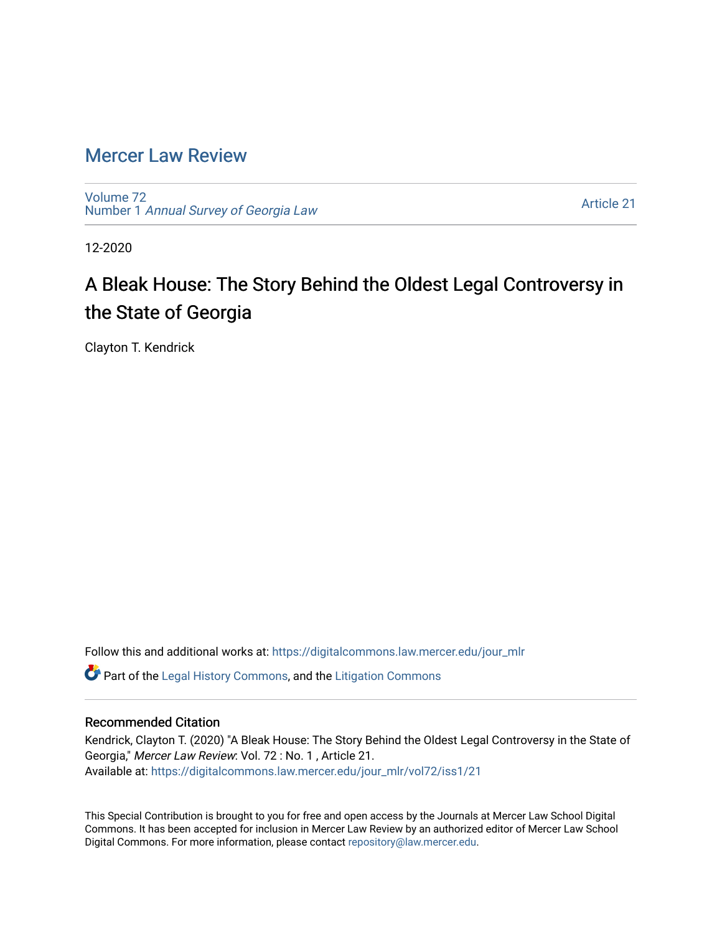# [Mercer Law Review](https://digitalcommons.law.mercer.edu/jour_mlr)

[Volume 72](https://digitalcommons.law.mercer.edu/jour_mlr/vol72) Number 1 [Annual Survey of Georgia Law](https://digitalcommons.law.mercer.edu/jour_mlr/vol72/iss1) 

[Article 21](https://digitalcommons.law.mercer.edu/jour_mlr/vol72/iss1/21) 

12-2020

# A Bleak House: The Story Behind the Oldest Legal Controversy in the State of Georgia

Clayton T. Kendrick

Follow this and additional works at: [https://digitalcommons.law.mercer.edu/jour\\_mlr](https://digitalcommons.law.mercer.edu/jour_mlr?utm_source=digitalcommons.law.mercer.edu%2Fjour_mlr%2Fvol72%2Fiss1%2F21&utm_medium=PDF&utm_campaign=PDFCoverPages)

 $\bullet$  Part of the [Legal History Commons](http://network.bepress.com/hgg/discipline/904?utm_source=digitalcommons.law.mercer.edu%2Fjour_mlr%2Fvol72%2Fiss1%2F21&utm_medium=PDF&utm_campaign=PDFCoverPages), and the [Litigation Commons](http://network.bepress.com/hgg/discipline/910?utm_source=digitalcommons.law.mercer.edu%2Fjour_mlr%2Fvol72%2Fiss1%2F21&utm_medium=PDF&utm_campaign=PDFCoverPages)

# Recommended Citation

Kendrick, Clayton T. (2020) "A Bleak House: The Story Behind the Oldest Legal Controversy in the State of Georgia," Mercer Law Review: Vol. 72 : No. 1 , Article 21. Available at: [https://digitalcommons.law.mercer.edu/jour\\_mlr/vol72/iss1/21](https://digitalcommons.law.mercer.edu/jour_mlr/vol72/iss1/21?utm_source=digitalcommons.law.mercer.edu%2Fjour_mlr%2Fvol72%2Fiss1%2F21&utm_medium=PDF&utm_campaign=PDFCoverPages) 

This Special Contribution is brought to you for free and open access by the Journals at Mercer Law School Digital Commons. It has been accepted for inclusion in Mercer Law Review by an authorized editor of Mercer Law School Digital Commons. For more information, please contact [repository@law.mercer.edu](mailto:repository@law.mercer.edu).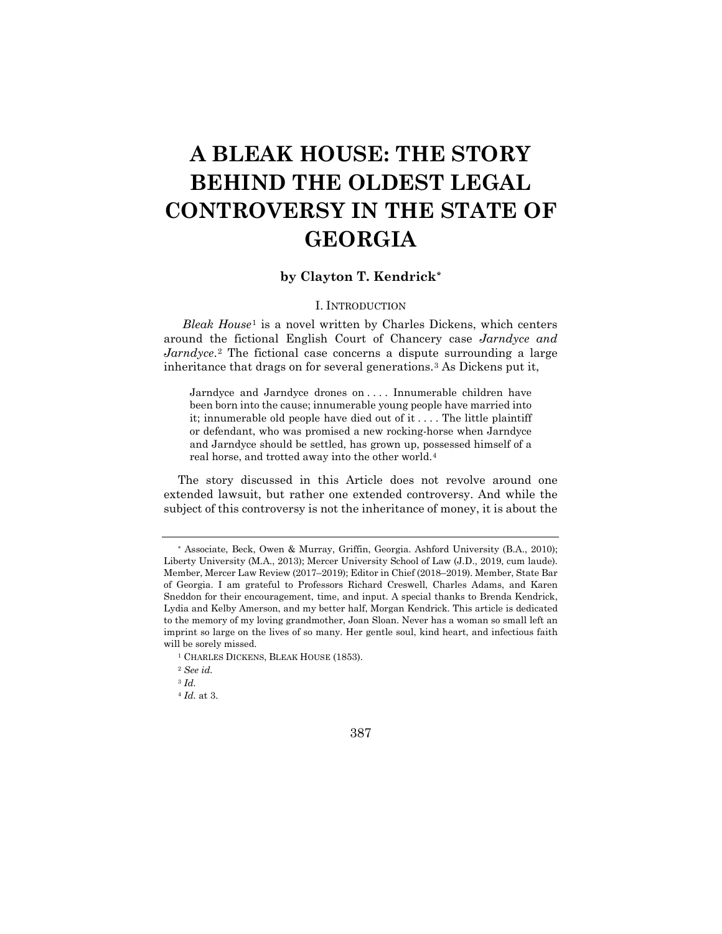# **A BLEAK HOUSE: THE STORY BEHIND THE OLDEST LEGAL CONTROVERSY IN THE STATE OF GEORGIA**

# **by Clayton T. Kendrick[\\*](#page-1-0)**

# I. INTRODUCTION

*Bleak House*[1](#page-1-1) is a novel written by Charles Dickens, which centers around the fictional English Court of Chancery case *Jarndyce and Jarndyce*.<sup>[2](#page-1-2)</sup> The fictional case concerns a dispute surrounding a large inheritance that drags on for several generations.[3](#page-1-3) As Dickens put it,

Jarndyce and Jarndyce drones on . . . . Innumerable children have been born into the cause; innumerable young people have married into it; innumerable old people have died out of it . . . . The little plaintiff or defendant, who was promised a new rocking-horse when Jarndyce and Jarndyce should be settled, has grown up, possessed himself of a real horse, and trotted away into the other world.[4](#page-1-4)

The story discussed in this Article does not revolve around one extended lawsuit, but rather one extended controversy. And while the subject of this controversy is not the inheritance of money, it is about the

387

<span id="page-1-0"></span><sup>\*</sup> Associate, Beck, Owen & Murray, Griffin, Georgia. Ashford University (B.A., 2010); Liberty University (M.A., 2013); Mercer University School of Law (J.D., 2019, cum laude). Member, Mercer Law Review (2017–2019); Editor in Chief (2018–2019). Member, State Bar of Georgia. I am grateful to Professors Richard Creswell, Charles Adams, and Karen Sneddon for their encouragement, time, and input. A special thanks to Brenda Kendrick, Lydia and Kelby Amerson, and my better half, Morgan Kendrick. This article is dedicated to the memory of my loving grandmother, Joan Sloan. Never has a woman so small left an imprint so large on the lives of so many. Her gentle soul, kind heart, and infectious faith will be sorely missed.

<sup>&</sup>lt;sup>1</sup> CHARLES DICKENS, BLEAK HOUSE (1853).

<span id="page-1-3"></span><span id="page-1-2"></span><span id="page-1-1"></span><sup>2</sup> *See id.*

<sup>3</sup> *Id.*

<span id="page-1-4"></span><sup>4</sup> *Id.* at 3.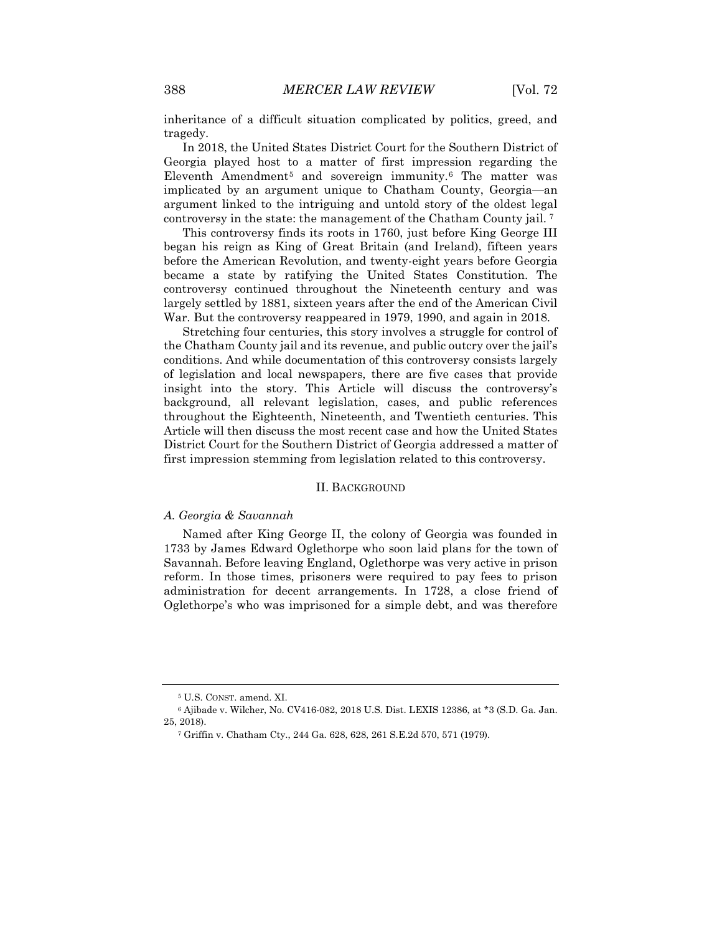inheritance of a difficult situation complicated by politics, greed, and tragedy.

In 2018, the United States District Court for the Southern District of Georgia played host to a matter of first impression regarding the Eleventh Amendment[5](#page-2-0) and sovereign immunity.[6](#page-2-1) The matter was implicated by an argument unique to Chatham County, Georgia—an argument linked to the intriguing and untold story of the oldest legal controversy in the state: the management of the Chatham County jail. [7](#page-2-2) 

This controversy finds its roots in 1760, just before King George III began his reign as King of Great Britain (and Ireland), fifteen years before the American Revolution, and twenty-eight years before Georgia became a state by ratifying the United States Constitution. The controversy continued throughout the Nineteenth century and was largely settled by 1881, sixteen years after the end of the American Civil War. But the controversy reappeared in 1979, 1990, and again in 2018.

Stretching four centuries, this story involves a struggle for control of the Chatham County jail and its revenue, and public outcry over the jail's conditions. And while documentation of this controversy consists largely of legislation and local newspapers, there are five cases that provide insight into the story. This Article will discuss the controversy's background, all relevant legislation, cases, and public references throughout the Eighteenth, Nineteenth, and Twentieth centuries. This Article will then discuss the most recent case and how the United States District Court for the Southern District of Georgia addressed a matter of first impression stemming from legislation related to this controversy.

#### II. BACKGROUND

#### *A. Georgia & Savannah*

Named after King George II, the colony of Georgia was founded in 1733 by James Edward Oglethorpe who soon laid plans for the town of Savannah. Before leaving England, Oglethorpe was very active in prison reform. In those times, prisoners were required to pay fees to prison administration for decent arrangements. In 1728, a close friend of Oglethorpe's who was imprisoned for a simple debt, and was therefore

<sup>5</sup> U.S. CONST. amend. XI.

<span id="page-2-2"></span><span id="page-2-1"></span><span id="page-2-0"></span><sup>6</sup> Ajibade v. Wilcher, No. CV416-082, 2018 U.S. Dist. LEXIS 12386, at \*3 (S.D. Ga. Jan. 25, 2018).

<sup>7</sup> Griffin v. Chatham Cty., 244 Ga. 628, 628, 261 S.E.2d 570, 571 (1979).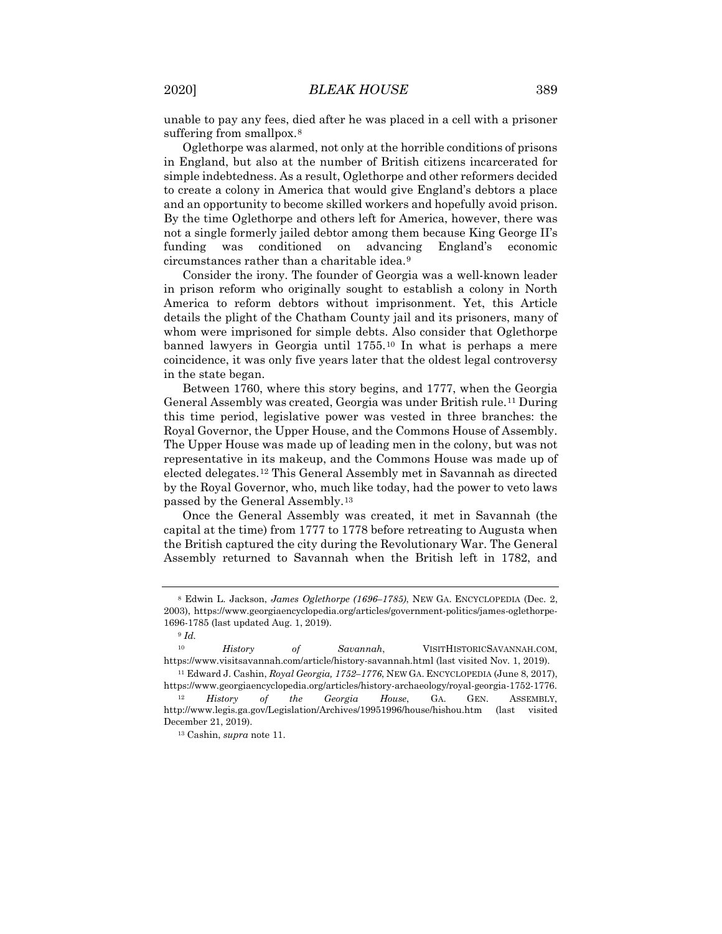unable to pay any fees, died after he was placed in a cell with a prisoner suffering from smallpox.<sup>[8](#page-3-0)</sup>

Oglethorpe was alarmed, not only at the horrible conditions of prisons in England, but also at the number of British citizens incarcerated for simple indebtedness. As a result, Oglethorpe and other reformers decided to create a colony in America that would give England's debtors a place and an opportunity to become skilled workers and hopefully avoid prison. By the time Oglethorpe and others left for America, however, there was not a single formerly jailed debtor among them because King George II's funding was conditioned on advancing England's economic circumstances rather than a charitable idea.[9](#page-3-1)

Consider the irony. The founder of Georgia was a well-known leader in prison reform who originally sought to establish a colony in North America to reform debtors without imprisonment. Yet, this Article details the plight of the Chatham County jail and its prisoners, many of whom were imprisoned for simple debts. Also consider that Oglethorpe banned lawyers in Georgia until 1755.[10](#page-3-2) In what is perhaps a mere coincidence, it was only five years later that the oldest legal controversy in the state began.

Between 1760, where this story begins, and 1777, when the Georgia General Assembly was created, Georgia was under British rule.[11](#page-3-3) During this time period, legislative power was vested in three branches: the Royal Governor, the Upper House, and the Commons House of Assembly. The Upper House was made up of leading men in the colony, but was not representative in its makeup, and the Commons House was made up of elected delegates.[12](#page-3-4) This General Assembly met in Savannah as directed by the Royal Governor, who, much like today, had the power to veto laws passed by the General Assembly.[13](#page-3-5)

Once the General Assembly was created, it met in Savannah (the capital at the time) from 1777 to 1778 before retreating to Augusta when the British captured the city during the Revolutionary War. The General Assembly returned to Savannah when the British left in 1782, and

<span id="page-3-0"></span><sup>8</sup> Edwin L. Jackson, *James Oglethorpe (1696–1785)*, NEW GA. ENCYCLOPEDIA (Dec. 2, 2003), https://www.georgiaencyclopedia.org/articles/government-politics/james-oglethorpe-1696-1785 (last updated Aug. 1, 2019).

<sup>9</sup> *Id.*

<span id="page-3-2"></span><span id="page-3-1"></span><sup>10</sup> *History of Savannah*, VISITHISTORICSAVANNAH.COM, https://www.visitsavannah.com/article/history-savannah.html (last visited Nov. 1, 2019). <sup>11</sup> Edward J. Cashin, *Royal Georgia, 1752–1776*, NEW GA. ENCYCLOPEDIA (June 8, 2017),

<span id="page-3-4"></span><span id="page-3-3"></span>https://www.georgiaencyclopedia.org/articles/history-archaeology/royal-georgia-1752-1776. <sup>12</sup> *History of the Georgia House*, GA. GEN. ASSEMBLY, http://www.legis.ga.gov/Legislation/Archives/19951996/house/hishou.htm (last visited

<span id="page-3-5"></span>December 21, 2019).

<sup>13</sup> Cashin, *supra* note 11.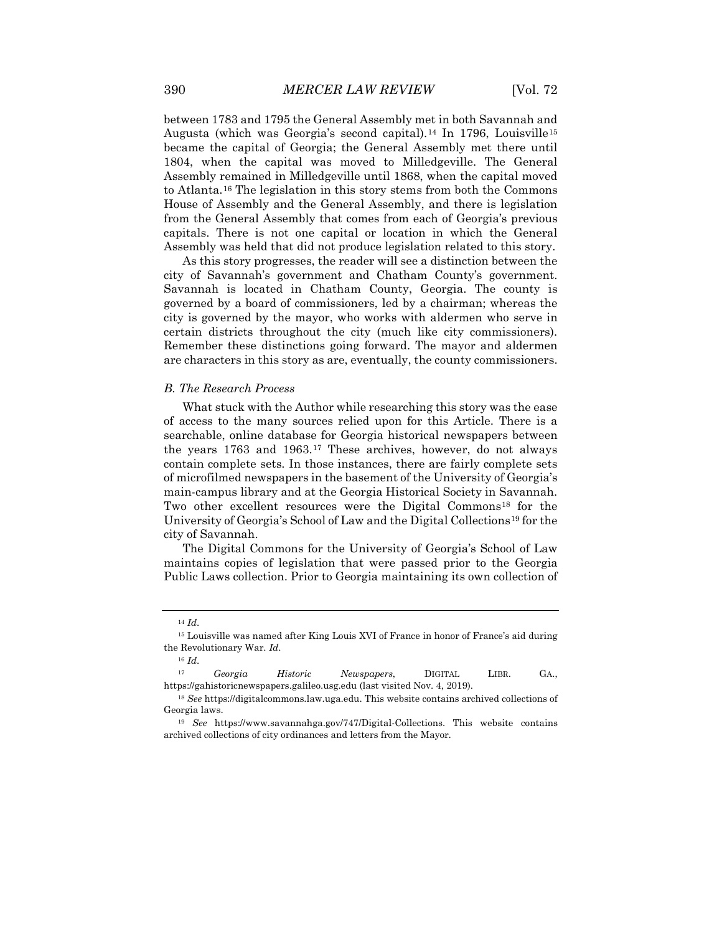between 1783 and 1795 the General Assembly met in both Savannah and Augusta (which was Georgia's second capital).<sup>[14](#page-4-0)</sup> In 1796, Louisville<sup>[15](#page-4-1)</sup> became the capital of Georgia; the General Assembly met there until 1804, when the capital was moved to Milledgeville. The General Assembly remained in Milledgeville until 1868, when the capital moved to Atlanta.[16](#page-4-2) The legislation in this story stems from both the Commons House of Assembly and the General Assembly, and there is legislation from the General Assembly that comes from each of Georgia's previous capitals. There is not one capital or location in which the General Assembly was held that did not produce legislation related to this story.

As this story progresses, the reader will see a distinction between the city of Savannah's government and Chatham County's government. Savannah is located in Chatham County, Georgia. The county is governed by a board of commissioners, led by a chairman; whereas the city is governed by the mayor, who works with aldermen who serve in certain districts throughout the city (much like city commissioners). Remember these distinctions going forward. The mayor and aldermen are characters in this story as are, eventually, the county commissioners.

#### *B. The Research Process*

What stuck with the Author while researching this story was the ease of access to the many sources relied upon for this Article. There is a searchable, online database for Georgia historical newspapers between the years 1763 and 1963.[17](#page-4-3) These archives, however, do not always contain complete sets. In those instances, there are fairly complete sets of microfilmed newspapers in the basement of the University of Georgia's main-campus library and at the Georgia Historical Society in Savannah. Two other excellent resources were the Digital Commons<sup>[18](#page-4-4)</sup> for the University of Georgia's School of Law and the Digital Collections[19](#page-4-5) for the city of Savannah.

The Digital Commons for the University of Georgia's School of Law maintains copies of legislation that were passed prior to the Georgia Public Laws collection. Prior to Georgia maintaining its own collection of

<sup>16</sup> *Id*.

<sup>14</sup> *Id*.

<span id="page-4-1"></span><span id="page-4-0"></span><sup>15</sup> Louisville was named after King Louis XVI of France in honor of France's aid during the Revolutionary War. *Id*.

<span id="page-4-3"></span><span id="page-4-2"></span><sup>17</sup> *Georgia Historic Newspapers*, DIGITAL LIBR. GA., https://gahistoricnewspapers.galileo.usg.edu (last visited Nov. 4, 2019).

<span id="page-4-4"></span><sup>18</sup> *See* https://digitalcommons.law.uga.edu. This website contains archived collections of Georgia laws.

<span id="page-4-5"></span><sup>19</sup> *See* https://www.savannahga.gov/747/Digital-Collections. This website contains archived collections of city ordinances and letters from the Mayor.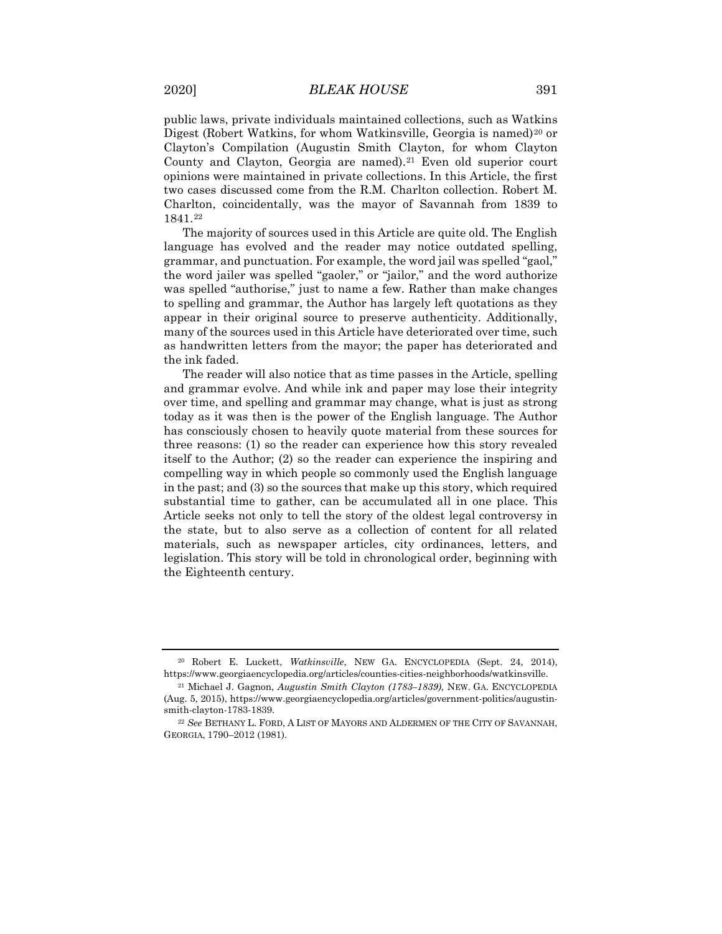public laws, private individuals maintained collections, such as Watkins Digest (Robert Watkins, for whom Watkinsville, Georgia is named)<sup>[20](#page-5-0)</sup> or Clayton's Compilation (Augustin Smith Clayton, for whom Clayton County and Clayton, Georgia are named).<sup>[21](#page-5-1)</sup> Even old superior court opinions were maintained in private collections. In this Article, the first two cases discussed come from the R.M. Charlton collection. Robert M. Charlton, coincidentally, was the mayor of Savannah from 1839 to 1841.[22](#page-5-2)

The majority of sources used in this Article are quite old. The English language has evolved and the reader may notice outdated spelling, grammar, and punctuation. For example, the word jail was spelled "gaol," the word jailer was spelled "gaoler," or "jailor," and the word authorize was spelled "authorise," just to name a few. Rather than make changes to spelling and grammar, the Author has largely left quotations as they appear in their original source to preserve authenticity. Additionally, many of the sources used in this Article have deteriorated over time, such as handwritten letters from the mayor; the paper has deteriorated and the ink faded.

The reader will also notice that as time passes in the Article, spelling and grammar evolve. And while ink and paper may lose their integrity over time, and spelling and grammar may change, what is just as strong today as it was then is the power of the English language. The Author has consciously chosen to heavily quote material from these sources for three reasons: (1) so the reader can experience how this story revealed itself to the Author; (2) so the reader can experience the inspiring and compelling way in which people so commonly used the English language in the past; and (3) so the sources that make up this story, which required substantial time to gather, can be accumulated all in one place. This Article seeks not only to tell the story of the oldest legal controversy in the state, but to also serve as a collection of content for all related materials, such as newspaper articles, city ordinances, letters, and legislation. This story will be told in chronological order, beginning with the Eighteenth century.

<span id="page-5-0"></span><sup>20</sup> Robert E. Luckett, *Watkinsville*, NEW GA. ENCYCLOPEDIA (Sept. 24, 2014), https://www.georgiaencyclopedia.org/articles/counties-cities-neighborhoods/watkinsville.

<span id="page-5-1"></span><sup>21</sup> Michael J. Gagnon, *Augustin Smith Clayton (1783–1839)*, NEW. GA. ENCYCLOPEDIA (Aug. 5, 2015), https://www.georgiaencyclopedia.org/articles/government-politics/augustinsmith-clayton-1783-1839.

<span id="page-5-2"></span><sup>22</sup> *See* BETHANY L. FORD, A LIST OF MAYORS AND ALDERMEN OF THE CITY OF SAVANNAH, GEORGIA, 1790–2012 (1981).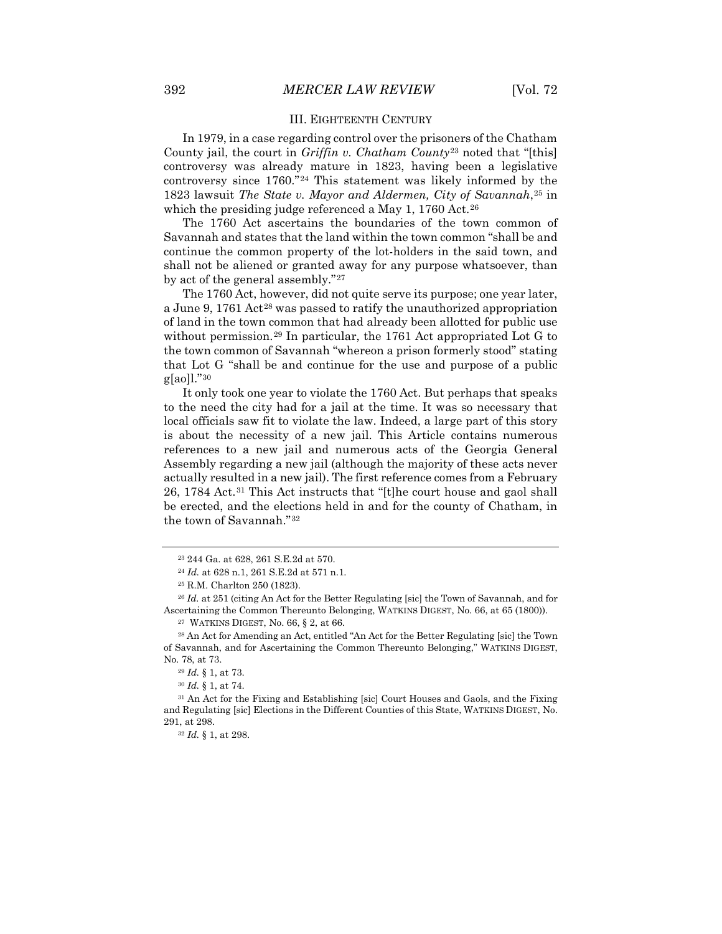#### III. EIGHTEENTH CENTURY

In 1979, in a case regarding control over the prisoners of the Chatham County jail, the court in *Griffin v. Chatham County*[23](#page-6-0) noted that "[this] controversy was already mature in 1823, having been a legislative controversy since 1760."[24](#page-6-1) This statement was likely informed by the 1823 lawsuit *The State v. Mayor and Aldermen, City of Savannah*,[25](#page-6-2) in which the presiding judge referenced a May 1, 1760 Act.<sup>[26](#page-6-3)</sup>

The 1760 Act ascertains the boundaries of the town common of Savannah and states that the land within the town common "shall be and continue the common property of the lot-holders in the said town, and shall not be aliened or granted away for any purpose whatsoever, than by act of the general assembly."[27](#page-6-4)

The 1760 Act, however, did not quite serve its purpose; one year later, a June 9, 1761 Act[28](#page-6-5) was passed to ratify the unauthorized appropriation of land in the town common that had already been allotted for public use without permission.[29](#page-6-6) In particular, the 1761 Act appropriated Lot G to the town common of Savannah "whereon a prison formerly stood" stating that Lot G "shall be and continue for the use and purpose of a public g[ao]l."[30](#page-6-7)

It only took one year to violate the 1760 Act. But perhaps that speaks to the need the city had for a jail at the time. It was so necessary that local officials saw fit to violate the law. Indeed, a large part of this story is about the necessity of a new jail. This Article contains numerous references to a new jail and numerous acts of the Georgia General Assembly regarding a new jail (although the majority of these acts never actually resulted in a new jail). The first reference comes from a February 26, 1784 Act.[31](#page-6-8) This Act instructs that "[t]he court house and gaol shall be erected, and the elections held in and for the county of Chatham, in the town of Savannah."[32](#page-6-9)

<sup>23</sup> 244 Ga. at 628, 261 S.E.2d at 570.

<sup>24</sup> *Id.* at 628 n.1, 261 S.E.2d at 571 n.1.

<sup>25</sup> R.M. Charlton 250 (1823).

<span id="page-6-3"></span><span id="page-6-2"></span><span id="page-6-1"></span><span id="page-6-0"></span><sup>26</sup> *Id.* at 251 (citing An Act for the Better Regulating [sic] the Town of Savannah, and for Ascertaining the Common Thereunto Belonging, WATKINS DIGEST, No. 66, at 65 (1800)).

<sup>27</sup> WATKINS DIGEST, No. 66, § 2, at 66.

<span id="page-6-5"></span><span id="page-6-4"></span><sup>28</sup> An Act for Amending an Act, entitled "An Act for the Better Regulating [sic] the Town of Savannah, and for Ascertaining the Common Thereunto Belonging," WATKINS DIGEST, No. 78, at 73.

<sup>29</sup> *Id.* § 1, at 73.

<sup>30</sup> *Id.* § 1, at 74.

<span id="page-6-9"></span><span id="page-6-8"></span><span id="page-6-7"></span><span id="page-6-6"></span><sup>31</sup> An Act for the Fixing and Establishing [sic] Court Houses and Gaols, and the Fixing and Regulating [sic] Elections in the Different Counties of this State, WATKINS DIGEST, No. 291, at 298.

<sup>32</sup> *Id.* § 1, at 298.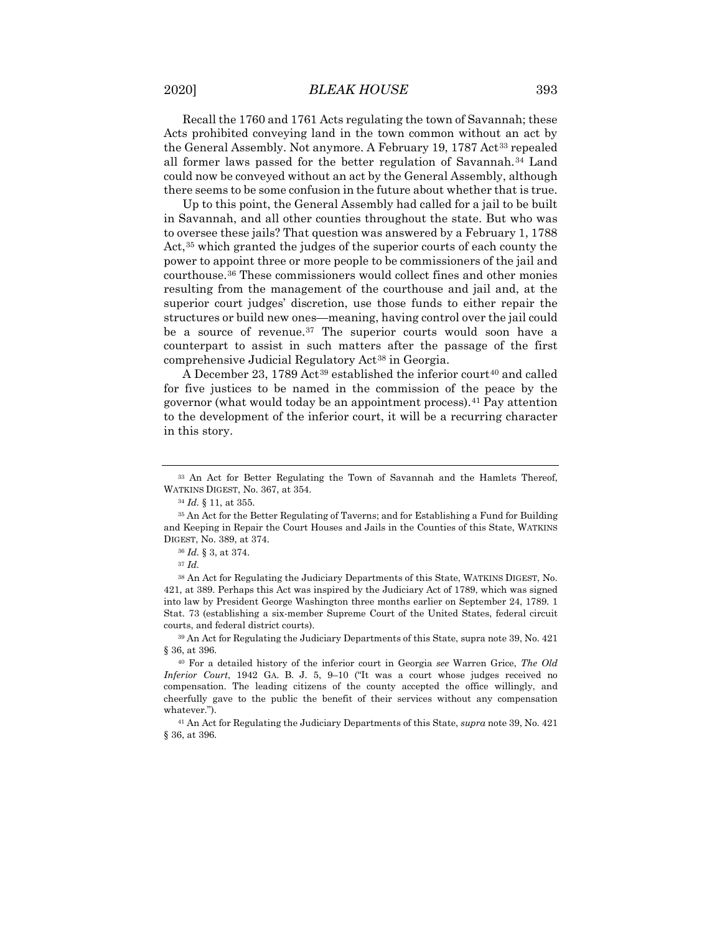Recall the 1760 and 1761 Acts regulating the town of Savannah; these Acts prohibited conveying land in the town common without an act by the General Assembly. Not anymore. A February 19, 1787 Act<sup>[33](#page-7-0)</sup> repealed all former laws passed for the better regulation of Savannah.[34](#page-7-1) Land could now be conveyed without an act by the General Assembly, although there seems to be some confusion in the future about whether that is true.

Up to this point, the General Assembly had called for a jail to be built in Savannah, and all other counties throughout the state. But who was to oversee these jails? That question was answered by a February 1, 1788 Act,<sup>[35](#page-7-2)</sup> which granted the judges of the superior courts of each county the power to appoint three or more people to be commissioners of the jail and courthouse.[36](#page-7-3) These commissioners would collect fines and other monies resulting from the management of the courthouse and jail and, at the superior court judges' discretion, use those funds to either repair the structures or build new ones—meaning, having control over the jail could be a source of revenue.<sup>[37](#page-7-4)</sup> The superior courts would soon have a counterpart to assist in such matters after the passage of the first comprehensive Judicial Regulatory Act[38](#page-7-5) in Georgia.

A December 23, 1789 Act<sup>[39](#page-7-6)</sup> established the inferior court<sup>[40](#page-7-7)</sup> and called for five justices to be named in the commission of the peace by the governor (what would today be an appointment process).[41](#page-7-8) Pay attention to the development of the inferior court, it will be a recurring character in this story.

<span id="page-7-0"></span><sup>33</sup> An Act for Better Regulating the Town of Savannah and the Hamlets Thereof, WATKINS DIGEST, No. 367, at 354.

<sup>34</sup> *Id.* § 11, at 355.

<span id="page-7-2"></span><span id="page-7-1"></span><sup>35</sup> An Act for the Better Regulating of Taverns; and for Establishing a Fund for Building and Keeping in Repair the Court Houses and Jails in the Counties of this State, WATKINS DIGEST, No. 389, at 374.

<sup>36</sup> *Id.* § 3, at 374.

<sup>37</sup> *Id.*

<span id="page-7-5"></span><span id="page-7-4"></span><span id="page-7-3"></span><sup>38</sup> An Act for Regulating the Judiciary Departments of this State, WATKINS DIGEST, No. 421, at 389. Perhaps this Act was inspired by the Judiciary Act of 1789, which was signed into law by President George Washington three months earlier on September 24, 1789. 1 Stat. 73 (establishing a six-member Supreme Court of the United States, federal circuit courts, and federal district courts).

<span id="page-7-6"></span><sup>39</sup> An Act for Regulating the Judiciary Departments of this State, supra note 39, No. 421 § 36, at 396.

<span id="page-7-7"></span><sup>40</sup> For a detailed history of the inferior court in Georgia *see* Warren Grice, *The Old Inferior Court*, 1942 GA. B. J. 5, 9–10 ("It was a court whose judges received no compensation. The leading citizens of the county accepted the office willingly, and cheerfully gave to the public the benefit of their services without any compensation whatever.").

<span id="page-7-8"></span><sup>41</sup> An Act for Regulating the Judiciary Departments of this State, *supra* note 39, No. 421 § 36, at 396.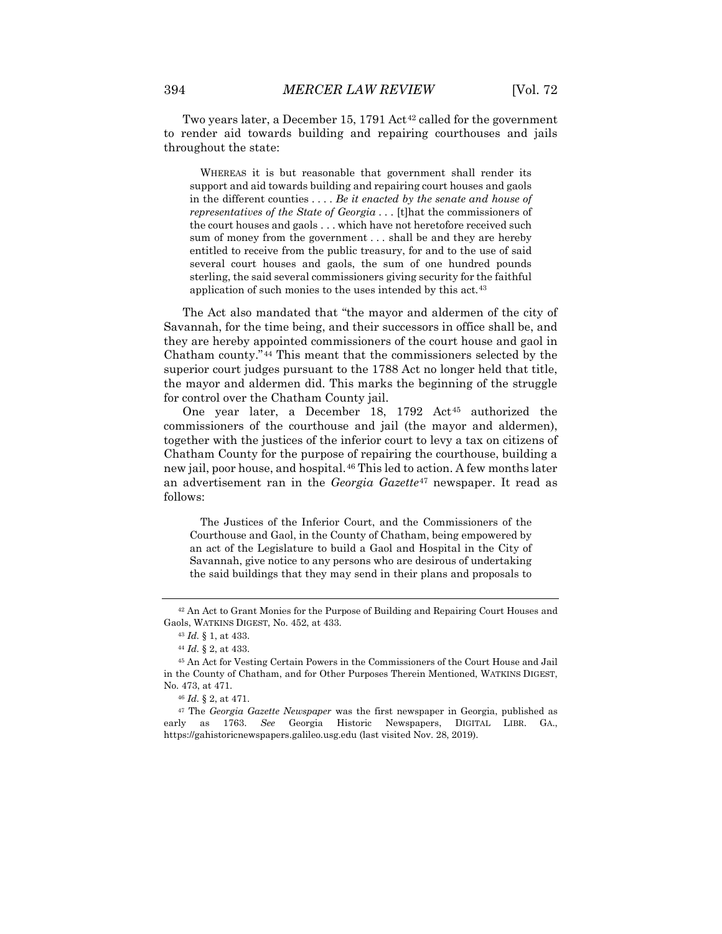Two years later, a December 15, 1791 Act<sup>[42](#page-8-0)</sup> called for the government to render aid towards building and repairing courthouses and jails throughout the state:

WHEREAS it is but reasonable that government shall render its support and aid towards building and repairing court houses and gaols in the different counties . . . . *Be it enacted by the senate and house of representatives of the State of Georgia* . . . [t]hat the commissioners of the court houses and gaols . . . which have not heretofore received such sum of money from the government . . . shall be and they are hereby entitled to receive from the public treasury, for and to the use of said several court houses and gaols, the sum of one hundred pounds sterling, the said several commissioners giving security for the faithful application of such monies to the uses intended by this act.<sup>[43](#page-8-1)</sup>

The Act also mandated that "the mayor and aldermen of the city of Savannah, for the time being, and their successors in office shall be, and they are hereby appointed commissioners of the court house and gaol in Chatham county."[44](#page-8-2) This meant that the commissioners selected by the superior court judges pursuant to the 1788 Act no longer held that title, the mayor and aldermen did. This marks the beginning of the struggle for control over the Chatham County jail.

One year later, a December 18, 1792 Act<sup>[45](#page-8-3)</sup> authorized the commissioners of the courthouse and jail (the mayor and aldermen), together with the justices of the inferior court to levy a tax on citizens of Chatham County for the purpose of repairing the courthouse, building a new jail, poor house, and hospital.<sup>[46](#page-8-4)</sup> This led to action. A few months later an advertisement ran in the *Georgia Gazette*[47](#page-8-5) newspaper. It read as follows:

The Justices of the Inferior Court, and the Commissioners of the Courthouse and Gaol, in the County of Chatham, being empowered by an act of the Legislature to build a Gaol and Hospital in the City of Savannah, give notice to any persons who are desirous of undertaking the said buildings that they may send in their plans and proposals to

<span id="page-8-1"></span><span id="page-8-0"></span><sup>42</sup> An Act to Grant Monies for the Purpose of Building and Repairing Court Houses and Gaols, WATKINS DIGEST, No. 452, at 433.

<sup>43</sup> *Id.* § 1, at 433.

<sup>44</sup> *Id.* § 2, at 433.

<span id="page-8-3"></span><span id="page-8-2"></span><sup>45</sup> An Act for Vesting Certain Powers in the Commissioners of the Court House and Jail in the County of Chatham, and for Other Purposes Therein Mentioned, WATKINS DIGEST, No. 473, at 471.

<sup>46</sup> *Id.* § 2, at 471.

<span id="page-8-5"></span><span id="page-8-4"></span><sup>47</sup> The *Georgia Gazette Newspaper* was the first newspaper in Georgia, published as early as 1763. *See* Georgia Historic Newspapers, DIGITAL LIBR. GA., https://gahistoricnewspapers.galileo.usg.edu (last visited Nov. 28, 2019).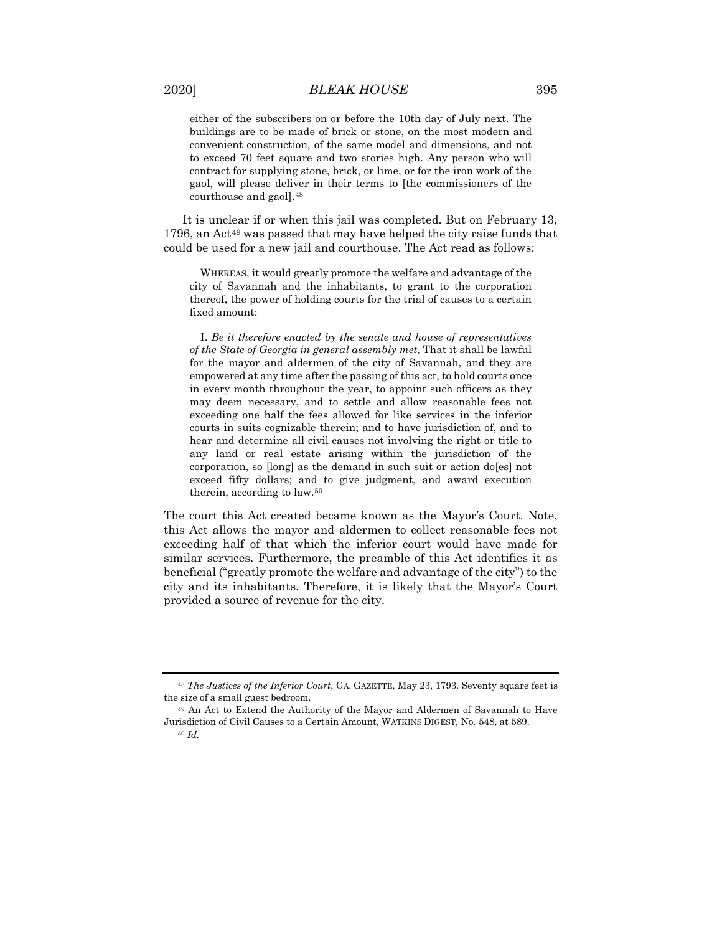either of the subscribers on or before the 10th day of July next. The buildings are to be made of brick or stone, on the most modern and convenient construction, of the same model and dimensions, and not to exceed 70 feet square and two stories high. Any person who will contract for supplying stone, brick, or lime, or for the iron work of the gaol, will please deliver in their terms to [the commissioners of the courthouse and gaol][.48](#page-9-0)

It is unclear if or when this jail was completed. But on February 13, 1796, an Act<sup>[49](#page-9-1)</sup> was passed that may have helped the city raise funds that could be used for a new jail and courthouse. The Act read as follows:

WHEREAS, it would greatly promote the welfare and advantage of the city of Savannah and the inhabitants, to grant to the corporation thereof, the power of holding courts for the trial of causes to a certain fixed amount:

I. *Be it therefore enacted by the senate and house of representatives of the State of Georgia in general assembly met*, That it shall be lawful for the mayor and aldermen of the city of Savannah, and they are empowered at any time after the passing of this act, to hold courts once in every month throughout the year, to appoint such officers as they may deem necessary, and to settle and allow reasonable fees not exceeding one half the fees allowed for like services in the inferior courts in suits cognizable therein; and to have jurisdiction of, and to hear and determine all civil causes not involving the right or title to any land or real estate arising within the jurisdiction of the corporation, so [long] as the demand in such suit or action do[es] not exceed fifty dollars; and to give judgment, and award execution therein, according to law.[50](#page-9-2)

The court this Act created became known as the Mayor's Court. Note, this Act allows the mayor and aldermen to collect reasonable fees not exceeding half of that which the inferior court would have made for similar services. Furthermore, the preamble of this Act identifies it as beneficial ("greatly promote the welfare and advantage of the city") to the city and its inhabitants. Therefore, it is likely that the Mayor's Court provided a source of revenue for the city.

<span id="page-9-0"></span><sup>48</sup> *The Justices of the Inferior Court*, GA. GAZETTE, May 23, 1793. Seventy square feet is the size of a small guest bedroom.

<span id="page-9-2"></span><span id="page-9-1"></span><sup>49</sup> An Act to Extend the Authority of the Mayor and Aldermen of Savannah to Have Jurisdiction of Civil Causes to a Certain Amount, WATKINS DIGEST, No. 548, at 589.

<sup>50</sup> *Id.*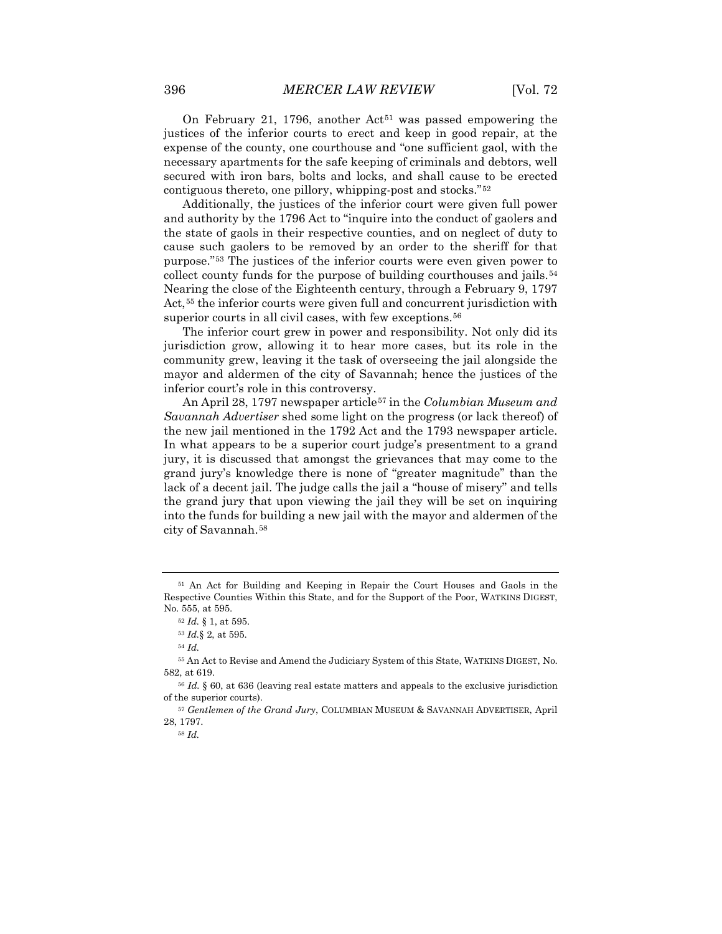On February 21, 1796, another  $Act<sup>51</sup>$  $Act<sup>51</sup>$  $Act<sup>51</sup>$  was passed empowering the justices of the inferior courts to erect and keep in good repair, at the expense of the county, one courthouse and "one sufficient gaol, with the necessary apartments for the safe keeping of criminals and debtors, well secured with iron bars, bolts and locks, and shall cause to be erected contiguous thereto, one pillory, whipping-post and stocks."[52](#page-10-1)

Additionally, the justices of the inferior court were given full power and authority by the 1796 Act to "inquire into the conduct of gaolers and the state of gaols in their respective counties, and on neglect of duty to cause such gaolers to be removed by an order to the sheriff for that purpose."[53](#page-10-2) The justices of the inferior courts were even given power to collect county funds for the purpose of building courthouses and jails.<sup>[54](#page-10-3)</sup> Nearing the close of the Eighteenth century, through a February 9, 1797 Act,<sup>[55](#page-10-4)</sup> the inferior courts were given full and concurrent jurisdiction with superior courts in all civil cases, with few exceptions.<sup>[56](#page-10-5)</sup>

The inferior court grew in power and responsibility. Not only did its jurisdiction grow, allowing it to hear more cases, but its role in the community grew, leaving it the task of overseeing the jail alongside the mayor and aldermen of the city of Savannah; hence the justices of the inferior court's role in this controversy.

An April 28, 1797 newspaper article[57](#page-10-6) in the *Columbian Museum and Savannah Advertiser* shed some light on the progress (or lack thereof) of the new jail mentioned in the 1792 Act and the 1793 newspaper article. In what appears to be a superior court judge's presentment to a grand jury, it is discussed that amongst the grievances that may come to the grand jury's knowledge there is none of "greater magnitude" than the lack of a decent jail. The judge calls the jail a "house of misery" and tells the grand jury that upon viewing the jail they will be set on inquiring into the funds for building a new jail with the mayor and aldermen of the city of Savannah.[58](#page-10-7)

<span id="page-10-1"></span><span id="page-10-0"></span><sup>51</sup> An Act for Building and Keeping in Repair the Court Houses and Gaols in the Respective Counties Within this State, and for the Support of the Poor, WATKINS DIGEST, No. 555, at 595.

<sup>52</sup> *Id.* § 1, at 595.

<sup>53</sup> *Id.*§ 2, at 595.

<sup>54</sup> *Id.*

<span id="page-10-4"></span><span id="page-10-3"></span><span id="page-10-2"></span><sup>55</sup> An Act to Revise and Amend the Judiciary System of this State, WATKINS DIGEST, No. 582, at 619.

<span id="page-10-5"></span><sup>56</sup> *Id.* § 60, at 636 (leaving real estate matters and appeals to the exclusive jurisdiction of the superior courts).

<span id="page-10-7"></span><span id="page-10-6"></span><sup>57</sup> *Gentlemen of the Grand Jury*, COLUMBIAN MUSEUM & SAVANNAH ADVERTISER, April 28, 1797.

<sup>58</sup> *Id.*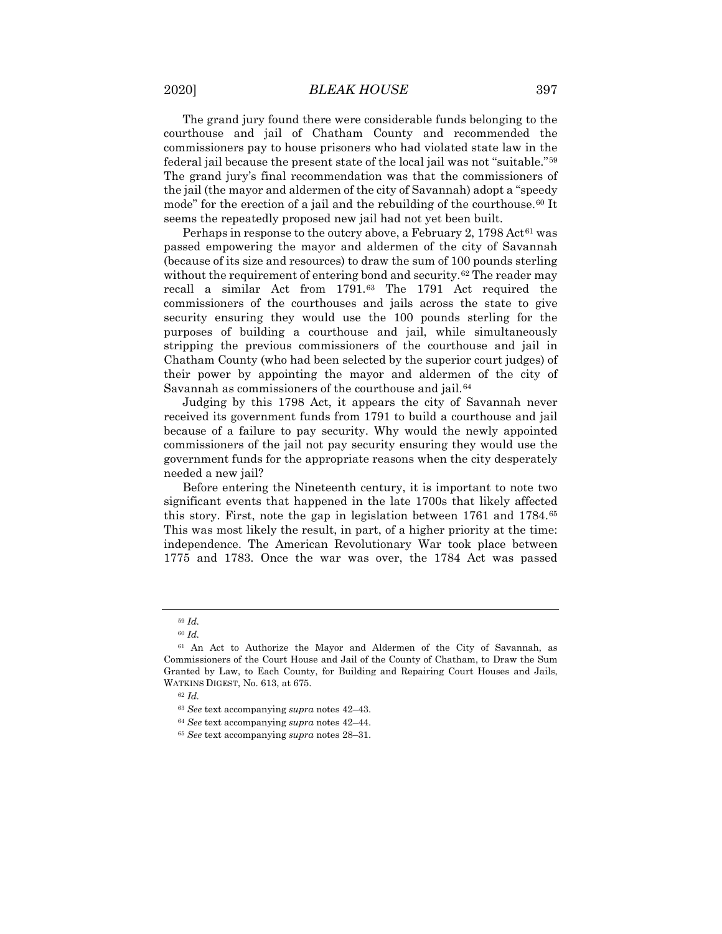The grand jury found there were considerable funds belonging to the courthouse and jail of Chatham County and recommended the commissioners pay to house prisoners who had violated state law in the federal jail because the present state of the local jail was not "suitable."[59](#page-11-0) The grand jury's final recommendation was that the commissioners of the jail (the mayor and aldermen of the city of Savannah) adopt a "speedy mode" for the erection of a jail and the rebuilding of the courthouse.<sup>[60](#page-11-1)</sup> It seems the repeatedly proposed new jail had not yet been built.

Perhaps in response to the outcry above, a February 2,  $1798 \,\text{Act}^{61}$  $1798 \,\text{Act}^{61}$  $1798 \,\text{Act}^{61}$  was passed empowering the mayor and aldermen of the city of Savannah (because of its size and resources) to draw the sum of 100 pounds sterling without the requirement of entering bond and security.<sup>[62](#page-11-3)</sup> The reader may recall a similar Act from 1791.[63](#page-11-4) The 1791 Act required the commissioners of the courthouses and jails across the state to give security ensuring they would use the 100 pounds sterling for the purposes of building a courthouse and jail, while simultaneously stripping the previous commissioners of the courthouse and jail in Chatham County (who had been selected by the superior court judges) of their power by appointing the mayor and aldermen of the city of Savannah as commissioners of the courthouse and jail.<sup>[64](#page-11-5)</sup>

Judging by this 1798 Act, it appears the city of Savannah never received its government funds from 1791 to build a courthouse and jail because of a failure to pay security. Why would the newly appointed commissioners of the jail not pay security ensuring they would use the government funds for the appropriate reasons when the city desperately needed a new jail?

Before entering the Nineteenth century, it is important to note two significant events that happened in the late 1700s that likely affected this story. First, note the gap in legislation between 1761 and 1784.[65](#page-11-6) This was most likely the result, in part, of a higher priority at the time: independence. The American Revolutionary War took place between 1775 and 1783. Once the war was over, the 1784 Act was passed

<sup>59</sup> *Id.*

<sup>60</sup> *Id.*

<span id="page-11-4"></span><span id="page-11-3"></span><span id="page-11-2"></span><span id="page-11-1"></span><span id="page-11-0"></span><sup>61</sup> An Act to Authorize the Mayor and Aldermen of the City of Savannah, as Commissioners of the Court House and Jail of the County of Chatham, to Draw the Sum Granted by Law, to Each County, for Building and Repairing Court Houses and Jails, WATKINS DIGEST, No. 613, at 675.

<sup>62</sup> *Id.*

<sup>63</sup> *See* text accompanying *supra* notes 42–43.

<span id="page-11-5"></span><sup>64</sup> *See* text accompanying *supra* notes 42–44.

<span id="page-11-6"></span><sup>65</sup> *See* text accompanying *supra* notes 28–31.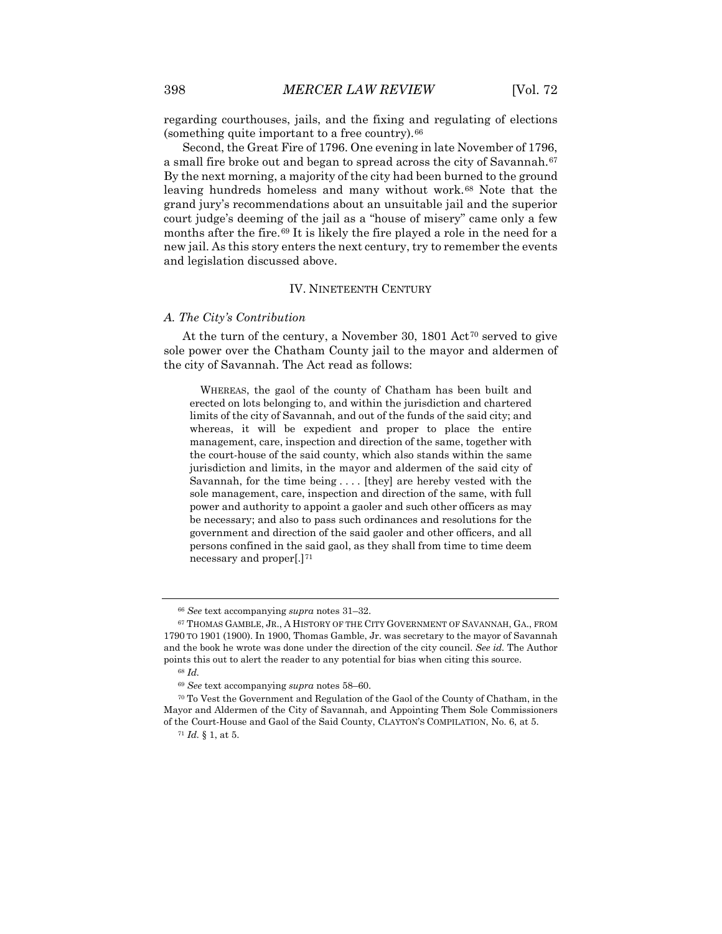regarding courthouses, jails, and the fixing and regulating of elections (something quite important to a free country).[66](#page-12-0)

Second, the Great Fire of 1796. One evening in late November of 1796, a small fire broke out and began to spread across the city of Savannah.<sup>[67](#page-12-1)</sup> By the next morning, a majority of the city had been burned to the ground leaving hundreds homeless and many without work.<sup>[68](#page-12-2)</sup> Note that the grand jury's recommendations about an unsuitable jail and the superior court judge's deeming of the jail as a "house of misery" came only a few months after the fire.<sup>[69](#page-12-3)</sup> It is likely the fire played a role in the need for a new jail. As this story enters the next century, try to remember the events and legislation discussed above.

#### IV. NINETEENTH CENTURY

### *A. The City's Contribution*

At the turn of the century, a November 30,  $1801$  Act<sup>[70](#page-12-4)</sup> served to give sole power over the Chatham County jail to the mayor and aldermen of the city of Savannah. The Act read as follows:

WHEREAS, the gaol of the county of Chatham has been built and erected on lots belonging to, and within the jurisdiction and chartered limits of the city of Savannah, and out of the funds of the said city; and whereas, it will be expedient and proper to place the entire management, care, inspection and direction of the same, together with the court-house of the said county, which also stands within the same jurisdiction and limits, in the mayor and aldermen of the said city of Savannah, for the time being . . . . [they] are hereby vested with the sole management, care, inspection and direction of the same, with full power and authority to appoint a gaoler and such other officers as may be necessary; and also to pass such ordinances and resolutions for the government and direction of the said gaoler and other officers, and all persons confined in the said gaol, as they shall from time to time deem necessary and proper[.][71](#page-12-5)

<sup>66</sup> *See* text accompanying *supra* notes 31–32.

<span id="page-12-1"></span><span id="page-12-0"></span><sup>67</sup> THOMAS GAMBLE, JR., A HISTORY OF THE CITY GOVERNMENT OF SAVANNAH, GA., FROM 1790 TO 1901 (1900). In 1900, Thomas Gamble, Jr. was secretary to the mayor of Savannah and the book he wrote was done under the direction of the city council. *See id.* The Author points this out to alert the reader to any potential for bias when citing this source.

<sup>68</sup> *Id.*

<sup>69</sup> *See* text accompanying *supra* notes 58–60.

<span id="page-12-5"></span><span id="page-12-4"></span><span id="page-12-3"></span><span id="page-12-2"></span><sup>70</sup> To Vest the Government and Regulation of the Gaol of the County of Chatham, in the Mayor and Aldermen of the City of Savannah, and Appointing Them Sole Commissioners of the Court-House and Gaol of the Said County, CLAYTON'S COMPILATION, No. 6, at 5.

<sup>71</sup> *Id.* § 1, at 5.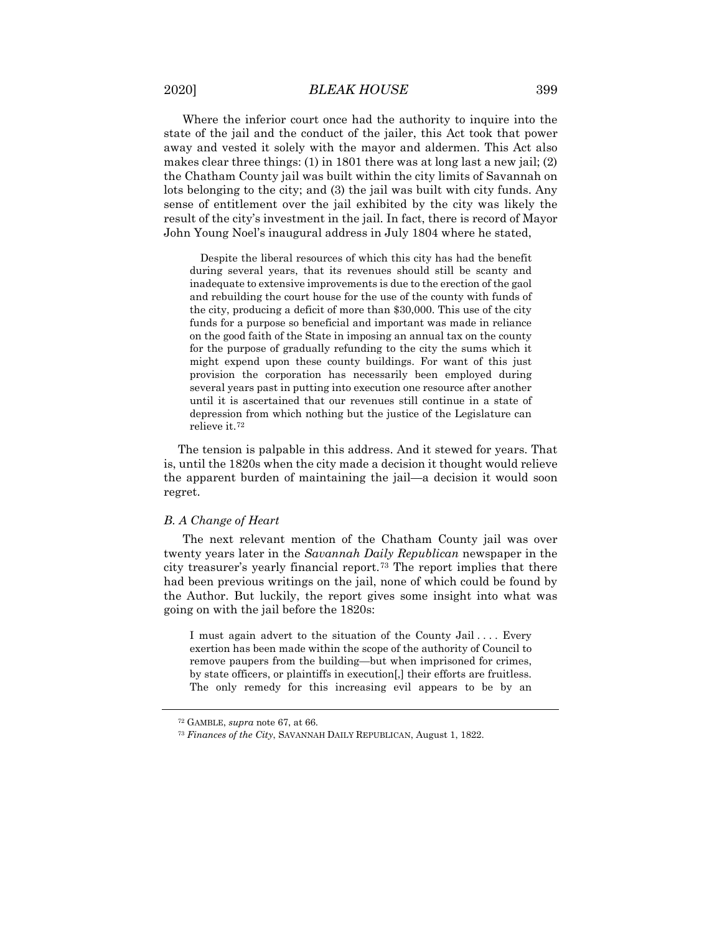Where the inferior court once had the authority to inquire into the state of the jail and the conduct of the jailer, this Act took that power away and vested it solely with the mayor and aldermen. This Act also makes clear three things: (1) in 1801 there was at long last a new jail; (2) the Chatham County jail was built within the city limits of Savannah on lots belonging to the city; and (3) the jail was built with city funds. Any sense of entitlement over the jail exhibited by the city was likely the result of the city's investment in the jail. In fact, there is record of Mayor John Young Noel's inaugural address in July 1804 where he stated,

Despite the liberal resources of which this city has had the benefit during several years, that its revenues should still be scanty and inadequate to extensive improvements is due to the erection of the gaol and rebuilding the court house for the use of the county with funds of the city, producing a deficit of more than \$30,000. This use of the city funds for a purpose so beneficial and important was made in reliance on the good faith of the State in imposing an annual tax on the county for the purpose of gradually refunding to the city the sums which it might expend upon these county buildings. For want of this just provision the corporation has necessarily been employed during several years past in putting into execution one resource after another until it is ascertained that our revenues still continue in a state of depression from which nothing but the justice of the Legislature can relieve it.[72](#page-13-0)

The tension is palpable in this address. And it stewed for years. That is, until the 1820s when the city made a decision it thought would relieve the apparent burden of maintaining the jail—a decision it would soon regret.

#### *B. A Change of Heart*

The next relevant mention of the Chatham County jail was over twenty years later in the *Savannah Daily Republican* newspaper in the city treasurer's yearly financial report.[73](#page-13-1) The report implies that there had been previous writings on the jail, none of which could be found by the Author. But luckily, the report gives some insight into what was going on with the jail before the 1820s:

I must again advert to the situation of the County Jail .... Every exertion has been made within the scope of the authority of Council to remove paupers from the building—but when imprisoned for crimes, by state officers, or plaintiffs in execution[,] their efforts are fruitless. The only remedy for this increasing evil appears to be by an

<sup>72</sup> GAMBLE, *supra* note 67, at 66.

<span id="page-13-1"></span><span id="page-13-0"></span><sup>73</sup> *Finances of the City*, SAVANNAH DAILY REPUBLICAN, August 1, 1822.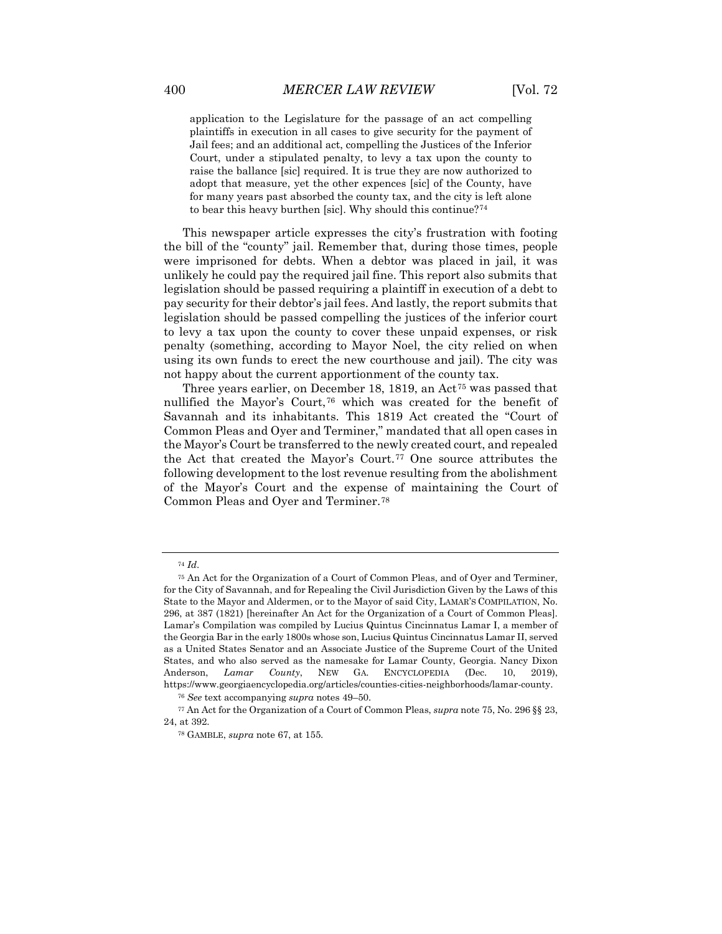application to the Legislature for the passage of an act compelling plaintiffs in execution in all cases to give security for the payment of Jail fees; and an additional act, compelling the Justices of the Inferior Court, under a stipulated penalty, to levy a tax upon the county to raise the ballance [sic] required. It is true they are now authorized to adopt that measure, yet the other expences [sic] of the County, have for many years past absorbed the county tax, and the city is left alone to bear this heavy burthen [sic]. Why should this continue?[74](#page-14-0)

This newspaper article expresses the city's frustration with footing the bill of the "county" jail. Remember that, during those times, people were imprisoned for debts. When a debtor was placed in jail, it was unlikely he could pay the required jail fine. This report also submits that legislation should be passed requiring a plaintiff in execution of a debt to pay security for their debtor's jail fees. And lastly, the report submits that legislation should be passed compelling the justices of the inferior court to levy a tax upon the county to cover these unpaid expenses, or risk penalty (something, according to Mayor Noel, the city relied on when using its own funds to erect the new courthouse and jail). The city was not happy about the current apportionment of the county tax.

Three years earlier, on December 18, 1819, an Act<sup>[75](#page-14-1)</sup> was passed that nullified the Mayor's Court,[76](#page-14-2) which was created for the benefit of Savannah and its inhabitants. This 1819 Act created the "Court of Common Pleas and Oyer and Terminer," mandated that all open cases in the Mayor's Court be transferred to the newly created court, and repealed the Act that created the Mayor's Court.[77](#page-14-3) One source attributes the following development to the lost revenue resulting from the abolishment of the Mayor's Court and the expense of maintaining the Court of Common Pleas and Oyer and Terminer.[78](#page-14-4)

<sup>74</sup> *Id*.

<span id="page-14-1"></span><span id="page-14-0"></span><sup>75</sup> An Act for the Organization of a Court of Common Pleas, and of Oyer and Terminer, for the City of Savannah, and for Repealing the Civil Jurisdiction Given by the Laws of this State to the Mayor and Aldermen, or to the Mayor of said City, LAMAR'S COMPILATION, No. 296, at 387 (1821) [hereinafter An Act for the Organization of a Court of Common Pleas]. Lamar's Compilation was compiled by Lucius Quintus Cincinnatus Lamar I, a member of the Georgia Bar in the early 1800s whose son, Lucius Quintus Cincinnatus Lamar II, served as a United States Senator and an Associate Justice of the Supreme Court of the United States, and who also served as the namesake for Lamar County, Georgia. Nancy Dixon Anderson, *Lamar County*, NEW GA. ENCYCLOPEDIA (Dec. 10, 2019), https://www.georgiaencyclopedia.org/articles/counties-cities-neighborhoods/lamar-county.

<sup>76</sup> *See* text accompanying *supra* notes 49–50.

<span id="page-14-4"></span><span id="page-14-3"></span><span id="page-14-2"></span><sup>77</sup> An Act for the Organization of a Court of Common Pleas, *supra* note 75, No. 296 §§ 23, 24, at 392.

<sup>78</sup> GAMBLE, *supra* note 67, at 155.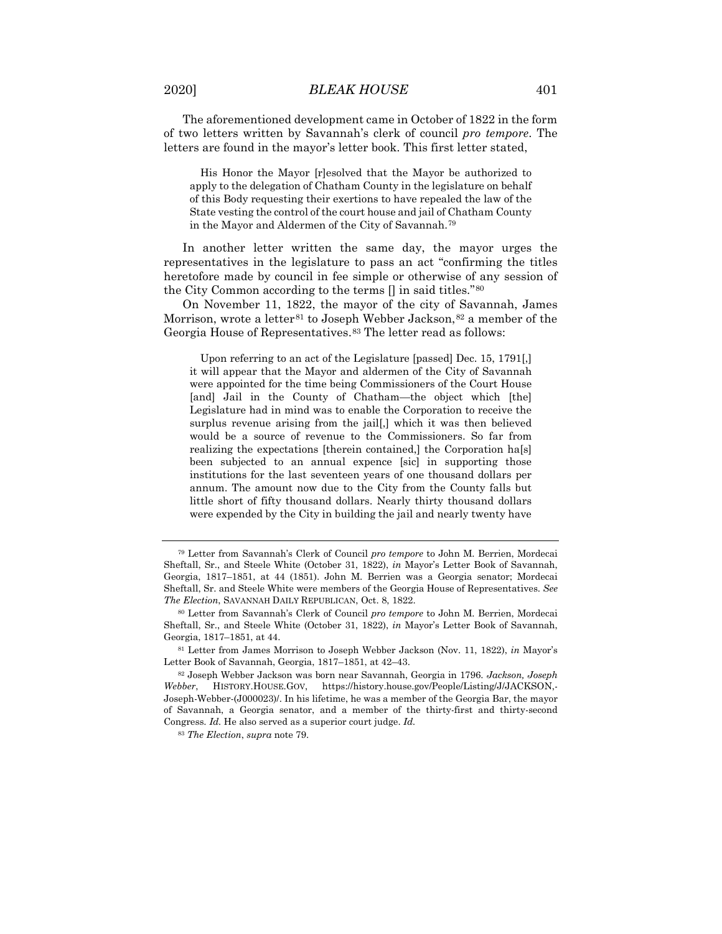The aforementioned development came in October of 1822 in the form of two letters written by Savannah's clerk of council *pro tempore*. The letters are found in the mayor's letter book. This first letter stated,

His Honor the Mayor [r]esolved that the Mayor be authorized to apply to the delegation of Chatham County in the legislature on behalf of this Body requesting their exertions to have repealed the law of the State vesting the control of the court house and jail of Chatham County in the Mayor and Aldermen of the City of Savannah.[79](#page-15-0)

In another letter written the same day, the mayor urges the representatives in the legislature to pass an act "confirming the titles heretofore made by council in fee simple or otherwise of any session of the City Common according to the terms [] in said titles."[80](#page-15-1)

On November 11, 1822, the mayor of the city of Savannah, James Morrison, wrote a letter<sup>[81](#page-15-2)</sup> to Joseph Webber Jackson, <sup>[82](#page-15-3)</sup> a member of the Georgia House of Representatives.<sup>[83](#page-15-4)</sup> The letter read as follows:

Upon referring to an act of the Legislature [passed] Dec. 15, 1791[,] it will appear that the Mayor and aldermen of the City of Savannah were appointed for the time being Commissioners of the Court House [and] Jail in the County of Chatham—the object which [the] Legislature had in mind was to enable the Corporation to receive the surplus revenue arising from the jail[,] which it was then believed would be a source of revenue to the Commissioners. So far from realizing the expectations [therein contained,] the Corporation ha[s] been subjected to an annual expence [sic] in supporting those institutions for the last seventeen years of one thousand dollars per annum. The amount now due to the City from the County falls but little short of fifty thousand dollars. Nearly thirty thousand dollars were expended by the City in building the jail and nearly twenty have

<span id="page-15-0"></span><sup>79</sup> Letter from Savannah's Clerk of Council *pro tempore* to John M. Berrien, Mordecai Sheftall, Sr., and Steele White (October 31, 1822), *in* Mayor's Letter Book of Savannah, Georgia, 1817–1851, at 44 (1851). John M. Berrien was a Georgia senator; Mordecai Sheftall, Sr. and Steele White were members of the Georgia House of Representatives. *See The Election*, SAVANNAH DAILY REPUBLICAN, Oct. 8, 1822.

<span id="page-15-1"></span><sup>80</sup> Letter from Savannah's Clerk of Council *pro tempore* to John M. Berrien, Mordecai Sheftall, Sr., and Steele White (October 31, 1822), *in* Mayor's Letter Book of Savannah, Georgia, 1817–1851, at 44.

<span id="page-15-2"></span><sup>81</sup> Letter from James Morrison to Joseph Webber Jackson (Nov. 11, 1822), *in* Mayor's Letter Book of Savannah, Georgia, 1817–1851, at 42–43.

<span id="page-15-4"></span><span id="page-15-3"></span><sup>82</sup> Joseph Webber Jackson was born near Savannah, Georgia in 1796. *Jackson, Joseph Webber*, HISTORY.HOUSE.GOV, https://history.house.gov/People/Listing/J/JACKSON,- Joseph-Webber-(J000023)/. In his lifetime, he was a member of the Georgia Bar, the mayor of Savannah, a Georgia senator, and a member of the thirty-first and thirty-second Congress. *Id.* He also served as a superior court judge. *Id.*

<sup>83</sup> *The Election*, *supra* note 79.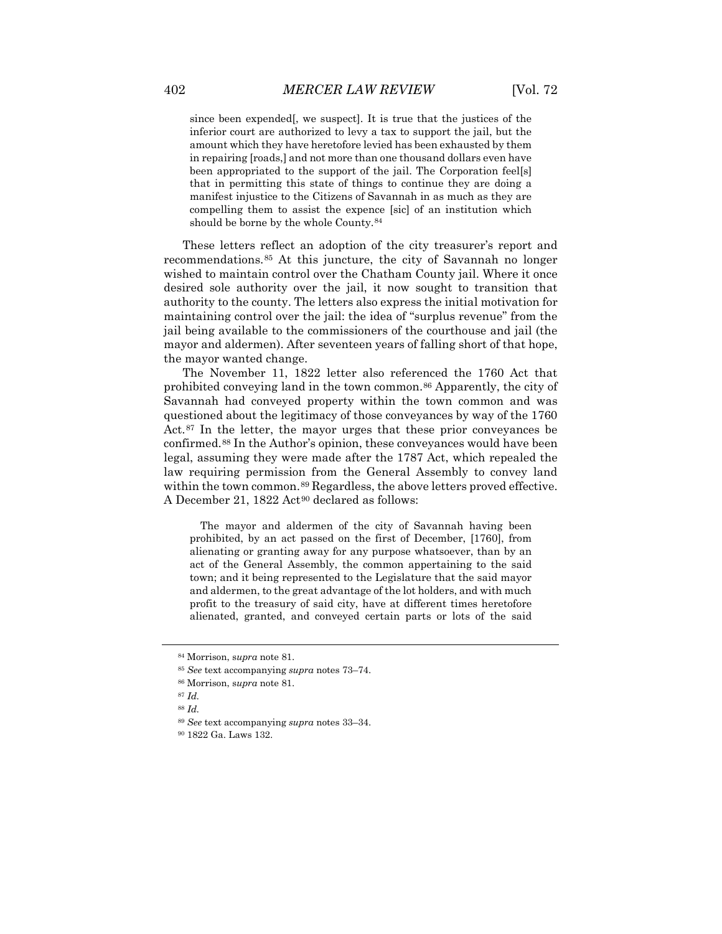since been expended[, we suspect]. It is true that the justices of the inferior court are authorized to levy a tax to support the jail, but the amount which they have heretofore levied has been exhausted by them in repairing [roads,] and not more than one thousand dollars even have been appropriated to the support of the jail. The Corporation feel[s] that in permitting this state of things to continue they are doing a manifest injustice to the Citizens of Savannah in as much as they are compelling them to assist the expence [sic] of an institution which should be borne by the whole County.[84](#page-16-0)

These letters reflect an adoption of the city treasurer's report and recommendations.[85](#page-16-1) At this juncture, the city of Savannah no longer wished to maintain control over the Chatham County jail. Where it once desired sole authority over the jail, it now sought to transition that authority to the county. The letters also express the initial motivation for maintaining control over the jail: the idea of "surplus revenue" from the jail being available to the commissioners of the courthouse and jail (the mayor and aldermen). After seventeen years of falling short of that hope, the mayor wanted change.

The November 11, 1822 letter also referenced the 1760 Act that prohibited conveying land in the town common.[86](#page-16-2) Apparently, the city of Savannah had conveyed property within the town common and was questioned about the legitimacy of those conveyances by way of the 1760 Act.[87](#page-16-3) In the letter, the mayor urges that these prior conveyances be confirmed.[88](#page-16-4) In the Author's opinion, these conveyances would have been legal, assuming they were made after the 1787 Act, which repealed the law requiring permission from the General Assembly to convey land within the town common.<sup>[89](#page-16-5)</sup> Regardless, the above letters proved effective. A December 21, 1822 Act<sup>[90](#page-16-6)</sup> declared as follows:

The mayor and aldermen of the city of Savannah having been prohibited, by an act passed on the first of December, [1760], from alienating or granting away for any purpose whatsoever, than by an act of the General Assembly, the common appertaining to the said town; and it being represented to the Legislature that the said mayor and aldermen, to the great advantage of the lot holders, and with much profit to the treasury of said city, have at different times heretofore alienated, granted, and conveyed certain parts or lots of the said

<span id="page-16-0"></span><sup>84</sup> Morrison, s*upra* note 81.

<span id="page-16-1"></span><sup>85</sup> *See* text accompanying *supra* notes 73–74.

<span id="page-16-2"></span><sup>86</sup> Morrison, s*upra* note 81.

<span id="page-16-4"></span><span id="page-16-3"></span><sup>87</sup> *Id.*

<sup>88</sup> *Id.*

<sup>89</sup> *See* text accompanying *supra* notes 33–34.

<span id="page-16-6"></span><span id="page-16-5"></span><sup>90</sup> 1822 Ga. Laws 132.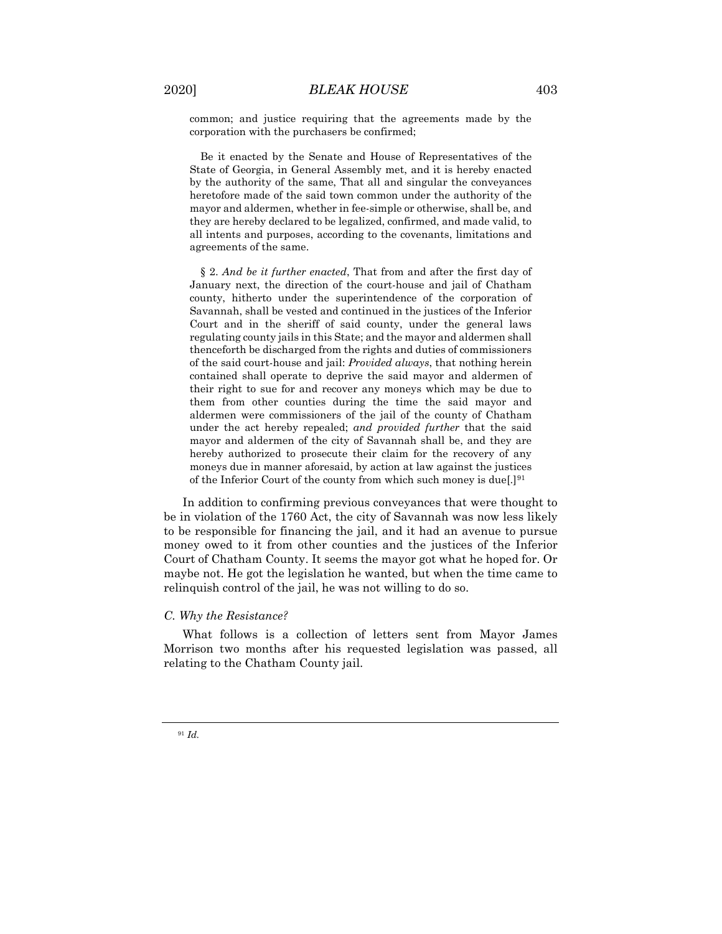common; and justice requiring that the agreements made by the corporation with the purchasers be confirmed;

Be it enacted by the Senate and House of Representatives of the State of Georgia, in General Assembly met, and it is hereby enacted by the authority of the same, That all and singular the conveyances heretofore made of the said town common under the authority of the mayor and aldermen, whether in fee-simple or otherwise, shall be, and they are hereby declared to be legalized, confirmed, and made valid, to all intents and purposes, according to the covenants, limitations and agreements of the same.

§ 2. *And be it further enacted*, That from and after the first day of January next, the direction of the court-house and jail of Chatham county, hitherto under the superintendence of the corporation of Savannah, shall be vested and continued in the justices of the Inferior Court and in the sheriff of said county, under the general laws regulating county jails in this State; and the mayor and aldermen shall thenceforth be discharged from the rights and duties of commissioners of the said court-house and jail: *Provided always*, that nothing herein contained shall operate to deprive the said mayor and aldermen of their right to sue for and recover any moneys which may be due to them from other counties during the time the said mayor and aldermen were commissioners of the jail of the county of Chatham under the act hereby repealed; *and provided further* that the said mayor and aldermen of the city of Savannah shall be, and they are hereby authorized to prosecute their claim for the recovery of any moneys due in manner aforesaid, by action at law against the justices of the Inferior Court of the county from which such money is due[.][91](#page-17-0)

In addition to confirming previous conveyances that were thought to be in violation of the 1760 Act, the city of Savannah was now less likely to be responsible for financing the jail, and it had an avenue to pursue money owed to it from other counties and the justices of the Inferior Court of Chatham County. It seems the mayor got what he hoped for. Or maybe not. He got the legislation he wanted, but when the time came to relinquish control of the jail, he was not willing to do so.

#### *C. Why the Resistance?*

What follows is a collection of letters sent from Mayor James Morrison two months after his requested legislation was passed, all relating to the Chatham County jail.

<span id="page-17-0"></span><sup>91</sup> *Id.*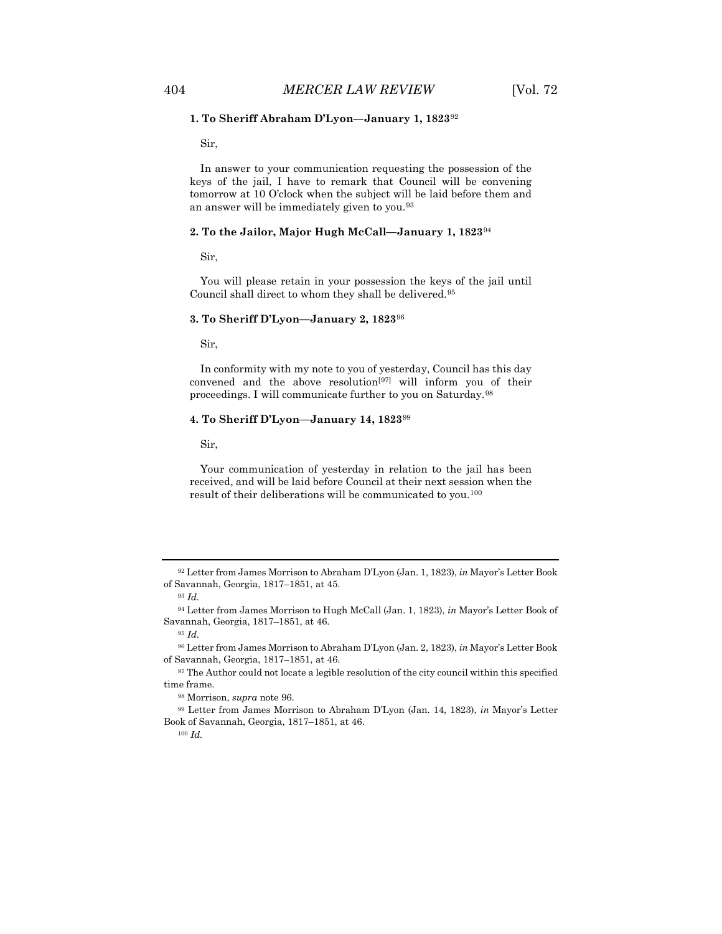#### **1. To Sheriff Abraham D'Lyon—January 1, 1823**[92](#page-18-0)

Sir,

In answer to your communication requesting the possession of the keys of the jail, I have to remark that Council will be convening tomorrow at 10 O'clock when the subject will be laid before them and an answer will be immediately given to you[.93](#page-18-1)

#### **2. To the Jailor, Major Hugh McCall—January 1, 1823**[94](#page-18-2)

Sir,

You will please retain in your possession the keys of the jail until Council shall direct to whom they shall be delivered.[95](#page-18-3)

#### **3. To Sheriff D'Lyon—January 2, 1823**[96](#page-18-4)

Sir,

In conformity with my note to you of yesterday, Council has this day convened and the above resolution[[97\]](#page-18-5) will inform you of their proceedings. I will communicate further to you on Saturday.[98](#page-18-6)

#### **4. To Sheriff D'Lyon—January 14, 1823**[99](#page-18-7)

Sir,

Your communication of yesterday in relation to the jail has been received, and will be laid before Council at their next session when the result of their deliberations will be communicated to you.[100](#page-18-8)

<sup>100</sup> *Id.*

<span id="page-18-0"></span><sup>92</sup> Letter from James Morrison to Abraham D'Lyon (Jan. 1, 1823), *in* Mayor's Letter Book of Savannah, Georgia, 1817–1851, at 45.

<sup>93</sup> *Id.*

<span id="page-18-2"></span><span id="page-18-1"></span><sup>94</sup> Letter from James Morrison to Hugh McCall (Jan. 1, 1823), *in* Mayor's Letter Book of Savannah, Georgia, 1817–1851, at 46.

<sup>95</sup> *Id.*

<span id="page-18-4"></span><span id="page-18-3"></span><sup>96</sup> Letter from James Morrison to Abraham D'Lyon (Jan. 2, 1823), *in* Mayor's Letter Book of Savannah, Georgia, 1817–1851, at 46.

<span id="page-18-5"></span><sup>&</sup>lt;sup>97</sup> The Author could not locate a legible resolution of the city council within this specified time frame.

<sup>98</sup> Morrison, *supra* note 96.

<span id="page-18-8"></span><span id="page-18-7"></span><span id="page-18-6"></span><sup>99</sup> Letter from James Morrison to Abraham D'Lyon (Jan. 14, 1823), *in* Mayor's Letter Book of Savannah, Georgia, 1817–1851, at 46.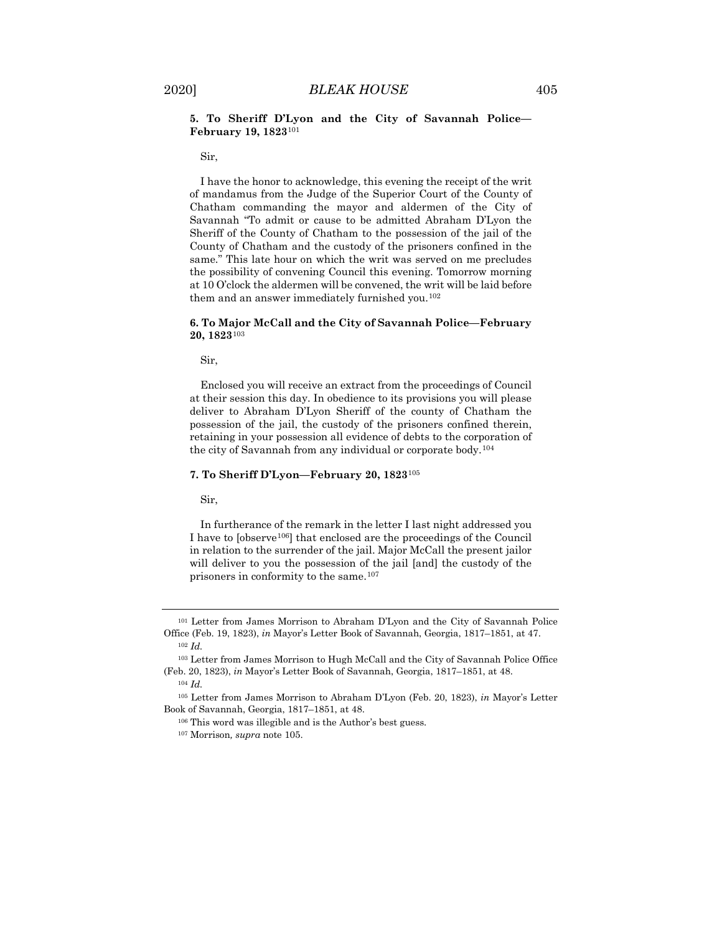#### **5. To Sheriff D'Lyon and the City of Savannah Police— February 19, 1823**[101](#page-19-0)

Sir,

I have the honor to acknowledge, this evening the receipt of the writ of mandamus from the Judge of the Superior Court of the County of Chatham commanding the mayor and aldermen of the City of Savannah "To admit or cause to be admitted Abraham D'Lyon the Sheriff of the County of Chatham to the possession of the jail of the County of Chatham and the custody of the prisoners confined in the same." This late hour on which the writ was served on me precludes the possibility of convening Council this evening. Tomorrow morning at 10 O'clock the aldermen will be convened, the writ will be laid before them and an answer immediately furnished you.<sup>[102](#page-19-1)</sup>

#### **6. To Major McCall and the City of Savannah Police—February 20, 1823**[103](#page-19-2)

Sir,

Enclosed you will receive an extract from the proceedings of Council at their session this day. In obedience to its provisions you will please deliver to Abraham D'Lyon Sheriff of the county of Chatham the possession of the jail, the custody of the prisoners confined therein, retaining in your possession all evidence of debts to the corporation of the city of Savannah from any individual or corporate body.[104](#page-19-3)

#### **7. To Sheriff D'Lyon—February 20, 1823**[105](#page-19-4)

Sir,

In furtherance of the remark in the letter I last night addressed you I have to [observe[106](#page-19-5)] that enclosed are the proceedings of the Council in relation to the surrender of the jail. Major McCall the present jailor will deliver to you the possession of the jail [and] the custody of the prisoners in conformity to the same[.107](#page-19-6)

<span id="page-19-0"></span><sup>101</sup> Letter from James Morrison to Abraham D'Lyon and the City of Savannah Police Office (Feb. 19, 1823), *in* Mayor's Letter Book of Savannah, Georgia, 1817–1851, at 47. <sup>102</sup> *Id.*

<span id="page-19-2"></span><span id="page-19-1"></span><sup>103</sup> Letter from James Morrison to Hugh McCall and the City of Savannah Police Office (Feb. 20, 1823), *in* Mayor's Letter Book of Savannah, Georgia, 1817–1851, at 48. <sup>104</sup> *Id.*

<span id="page-19-6"></span><span id="page-19-5"></span><span id="page-19-4"></span><span id="page-19-3"></span><sup>105</sup> Letter from James Morrison to Abraham D'Lyon (Feb. 20, 1823), *in* Mayor's Letter Book of Savannah, Georgia, 1817–1851, at 48.

<sup>106</sup> This word was illegible and is the Author's best guess.

<sup>107</sup> Morrison*, supra* note 105.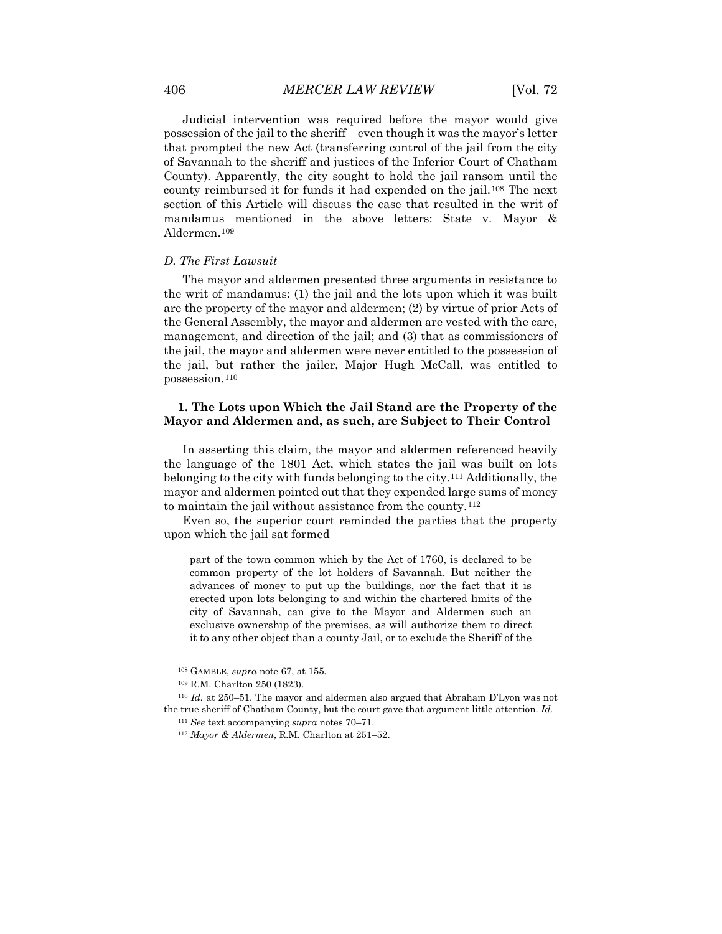Judicial intervention was required before the mayor would give possession of the jail to the sheriff—even though it was the mayor's letter that prompted the new Act (transferring control of the jail from the city of Savannah to the sheriff and justices of the Inferior Court of Chatham County). Apparently, the city sought to hold the jail ransom until the county reimbursed it for funds it had expended on the jail.[108](#page-20-0) The next section of this Article will discuss the case that resulted in the writ of mandamus mentioned in the above letters: State v. Mayor & Aldermen.[109](#page-20-1)

# *D. The First Lawsuit*

The mayor and aldermen presented three arguments in resistance to the writ of mandamus: (1) the jail and the lots upon which it was built are the property of the mayor and aldermen; (2) by virtue of prior Acts of the General Assembly, the mayor and aldermen are vested with the care, management, and direction of the jail; and (3) that as commissioners of the jail, the mayor and aldermen were never entitled to the possession of the jail, but rather the jailer, Major Hugh McCall, was entitled to possession.[110](#page-20-2)

# **1. The Lots upon Which the Jail Stand are the Property of the Mayor and Aldermen and, as such, are Subject to Their Control**

In asserting this claim, the mayor and aldermen referenced heavily the language of the 1801 Act, which states the jail was built on lots belonging to the city with funds belonging to the city.[111](#page-20-3) Additionally, the mayor and aldermen pointed out that they expended large sums of money to maintain the jail without assistance from the county.<sup>[112](#page-20-4)</sup>

Even so, the superior court reminded the parties that the property upon which the jail sat formed

part of the town common which by the Act of 1760, is declared to be common property of the lot holders of Savannah. But neither the advances of money to put up the buildings, nor the fact that it is erected upon lots belonging to and within the chartered limits of the city of Savannah, can give to the Mayor and Aldermen such an exclusive ownership of the premises, as will authorize them to direct it to any other object than a county Jail, or to exclude the Sheriff of the

<sup>108</sup> GAMBLE, *supra* note 67, at 155.

<sup>109</sup> R.M. Charlton 250 (1823).

<span id="page-20-4"></span><span id="page-20-3"></span><span id="page-20-2"></span><span id="page-20-1"></span><span id="page-20-0"></span><sup>110</sup> *Id.* at 250–51. The mayor and aldermen also argued that Abraham D'Lyon was not the true sheriff of Chatham County, but the court gave that argument little attention. *Id.*

<sup>111</sup> *See* text accompanying *supra* notes 70–71.

<sup>112</sup> *Mayor & Aldermen*, R.M. Charlton at 251–52.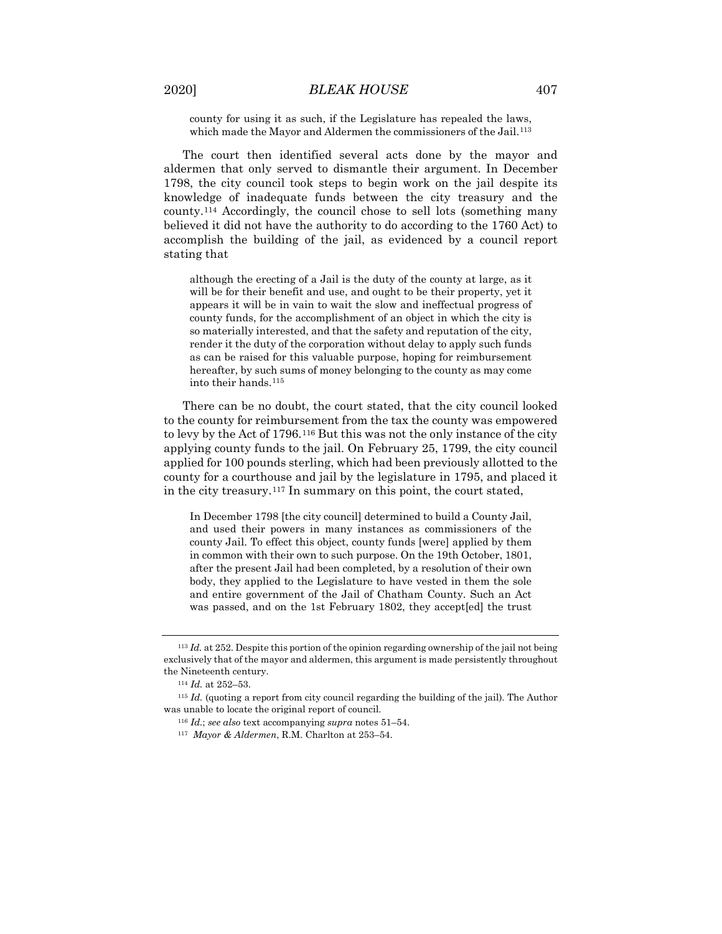county for using it as such, if the Legislature has repealed the laws, which made the Mayor and Aldermen the commissioners of the Jail.<sup>[113](#page-21-0)</sup>

The court then identified several acts done by the mayor and aldermen that only served to dismantle their argument. In December 1798, the city council took steps to begin work on the jail despite its knowledge of inadequate funds between the city treasury and the county.[114](#page-21-1) Accordingly, the council chose to sell lots (something many believed it did not have the authority to do according to the 1760 Act) to accomplish the building of the jail, as evidenced by a council report stating that

although the erecting of a Jail is the duty of the county at large, as it will be for their benefit and use, and ought to be their property, yet it appears it will be in vain to wait the slow and ineffectual progress of county funds, for the accomplishment of an object in which the city is so materially interested, and that the safety and reputation of the city, render it the duty of the corporation without delay to apply such funds as can be raised for this valuable purpose, hoping for reimbursement hereafter, by such sums of money belonging to the county as may come into their hands.[115](#page-21-2)

There can be no doubt, the court stated, that the city council looked to the county for reimbursement from the tax the county was empowered to levy by the Act of 1796.[116](#page-21-3) But this was not the only instance of the city applying county funds to the jail. On February 25, 1799, the city council applied for 100 pounds sterling, which had been previously allotted to the county for a courthouse and jail by the legislature in 1795, and placed it in the city treasury.[117](#page-21-4) In summary on this point, the court stated,

In December 1798 [the city council] determined to build a County Jail, and used their powers in many instances as commissioners of the county Jail. To effect this object, county funds [were] applied by them in common with their own to such purpose. On the 19th October, 1801, after the present Jail had been completed, by a resolution of their own body, they applied to the Legislature to have vested in them the sole and entire government of the Jail of Chatham County. Such an Act was passed, and on the 1st February 1802, they accept[ed] the trust

<span id="page-21-0"></span><sup>113</sup> *Id.* at 252. Despite this portion of the opinion regarding ownership of the jail not being exclusively that of the mayor and aldermen, this argument is made persistently throughout the Nineteenth century.

<sup>114</sup> *Id.* at 252–53.

<span id="page-21-4"></span><span id="page-21-3"></span><span id="page-21-2"></span><span id="page-21-1"></span><sup>115</sup> *Id.* (quoting a report from city council regarding the building of the jail). The Author was unable to locate the original report of council.

<sup>116</sup> *Id.*; *see also* text accompanying *supra* notes 51–54.

<sup>117</sup> *Mayor & Aldermen*, R.M. Charlton at 253–54.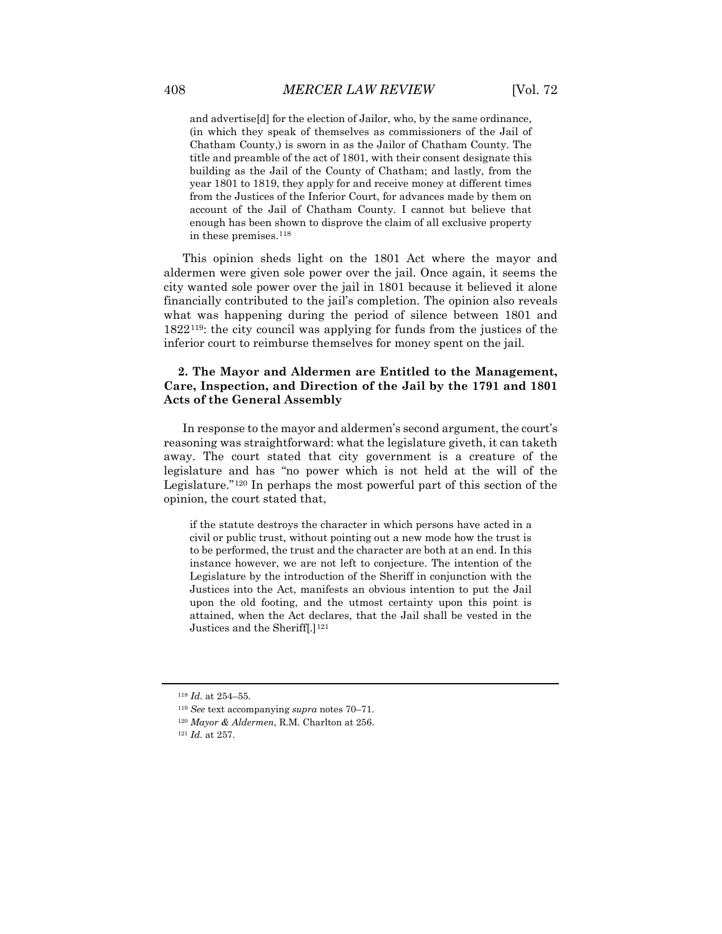and advertise[d] for the election of Jailor, who, by the same ordinance, (in which they speak of themselves as commissioners of the Jail of Chatham County,) is sworn in as the Jailor of Chatham County. The title and preamble of the act of 1801, with their consent designate this building as the Jail of the County of Chatham; and lastly, from the year 1801 to 1819, they apply for and receive money at different times from the Justices of the Inferior Court, for advances made by them on account of the Jail of Chatham County. I cannot but believe that enough has been shown to disprove the claim of all exclusive property in these premises.[118](#page-22-0)

This opinion sheds light on the 1801 Act where the mayor and aldermen were given sole power over the jail. Once again, it seems the city wanted sole power over the jail in 1801 because it believed it alone financially contributed to the jail's completion. The opinion also reveals what was happening during the period of silence between 1801 and 1822[119:](#page-22-1) the city council was applying for funds from the justices of the inferior court to reimburse themselves for money spent on the jail.

# **2. The Mayor and Aldermen are Entitled to the Management, Care, Inspection, and Direction of the Jail by the 1791 and 1801 Acts of the General Assembly**

In response to the mayor and aldermen's second argument, the court's reasoning was straightforward: what the legislature giveth, it can taketh away. The court stated that city government is a creature of the legislature and has "no power which is not held at the will of the Legislature."[120](#page-22-2) In perhaps the most powerful part of this section of the opinion, the court stated that,

if the statute destroys the character in which persons have acted in a civil or public trust, without pointing out a new mode how the trust is to be performed, the trust and the character are both at an end. In this instance however, we are not left to conjecture. The intention of the Legislature by the introduction of the Sheriff in conjunction with the Justices into the Act, manifests an obvious intention to put the Jail upon the old footing, and the utmost certainty upon this point is attained, when the Act declares, that the Jail shall be vested in the Justices and the Sheriff[.]<sup>[121](#page-22-3)</sup>

<span id="page-22-0"></span><sup>118</sup> *Id.* at 254–55.

<span id="page-22-1"></span><sup>119</sup> *See* text accompanying *supra* notes 70–71.

<span id="page-22-2"></span><sup>120</sup> *Mayor & Aldermen*, R.M. Charlton at 256.

<span id="page-22-3"></span><sup>121</sup> *Id.* at 257.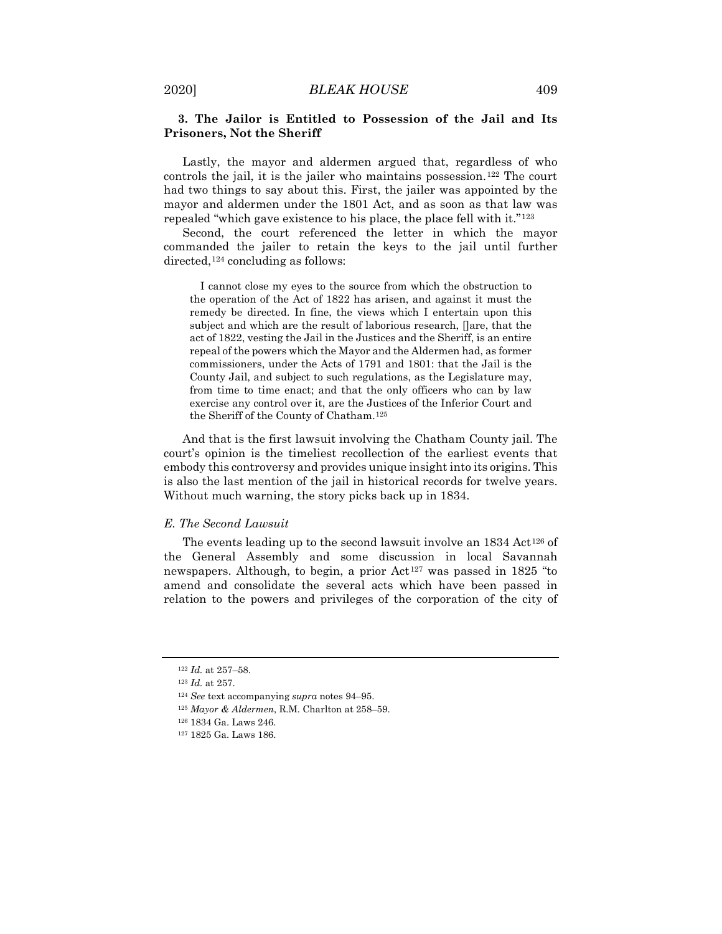# **3. The Jailor is Entitled to Possession of the Jail and Its Prisoners, Not the Sheriff**

Lastly, the mayor and aldermen argued that, regardless of who controls the jail, it is the jailer who maintains possession.<sup>[122](#page-23-0)</sup> The court had two things to say about this. First, the jailer was appointed by the mayor and aldermen under the 1801 Act, and as soon as that law was repealed "which gave existence to his place, the place fell with it."[123](#page-23-1)

Second, the court referenced the letter in which the mayor commanded the jailer to retain the keys to the jail until further directed,<sup>[124](#page-23-2)</sup> concluding as follows:

I cannot close my eyes to the source from which the obstruction to the operation of the Act of 1822 has arisen, and against it must the remedy be directed. In fine, the views which I entertain upon this subject and which are the result of laborious research, []are, that the act of 1822, vesting the Jail in the Justices and the Sheriff, is an entire repeal of the powers which the Mayor and the Aldermen had, as former commissioners, under the Acts of 1791 and 1801: that the Jail is the County Jail, and subject to such regulations, as the Legislature may, from time to time enact; and that the only officers who can by law exercise any control over it, are the Justices of the Inferior Court and the Sheriff of the County of Chatham.[125](#page-23-3)

And that is the first lawsuit involving the Chatham County jail. The court's opinion is the timeliest recollection of the earliest events that embody this controversy and provides unique insight into its origins. This is also the last mention of the jail in historical records for twelve years. Without much warning, the story picks back up in 1834.

#### *E. The Second Lawsuit*

The events leading up to the second lawsuit involve an  $1834 \,\text{Act}^{126}$  $1834 \,\text{Act}^{126}$  $1834 \,\text{Act}^{126}$  of the General Assembly and some discussion in local Savannah newspapers. Although, to begin, a prior Act<sup>[127](#page-23-5)</sup> was passed in 1825 "to amend and consolidate the several acts which have been passed in relation to the powers and privileges of the corporation of the city of

<sup>122</sup> *Id.* at 257–58.

<span id="page-23-2"></span><span id="page-23-1"></span><span id="page-23-0"></span><sup>123</sup> *Id.* at 257.

<sup>124</sup> *See* text accompanying *supra* notes 94–95.

<span id="page-23-3"></span><sup>125</sup> *Mayor & Aldermen*, R.M. Charlton at 258–59.

<sup>126</sup> 1834 Ga. Laws 246.

<span id="page-23-5"></span><span id="page-23-4"></span><sup>127</sup> 1825 Ga. Laws 186.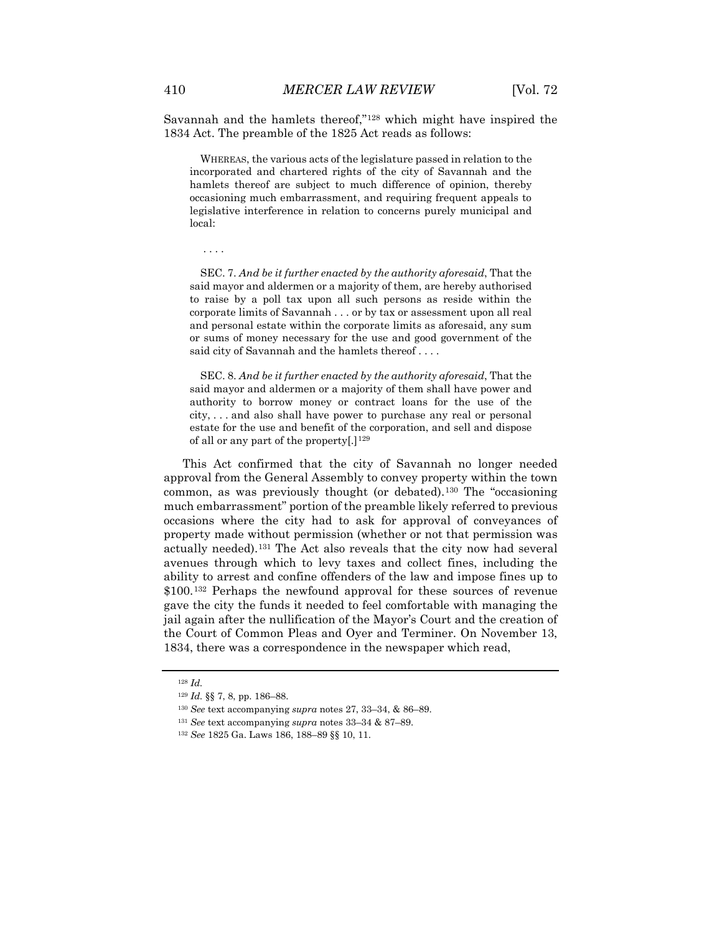Savannah and the hamlets thereof,"[128](#page-24-0) which might have inspired the 1834 Act. The preamble of the 1825 Act reads as follows:

WHEREAS, the various acts of the legislature passed in relation to the incorporated and chartered rights of the city of Savannah and the hamlets thereof are subject to much difference of opinion, thereby occasioning much embarrassment, and requiring frequent appeals to legislative interference in relation to concerns purely municipal and local:

. . . .

SEC. 7. *And be it further enacted by the authority aforesaid*, That the said mayor and aldermen or a majority of them, are hereby authorised to raise by a poll tax upon all such persons as reside within the corporate limits of Savannah . . . or by tax or assessment upon all real and personal estate within the corporate limits as aforesaid, any sum or sums of money necessary for the use and good government of the said city of Savannah and the hamlets thereof . . . .

SEC. 8. *And be it further enacted by the authority aforesaid*, That the said mayor and aldermen or a majority of them shall have power and authority to borrow money or contract loans for the use of the city, . . . and also shall have power to purchase any real or personal estate for the use and benefit of the corporation, and sell and dispose of all or any part of the property[.]<sup>[129](#page-24-1)</sup>

This Act confirmed that the city of Savannah no longer needed approval from the General Assembly to convey property within the town common, as was previously thought (or debated).[130](#page-24-2) The "occasioning much embarrassment" portion of the preamble likely referred to previous occasions where the city had to ask for approval of conveyances of property made without permission (whether or not that permission was actually needed).[131](#page-24-3) The Act also reveals that the city now had several avenues through which to levy taxes and collect fines, including the ability to arrest and confine offenders of the law and impose fines up to \$100.[132](#page-24-4) Perhaps the newfound approval for these sources of revenue gave the city the funds it needed to feel comfortable with managing the jail again after the nullification of the Mayor's Court and the creation of the Court of Common Pleas and Oyer and Terminer. On November 13, 1834, there was a correspondence in the newspaper which read,

<span id="page-24-1"></span><span id="page-24-0"></span><sup>128</sup> *Id.*

<sup>129</sup> *Id.* §§ 7, 8, pp. 186–88.

<sup>130</sup> *See* text accompanying *supra* notes 27, 33–34, & 86–89.

<span id="page-24-4"></span><span id="page-24-3"></span><span id="page-24-2"></span><sup>131</sup> *See* text accompanying *supra* notes 33–34 & 87–89.

<sup>132</sup> *See* 1825 Ga. Laws 186, 188–89 §§ 10, 11.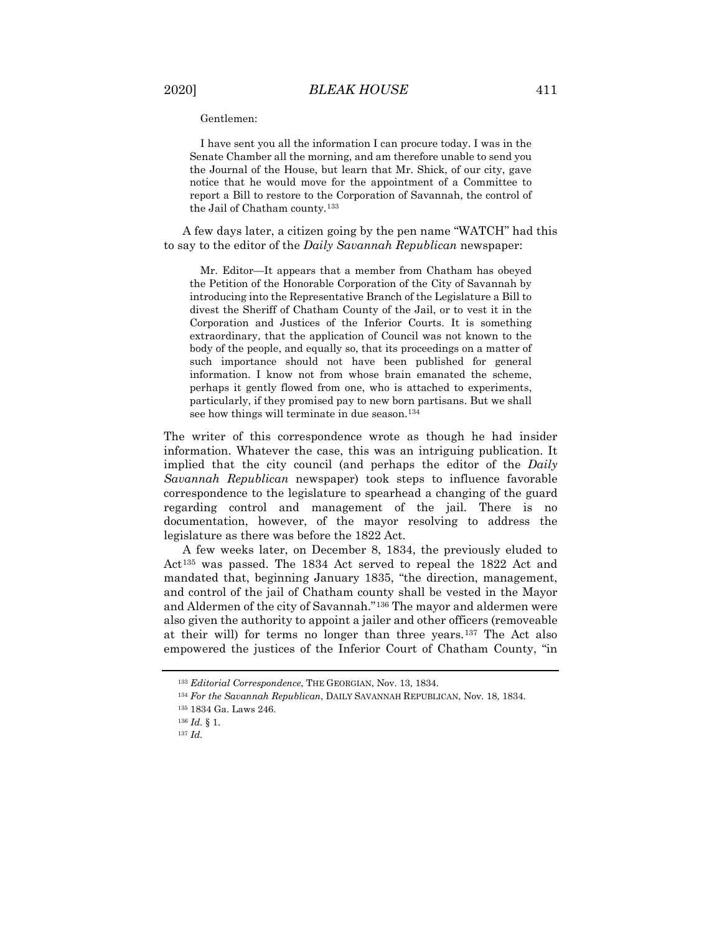Gentlemen:

I have sent you all the information I can procure today. I was in the Senate Chamber all the morning, and am therefore unable to send you the Journal of the House, but learn that Mr. Shick, of our city, gave notice that he would move for the appointment of a Committee to report a Bill to restore to the Corporation of Savannah, the control of the Jail of Chatham county.<sup>133</sup>

A few days later, a citizen going by the pen name "WATCH" had this to say to the editor of the *Daily Savannah Republican* newspaper:

Mr. Editor—It appears that a member from Chatham has obeyed the Petition of the Honorable Corporation of the City of Savannah by introducing into the Representative Branch of the Legislature a Bill to divest the Sheriff of Chatham County of the Jail, or to vest it in the Corporation and Justices of the Inferior Courts. It is something extraordinary, that the application of Council was not known to the body of the people, and equally so, that its proceedings on a matter of such importance should not have been published for general information. I know not from whose brain emanated the scheme, perhaps it gently flowed from one, who is attached to experiments, particularly, if they promised pay to new born partisans. But we shall see how things will terminate in due season.<sup>[134](#page-25-1)</sup>

The writer of this correspondence wrote as though he had insider information. Whatever the case, this was an intriguing publication. It implied that the city council (and perhaps the editor of the *Daily Savannah Republican* newspaper) took steps to influence favorable correspondence to the legislature to spearhead a changing of the guard regarding control and management of the jail. There is no documentation, however, of the mayor resolving to address the legislature as there was before the 1822 Act.

A few weeks later, on December 8, 1834, the previously eluded to Act[135](#page-25-2) was passed. The 1834 Act served to repeal the 1822 Act and mandated that, beginning January 1835, "the direction, management, and control of the jail of Chatham county shall be vested in the Mayor and Aldermen of the city of Savannah."[136](#page-25-3) The mayor and aldermen were also given the authority to appoint a jailer and other officers (removeable at their will) for terms no longer than three years.[137](#page-25-4) The Act also empowered the justices of the Inferior Court of Chatham County, "in

<span id="page-25-1"></span><span id="page-25-0"></span><sup>133</sup> *Editorial Correspondence*, THE GEORGIAN, Nov. 13, 1834.

<sup>134</sup> *For the Savannah Republican*, DAILY SAVANNAH REPUBLICAN, Nov. 18, 1834.

<span id="page-25-2"></span><sup>135</sup> 1834 Ga. Laws 246.

<span id="page-25-3"></span><sup>136</sup> *Id.* § 1.

<span id="page-25-4"></span><sup>137</sup> *Id.*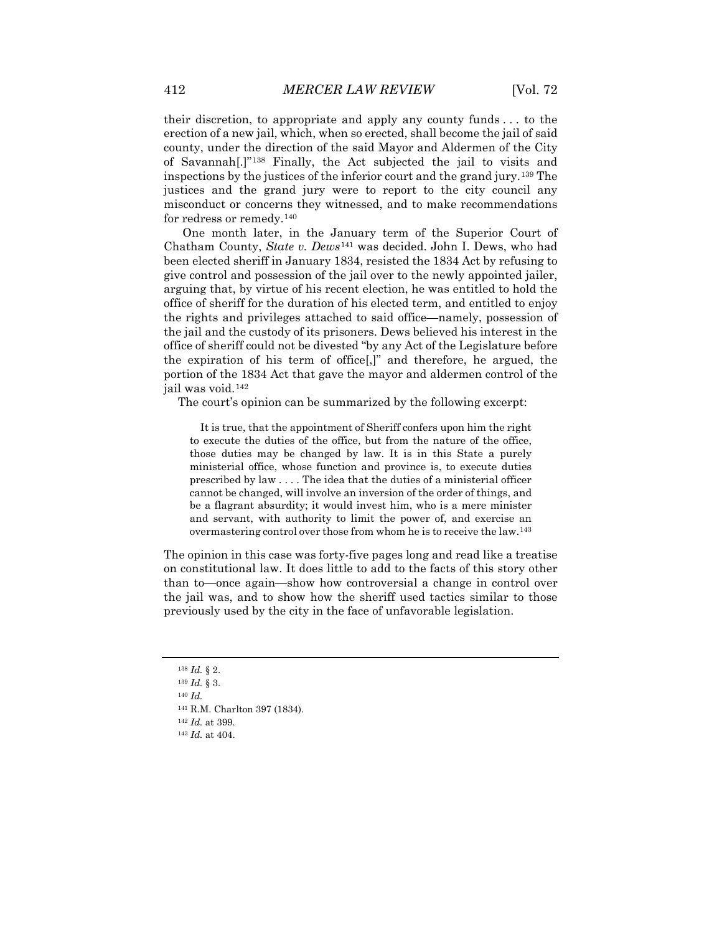their discretion, to appropriate and apply any county funds . . . to the erection of a new jail, which, when so erected, shall become the jail of said county, under the direction of the said Mayor and Aldermen of the City of Savannah[.]"[138](#page-26-0) Finally, the Act subjected the jail to visits and inspections by the justices of the inferior court and the grand jury.[139](#page-26-1) The justices and the grand jury were to report to the city council any misconduct or concerns they witnessed, and to make recommendations for redress or remedy.[140](#page-26-2)

One month later, in the January term of the Superior Court of Chatham County, *State v. Dews*[141](#page-26-3) was decided. John I. Dews, who had been elected sheriff in January 1834, resisted the 1834 Act by refusing to give control and possession of the jail over to the newly appointed jailer, arguing that, by virtue of his recent election, he was entitled to hold the office of sheriff for the duration of his elected term, and entitled to enjoy the rights and privileges attached to said office—namely, possession of the jail and the custody of its prisoners. Dews believed his interest in the office of sheriff could not be divested "by any Act of the Legislature before the expiration of his term of office[,]" and therefore, he argued, the portion of the 1834 Act that gave the mayor and aldermen control of the jail was void.[142](#page-26-4)

The court's opinion can be summarized by the following excerpt:

It is true, that the appointment of Sheriff confers upon him the right to execute the duties of the office, but from the nature of the office, those duties may be changed by law. It is in this State a purely ministerial office, whose function and province is, to execute duties prescribed by law . . . . The idea that the duties of a ministerial officer cannot be changed, will involve an inversion of the order of things, and be a flagrant absurdity; it would invest him, who is a mere minister and servant, with authority to limit the power of, and exercise an overmastering control over those from whom he is to receive the law.[143](#page-26-5)

The opinion in this case was forty-five pages long and read like a treatise on constitutional law. It does little to add to the facts of this story other than to—once again—show how controversial a change in control over the jail was, and to show how the sheriff used tactics similar to those previously used by the city in the face of unfavorable legislation.

<sup>138</sup> *Id.* § 2.

<span id="page-26-2"></span><span id="page-26-1"></span><span id="page-26-0"></span><sup>139</sup> *Id.* § 3.

<span id="page-26-3"></span><sup>140</sup> *Id.*

<sup>141</sup> R.M. Charlton 397 (1834).

<span id="page-26-5"></span><span id="page-26-4"></span><sup>142</sup> *Id.* at 399.

<sup>143</sup> *Id.* at 404.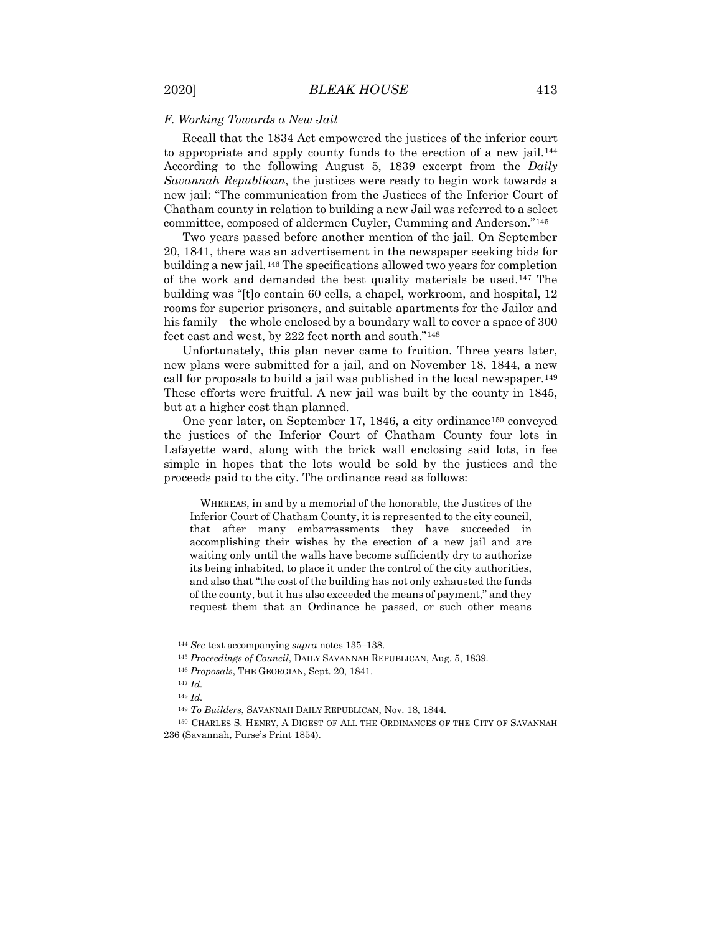#### *F. Working Towards a New Jail*

Recall that the 1834 Act empowered the justices of the inferior court to appropriate and apply county funds to the erection of a new jail.[144](#page-27-0) According to the following August 5, 1839 excerpt from the *Daily Savannah Republican*, the justices were ready to begin work towards a new jail: "The communication from the Justices of the Inferior Court of Chatham county in relation to building a new Jail was referred to a select committee, composed of aldermen Cuyler, Cumming and Anderson."[145](#page-27-1)

Two years passed before another mention of the jail. On September 20, 1841, there was an advertisement in the newspaper seeking bids for building a new jail.[146](#page-27-2) The specifications allowed two years for completion of the work and demanded the best quality materials be used.[147](#page-27-3) The building was "[t]o contain 60 cells, a chapel, workroom, and hospital, 12 rooms for superior prisoners, and suitable apartments for the Jailor and his family—the whole enclosed by a boundary wall to cover a space of 300 feet east and west, by 222 feet north and south."[148](#page-27-4)

Unfortunately, this plan never came to fruition. Three years later, new plans were submitted for a jail, and on November 18, 1844, a new call for proposals to build a jail was published in the local newspaper.[149](#page-27-5) These efforts were fruitful. A new jail was built by the county in 1845, but at a higher cost than planned.

One year later, on September 17, 1846, a city ordinance<sup>[150](#page-27-6)</sup> conveyed the justices of the Inferior Court of Chatham County four lots in Lafayette ward, along with the brick wall enclosing said lots, in fee simple in hopes that the lots would be sold by the justices and the proceeds paid to the city. The ordinance read as follows:

WHEREAS, in and by a memorial of the honorable, the Justices of the Inferior Court of Chatham County, it is represented to the city council, that after many embarrassments they have succeeded in accomplishing their wishes by the erection of a new jail and are waiting only until the walls have become sufficiently dry to authorize its being inhabited, to place it under the control of the city authorities, and also that "the cost of the building has not only exhausted the funds of the county, but it has also exceeded the means of payment," and they request them that an Ordinance be passed, or such other means

<sup>144</sup> *See* text accompanying *supra* notes 135–138.

<span id="page-27-1"></span><span id="page-27-0"></span><sup>145</sup> *Proceedings of Council*, DAILY SAVANNAH REPUBLICAN, Aug. 5, 1839.

<sup>146</sup> *Proposals*, THE GEORGIAN, Sept. 20, 1841.

<sup>147</sup> *Id.*

<sup>148</sup> *Id.*

<sup>149</sup> *To Builders*, SAVANNAH DAILY REPUBLICAN, Nov. 18, 1844.

<span id="page-27-6"></span><span id="page-27-5"></span><span id="page-27-4"></span><span id="page-27-3"></span><span id="page-27-2"></span><sup>150</sup> CHARLES S. HENRY, A DIGEST OF ALL THE ORDINANCES OF THE CITY OF SAVANNAH 236 (Savannah, Purse's Print 1854).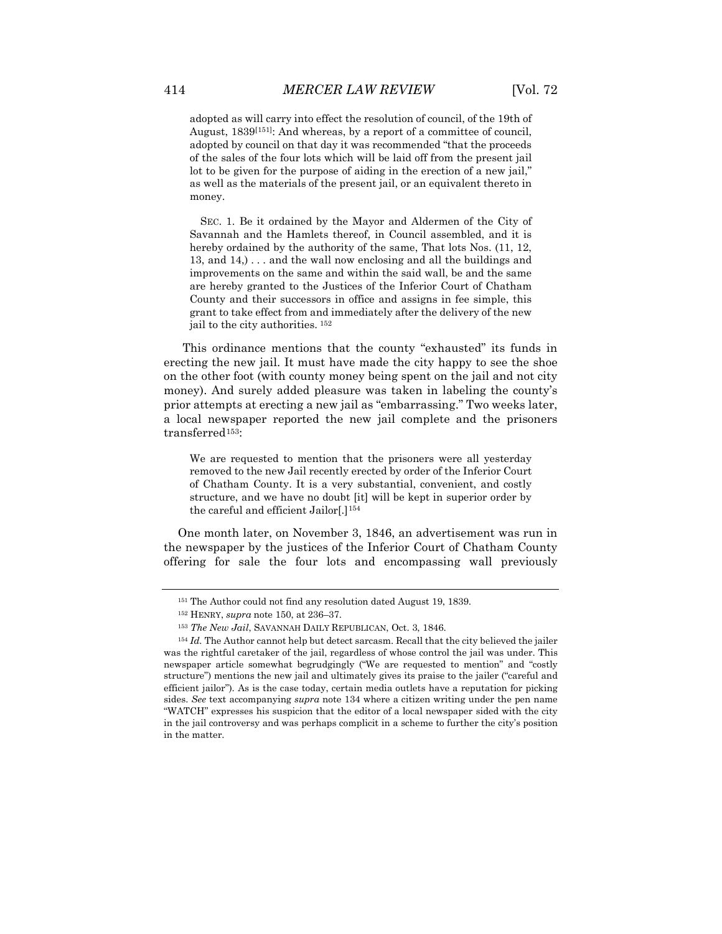adopted as will carry into effect the resolution of council, of the 19th of August, 1839[[151\]](#page-28-0) : And whereas, by a report of a committee of council, adopted by council on that day it was recommended "that the proceeds of the sales of the four lots which will be laid off from the present jail lot to be given for the purpose of aiding in the erection of a new jail," as well as the materials of the present jail, or an equivalent thereto in money.

SEC. 1. Be it ordained by the Mayor and Aldermen of the City of Savannah and the Hamlets thereof, in Council assembled, and it is hereby ordained by the authority of the same, That lots Nos. (11, 12, 13, and 14,) . . . and the wall now enclosing and all the buildings and improvements on the same and within the said wall, be and the same are hereby granted to the Justices of the Inferior Court of Chatham County and their successors in office and assigns in fee simple, this grant to take effect from and immediately after the delivery of the new jail to the city authorities. [152](#page-28-1)

This ordinance mentions that the county "exhausted" its funds in erecting the new jail. It must have made the city happy to see the shoe on the other foot (with county money being spent on the jail and not city money). And surely added pleasure was taken in labeling the county's prior attempts at erecting a new jail as "embarrassing." Two weeks later, a local newspaper reported the new jail complete and the prisoners transferred<sup>153</sup>:

We are requested to mention that the prisoners were all yesterday removed to the new Jail recently erected by order of the Inferior Court of Chatham County. It is a very substantial, convenient, and costly structure, and we have no doubt [it] will be kept in superior order by the careful and efficient Jailor[.]<sup>[154](#page-28-3)</sup>

One month later, on November 3, 1846, an advertisement was run in the newspaper by the justices of the Inferior Court of Chatham County offering for sale the four lots and encompassing wall previously

<sup>151</sup> The Author could not find any resolution dated August 19, 1839.

<sup>152</sup> HENRY, *supra* note 150, at 236–37.

<sup>153</sup> *The New Jail*, SAVANNAH DAILY REPUBLICAN, Oct. 3, 1846.

<span id="page-28-3"></span><span id="page-28-2"></span><span id="page-28-1"></span><span id="page-28-0"></span><sup>&</sup>lt;sup>154</sup> *Id.* The Author cannot help but detect sarcasm. Recall that the city believed the jailer was the rightful caretaker of the jail, regardless of whose control the jail was under. This newspaper article somewhat begrudgingly ("We are requested to mention" and "costly structure") mentions the new jail and ultimately gives its praise to the jailer ("careful and efficient jailor"). As is the case today, certain media outlets have a reputation for picking sides. *See* text accompanying *supra* note 134 where a citizen writing under the pen name "WATCH" expresses his suspicion that the editor of a local newspaper sided with the city in the jail controversy and was perhaps complicit in a scheme to further the city's position in the matter.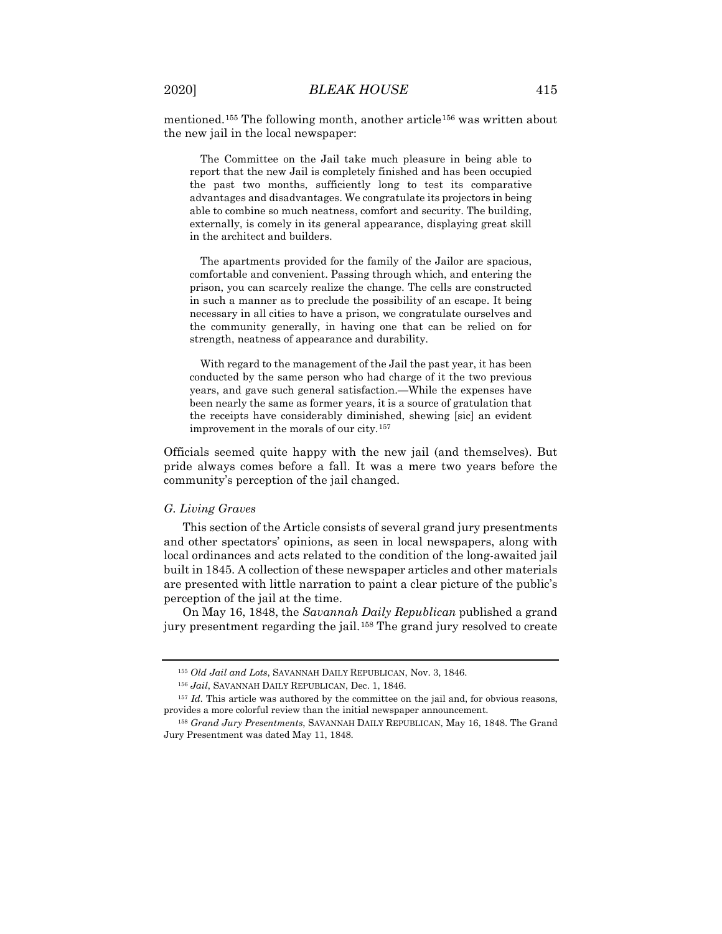mentioned.[155](#page-29-0) The following month, another article[156](#page-29-1) was written about the new jail in the local newspaper:

The Committee on the Jail take much pleasure in being able to report that the new Jail is completely finished and has been occupied the past two months, sufficiently long to test its comparative advantages and disadvantages. We congratulate its projectors in being able to combine so much neatness, comfort and security. The building, externally, is comely in its general appearance, displaying great skill in the architect and builders.

The apartments provided for the family of the Jailor are spacious, comfortable and convenient. Passing through which, and entering the prison, you can scarcely realize the change. The cells are constructed in such a manner as to preclude the possibility of an escape. It being necessary in all cities to have a prison, we congratulate ourselves and the community generally, in having one that can be relied on for strength, neatness of appearance and durability.

With regard to the management of the Jail the past year, it has been conducted by the same person who had charge of it the two previous years, and gave such general satisfaction.—While the expenses have been nearly the same as former years, it is a source of gratulation that the receipts have considerably diminished, shewing [sic] an evident improvement in the morals of our city.[157](#page-29-2)

Officials seemed quite happy with the new jail (and themselves). But pride always comes before a fall. It was a mere two years before the community's perception of the jail changed.

#### *G. Living Graves*

This section of the Article consists of several grand jury presentments and other spectators' opinions, as seen in local newspapers, along with local ordinances and acts related to the condition of the long-awaited jail built in 1845. A collection of these newspaper articles and other materials are presented with little narration to paint a clear picture of the public's perception of the jail at the time.

On May 16, 1848, the *Savannah Daily Republican* published a grand jury presentment regarding the jail.<sup>[158](#page-29-3)</sup> The grand jury resolved to create

<sup>155</sup> *Old Jail and Lots*, SAVANNAH DAILY REPUBLICAN, Nov. 3, 1846.

<sup>156</sup> *Jail*, SAVANNAH DAILY REPUBLICAN, Dec. 1, 1846.

<span id="page-29-2"></span><span id="page-29-1"></span><span id="page-29-0"></span><sup>157</sup> *Id.* This article was authored by the committee on the jail and, for obvious reasons, provides a more colorful review than the initial newspaper announcement.

<span id="page-29-3"></span><sup>158</sup> *Grand Jury Presentments*, SAVANNAH DAILY REPUBLICAN, May 16, 1848. The Grand Jury Presentment was dated May 11, 1848.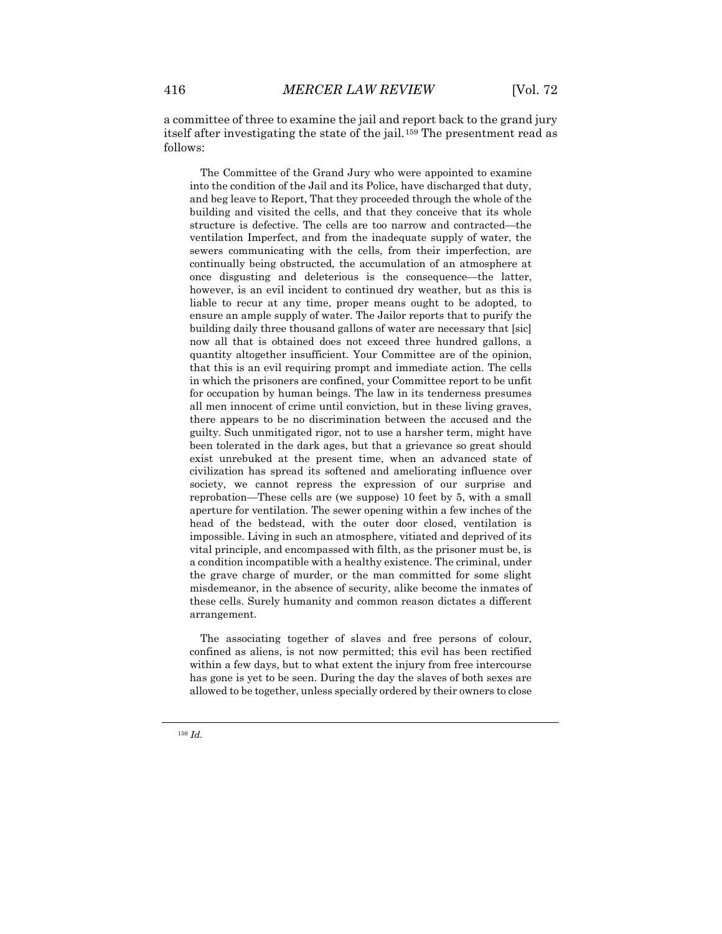a committee of three to examine the jail and report back to the grand jury itself after investigating the state of the jail.[159](#page-30-0) The presentment read as follows:

The Committee of the Grand Jury who were appointed to examine into the condition of the Jail and its Police, have discharged that duty, and beg leave to Report, That they proceeded through the whole of the building and visited the cells, and that they conceive that its whole structure is defective. The cells are too narrow and contracted—the ventilation Imperfect, and from the inadequate supply of water, the sewers communicating with the cells, from their imperfection, are continually being obstructed, the accumulation of an atmosphere at once disgusting and deleterious is the consequence—the latter, however, is an evil incident to continued dry weather, but as this is liable to recur at any time, proper means ought to be adopted, to ensure an ample supply of water. The Jailor reports that to purify the building daily three thousand gallons of water are necessary that [sic] now all that is obtained does not exceed three hundred gallons, a quantity altogether insufficient. Your Committee are of the opinion, that this is an evil requiring prompt and immediate action. The cells in which the prisoners are confined, your Committee report to be unfit for occupation by human beings. The law in its tenderness presumes all men innocent of crime until conviction, but in these living graves, there appears to be no discrimination between the accused and the guilty. Such unmitigated rigor, not to use a harsher term, might have been tolerated in the dark ages, but that a grievance so great should exist unrebuked at the present time, when an advanced state of civilization has spread its softened and ameliorating influence over society, we cannot repress the expression of our surprise and reprobation—These cells are (we suppose) 10 feet by 5, with a small aperture for ventilation. The sewer opening within a few inches of the head of the bedstead, with the outer door closed, ventilation is impossible. Living in such an atmosphere, vitiated and deprived of its vital principle, and encompassed with filth, as the prisoner must be, is a condition incompatible with a healthy existence. The criminal, under the grave charge of murder, or the man committed for some slight misdemeanor, in the absence of security, alike become the inmates of these cells. Surely humanity and common reason dictates a different arrangement.

<span id="page-30-0"></span>The associating together of slaves and free persons of colour, confined as aliens, is not now permitted; this evil has been rectified within a few days, but to what extent the injury from free intercourse has gone is yet to be seen. During the day the slaves of both sexes are allowed to be together, unless specially ordered by their owners to close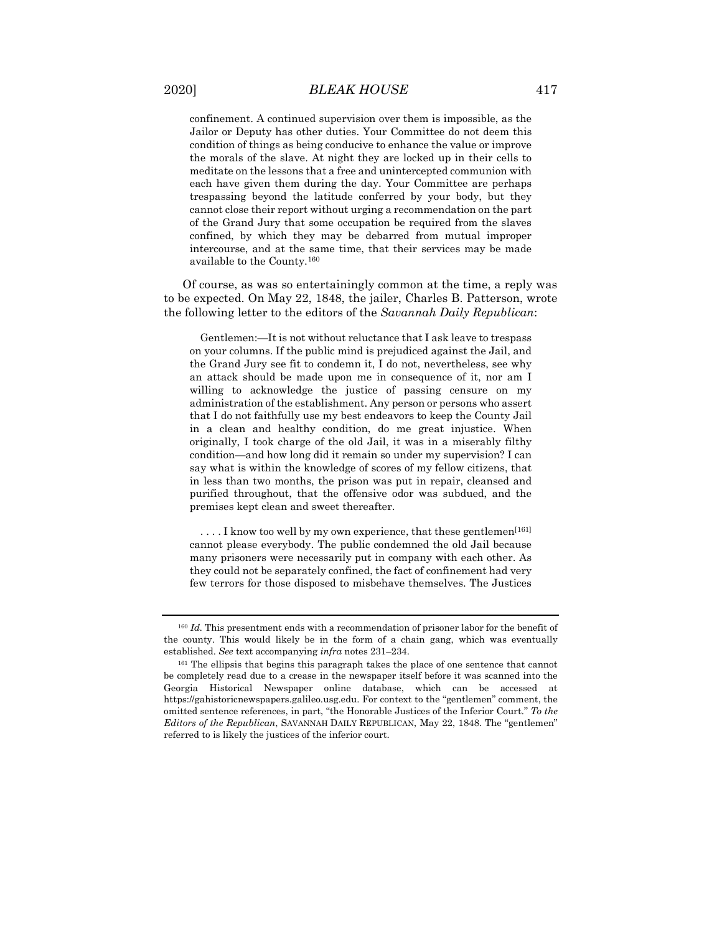confinement. A continued supervision over them is impossible, as the Jailor or Deputy has other duties. Your Committee do not deem this condition of things as being conducive to enhance the value or improve the morals of the slave. At night they are locked up in their cells to meditate on the lessons that a free and unintercepted communion with each have given them during the day. Your Committee are perhaps trespassing beyond the latitude conferred by your body, but they cannot close their report without urging a recommendation on the part of the Grand Jury that some occupation be required from the slaves confined, by which they may be debarred from mutual improper intercourse, and at the same time, that their services may be made available to the County.[160](#page-31-0)

Of course, as was so entertainingly common at the time, a reply was to be expected. On May 22, 1848, the jailer, Charles B. Patterson, wrote the following letter to the editors of the *Savannah Daily Republican*:

Gentlemen:—It is not without reluctance that I ask leave to trespass on your columns. If the public mind is prejudiced against the Jail, and the Grand Jury see fit to condemn it, I do not, nevertheless, see why an attack should be made upon me in consequence of it, nor am I willing to acknowledge the justice of passing censure on my administration of the establishment. Any person or persons who assert that I do not faithfully use my best endeavors to keep the County Jail in a clean and healthy condition, do me great injustice. When originally, I took charge of the old Jail, it was in a miserably filthy condition—and how long did it remain so under my supervision? I can say what is within the knowledge of scores of my fellow citizens, that in less than two months, the prison was put in repair, cleansed and purified throughout, that the offensive odor was subdued, and the premises kept clean and sweet thereafter.

....I know too well by my own experience, that these gentlemen<sup>[[161\]](#page-31-1)</sup> cannot please everybody. The public condemned the old Jail because many prisoners were necessarily put in company with each other. As they could not be separately confined, the fact of confinement had very few terrors for those disposed to misbehave themselves. The Justices

<span id="page-31-0"></span><sup>&</sup>lt;sup>160</sup> *Id.* This presentment ends with a recommendation of prisoner labor for the benefit of the county. This would likely be in the form of a chain gang, which was eventually established. *See* text accompanying *infra* notes 231–234.

<span id="page-31-1"></span><sup>&</sup>lt;sup>161</sup> The ellipsis that begins this paragraph takes the place of one sentence that cannot be completely read due to a crease in the newspaper itself before it was scanned into the Georgia Historical Newspaper online database, which can be accessed at https://gahistoricnewspapers.galileo.usg.edu. For context to the "gentlemen" comment, the omitted sentence references, in part, "the Honorable Justices of the Inferior Court." *To the Editors of the Republican*, SAVANNAH DAILY REPUBLICAN, May 22, 1848. The "gentlemen" referred to is likely the justices of the inferior court.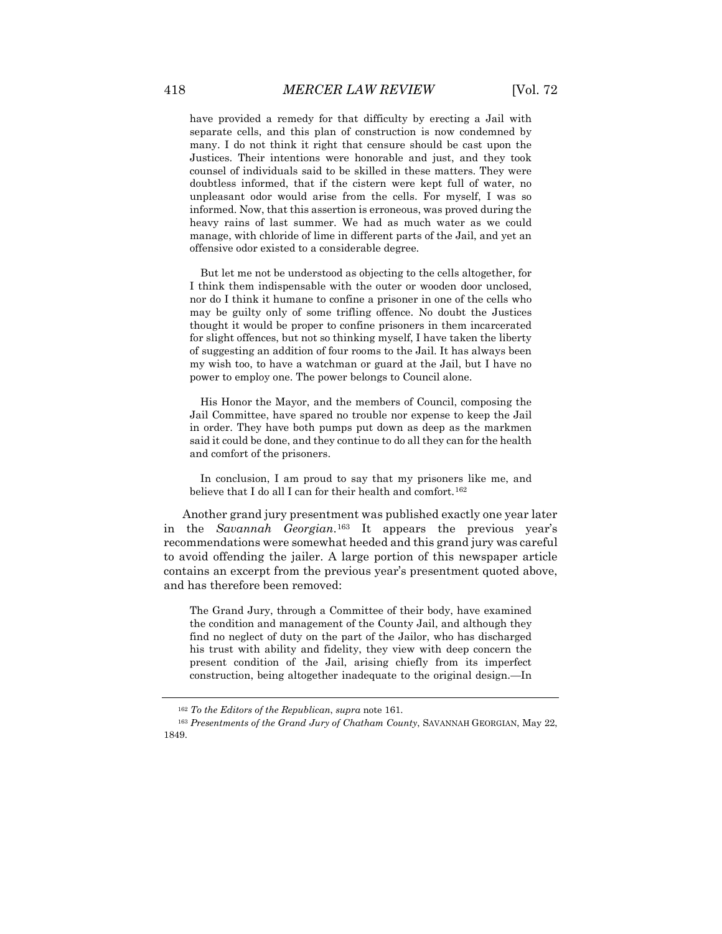have provided a remedy for that difficulty by erecting a Jail with separate cells, and this plan of construction is now condemned by many. I do not think it right that censure should be cast upon the Justices. Their intentions were honorable and just, and they took counsel of individuals said to be skilled in these matters. They were doubtless informed, that if the cistern were kept full of water, no unpleasant odor would arise from the cells. For myself, I was so informed. Now, that this assertion is erroneous, was proved during the heavy rains of last summer. We had as much water as we could manage, with chloride of lime in different parts of the Jail, and yet an offensive odor existed to a considerable degree.

But let me not be understood as objecting to the cells altogether, for I think them indispensable with the outer or wooden door unclosed, nor do I think it humane to confine a prisoner in one of the cells who may be guilty only of some trifling offence. No doubt the Justices thought it would be proper to confine prisoners in them incarcerated for slight offences, but not so thinking myself, I have taken the liberty of suggesting an addition of four rooms to the Jail. It has always been my wish too, to have a watchman or guard at the Jail, but I have no power to employ one. The power belongs to Council alone.

His Honor the Mayor, and the members of Council, composing the Jail Committee, have spared no trouble nor expense to keep the Jail in order. They have both pumps put down as deep as the markmen said it could be done, and they continue to do all they can for the health and comfort of the prisoners.

In conclusion, I am proud to say that my prisoners like me, and believe that I do all I can for their health and comfort.<sup>[162](#page-32-0)</sup>

Another grand jury presentment was published exactly one year later in the *Savannah Georgian*.[163](#page-32-1) It appears the previous year's recommendations were somewhat heeded and this grand jury was careful to avoid offending the jailer. A large portion of this newspaper article contains an excerpt from the previous year's presentment quoted above, and has therefore been removed:

The Grand Jury, through a Committee of their body, have examined the condition and management of the County Jail, and although they find no neglect of duty on the part of the Jailor, who has discharged his trust with ability and fidelity, they view with deep concern the present condition of the Jail, arising chiefly from its imperfect construction, being altogether inadequate to the original design.—In

<sup>162</sup> *To the Editors of the Republican*, *supra* note 161.

<span id="page-32-1"></span><span id="page-32-0"></span><sup>163</sup> *Presentments of the Grand Jury of Chatham County*, SAVANNAH GEORGIAN, May 22, 1849.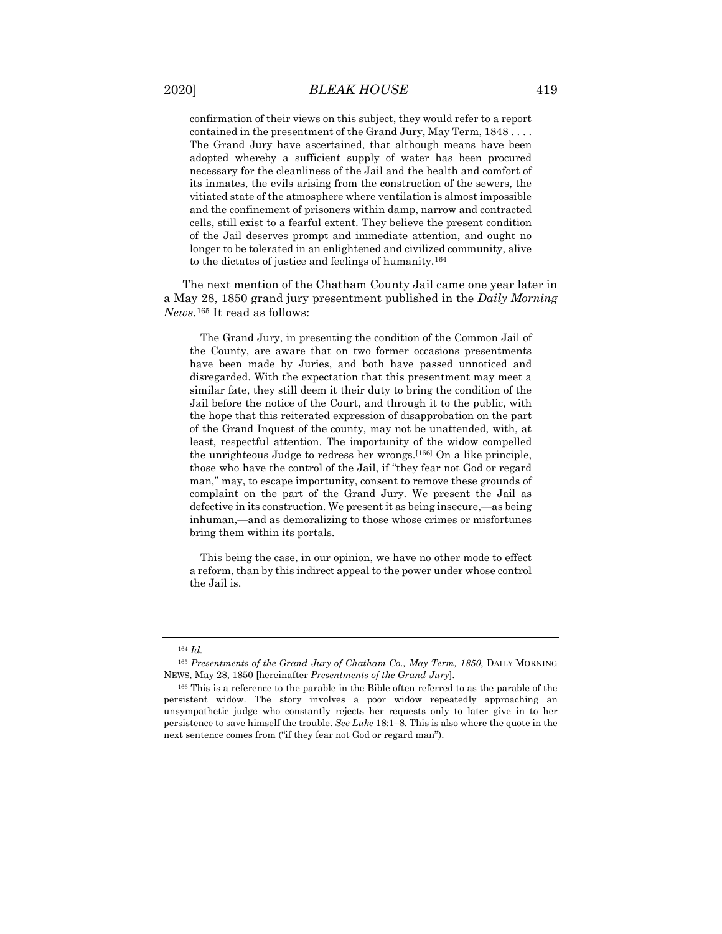confirmation of their views on this subject, they would refer to a report contained in the presentment of the Grand Jury, May Term, 1848 . . . . The Grand Jury have ascertained, that although means have been adopted whereby a sufficient supply of water has been procured necessary for the cleanliness of the Jail and the health and comfort of its inmates, the evils arising from the construction of the sewers, the vitiated state of the atmosphere where ventilation is almost impossible and the confinement of prisoners within damp, narrow and contracted cells, still exist to a fearful extent. They believe the present condition of the Jail deserves prompt and immediate attention, and ought no longer to be tolerated in an enlightened and civilized community, alive to the dictates of justice and feelings of humanity.[164](#page-33-0)

The next mention of the Chatham County Jail came one year later in a May 28, 1850 grand jury presentment published in the *Daily Morning News*.[165](#page-33-1) It read as follows:

The Grand Jury, in presenting the condition of the Common Jail of the County, are aware that on two former occasions presentments have been made by Juries, and both have passed unnoticed and disregarded. With the expectation that this presentment may meet a similar fate, they still deem it their duty to bring the condition of the Jail before the notice of the Court, and through it to the public, with the hope that this reiterated expression of disapprobation on the part of the Grand Inquest of the county, may not be unattended, with, at least, respectful attention. The importunity of the widow compelled the unrighteous Judge to redress her wrongs.[[166\]](#page-33-2) On a like principle, those who have the control of the Jail, if "they fear not God or regard man," may, to escape importunity, consent to remove these grounds of complaint on the part of the Grand Jury. We present the Jail as defective in its construction. We present it as being insecure,—as being inhuman,—and as demoralizing to those whose crimes or misfortunes bring them within its portals.

This being the case, in our opinion, we have no other mode to effect a reform, than by this indirect appeal to the power under whose control the Jail is.

<sup>164</sup> *Id.*

<span id="page-33-1"></span><span id="page-33-0"></span><sup>165</sup> *Presentments of the Grand Jury of Chatham Co., May Term, 1850*, DAILY MORNING NEWS, May 28, 1850 [hereinafter *Presentments of the Grand Jury*].

<span id="page-33-2"></span><sup>&</sup>lt;sup>166</sup> This is a reference to the parable in the Bible often referred to as the parable of the persistent widow. The story involves a poor widow repeatedly approaching an unsympathetic judge who constantly rejects her requests only to later give in to her persistence to save himself the trouble. *See Luke* 18:1–8. This is also where the quote in the next sentence comes from ("if they fear not God or regard man").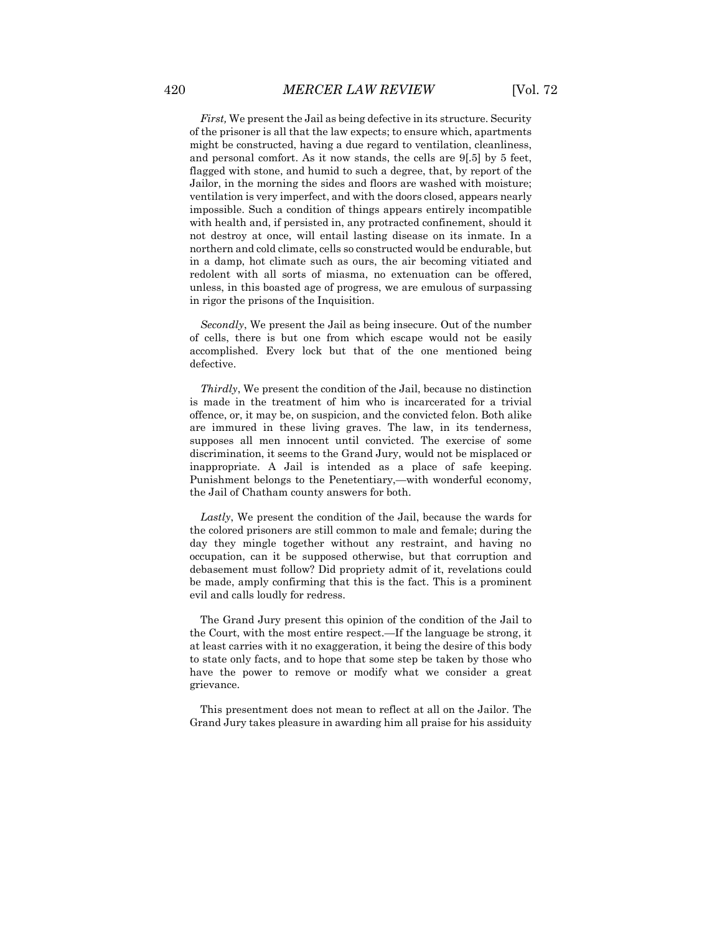*First,* We present the Jail as being defective in its structure. Security of the prisoner is all that the law expects; to ensure which, apartments might be constructed, having a due regard to ventilation, cleanliness, and personal comfort. As it now stands, the cells are 9[.5] by 5 feet, flagged with stone, and humid to such a degree, that, by report of the Jailor, in the morning the sides and floors are washed with moisture; ventilation is very imperfect, and with the doors closed, appears nearly impossible. Such a condition of things appears entirely incompatible with health and, if persisted in, any protracted confinement, should it not destroy at once, will entail lasting disease on its inmate. In a northern and cold climate, cells so constructed would be endurable, but in a damp, hot climate such as ours, the air becoming vitiated and redolent with all sorts of miasma, no extenuation can be offered, unless, in this boasted age of progress, we are emulous of surpassing in rigor the prisons of the Inquisition.

*Secondly*, We present the Jail as being insecure. Out of the number of cells, there is but one from which escape would not be easily accomplished. Every lock but that of the one mentioned being defective.

*Thirdly*, We present the condition of the Jail, because no distinction is made in the treatment of him who is incarcerated for a trivial offence, or, it may be, on suspicion, and the convicted felon. Both alike are immured in these living graves. The law, in its tenderness, supposes all men innocent until convicted. The exercise of some discrimination, it seems to the Grand Jury, would not be misplaced or inappropriate. A Jail is intended as a place of safe keeping. Punishment belongs to the Penetentiary,—with wonderful economy, the Jail of Chatham county answers for both.

*Lastly*, We present the condition of the Jail, because the wards for the colored prisoners are still common to male and female; during the day they mingle together without any restraint, and having no occupation, can it be supposed otherwise, but that corruption and debasement must follow? Did propriety admit of it, revelations could be made, amply confirming that this is the fact. This is a prominent evil and calls loudly for redress.

The Grand Jury present this opinion of the condition of the Jail to the Court, with the most entire respect.—If the language be strong, it at least carries with it no exaggeration, it being the desire of this body to state only facts, and to hope that some step be taken by those who have the power to remove or modify what we consider a great grievance.

This presentment does not mean to reflect at all on the Jailor. The Grand Jury takes pleasure in awarding him all praise for his assiduity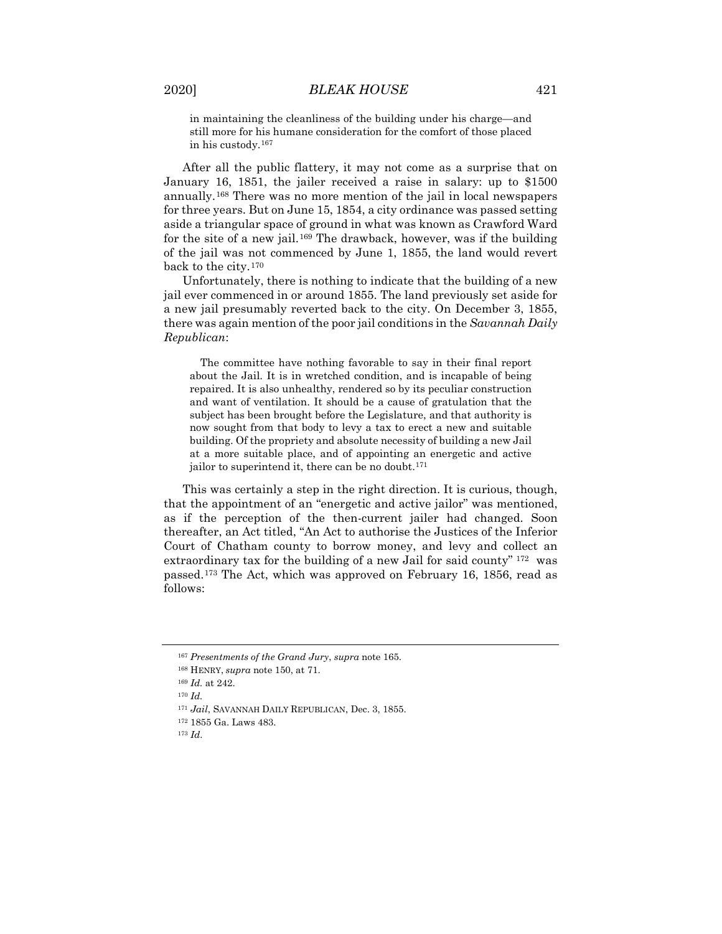in maintaining the cleanliness of the building under his charge—and still more for his humane consideration for the comfort of those placed in his custody[.167](#page-35-0)

After all the public flattery, it may not come as a surprise that on January 16, 1851, the jailer received a raise in salary: up to \$1500 annually.[168](#page-35-1) There was no more mention of the jail in local newspapers for three years. But on June 15, 1854, a city ordinance was passed setting aside a triangular space of ground in what was known as Crawford Ward for the site of a new jail.[169](#page-35-2) The drawback, however, was if the building of the jail was not commenced by June 1, 1855, the land would revert back to the city.[170](#page-35-3)

Unfortunately, there is nothing to indicate that the building of a new jail ever commenced in or around 1855. The land previously set aside for a new jail presumably reverted back to the city. On December 3, 1855, there was again mention of the poor jail conditions in the *Savannah Daily Republican*:

The committee have nothing favorable to say in their final report about the Jail. It is in wretched condition, and is incapable of being repaired. It is also unhealthy, rendered so by its peculiar construction and want of ventilation. It should be a cause of gratulation that the subject has been brought before the Legislature, and that authority is now sought from that body to levy a tax to erect a new and suitable building. Of the propriety and absolute necessity of building a new Jail at a more suitable place, and of appointing an energetic and active jailor to superintend it, there can be no doubt.<sup>[171](#page-35-4)</sup>

This was certainly a step in the right direction. It is curious, though, that the appointment of an "energetic and active jailor" was mentioned, as if the perception of the then-current jailer had changed. Soon thereafter, an Act titled, "An Act to authorise the Justices of the Inferior Court of Chatham county to borrow money, and levy and collect an extraordinary tax for the building of a new Jail for said county" [172](#page-35-5) was passed.[173](#page-35-6) The Act, which was approved on February 16, 1856, read as follows:

<span id="page-35-0"></span><sup>167</sup> *Presentments of the Grand Jury*, *supra* note 165.

<span id="page-35-1"></span><sup>168</sup> HENRY, *supra* note 150, at 71.

<span id="page-35-2"></span><sup>169</sup> *Id.* at 242.

<span id="page-35-3"></span><sup>170</sup> *Id.*

<span id="page-35-4"></span><sup>171</sup> *Jail*, SAVANNAH DAILY REPUBLICAN, Dec. 3, 1855.

<span id="page-35-5"></span><sup>172</sup> 1855 Ga. Laws 483.

<span id="page-35-6"></span><sup>173</sup> *Id*.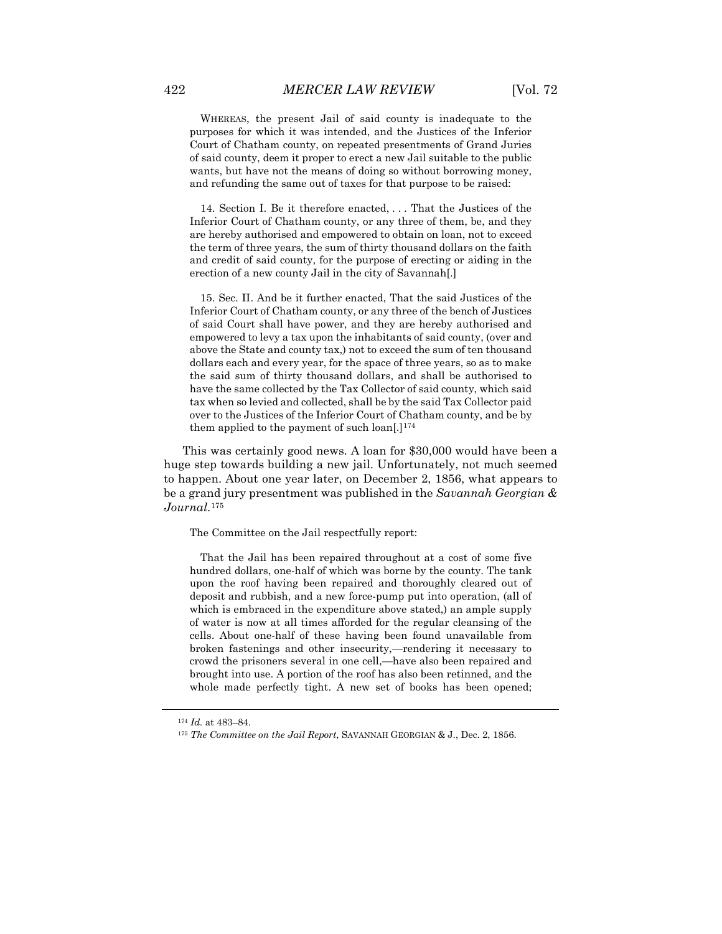WHEREAS, the present Jail of said county is inadequate to the purposes for which it was intended, and the Justices of the Inferior Court of Chatham county, on repeated presentments of Grand Juries of said county, deem it proper to erect a new Jail suitable to the public wants, but have not the means of doing so without borrowing money, and refunding the same out of taxes for that purpose to be raised:

14. Section I. Be it therefore enacted, . . . That the Justices of the Inferior Court of Chatham county, or any three of them, be, and they are hereby authorised and empowered to obtain on loan, not to exceed the term of three years, the sum of thirty thousand dollars on the faith and credit of said county, for the purpose of erecting or aiding in the erection of a new county Jail in the city of Savannah[.]

15. Sec. II. And be it further enacted, That the said Justices of the Inferior Court of Chatham county, or any three of the bench of Justices of said Court shall have power, and they are hereby authorised and empowered to levy a tax upon the inhabitants of said county, (over and above the State and county tax,) not to exceed the sum of ten thousand dollars each and every year, for the space of three years, so as to make the said sum of thirty thousand dollars, and shall be authorised to have the same collected by the Tax Collector of said county, which said tax when so levied and collected, shall be by the said Tax Collector paid over to the Justices of the Inferior Court of Chatham county, and be by them applied to the payment of such loan[.]<sup>[174](#page-36-0)</sup>

This was certainly good news. A loan for \$30,000 would have been a huge step towards building a new jail. Unfortunately, not much seemed to happen. About one year later, on December 2, 1856, what appears to be a grand jury presentment was published in the *Savannah Georgian & Journal*.[175](#page-36-1)

The Committee on the Jail respectfully report:

That the Jail has been repaired throughout at a cost of some five hundred dollars, one-half of which was borne by the county. The tank upon the roof having been repaired and thoroughly cleared out of deposit and rubbish, and a new force-pump put into operation, (all of which is embraced in the expenditure above stated,) an ample supply of water is now at all times afforded for the regular cleansing of the cells. About one-half of these having been found unavailable from broken fastenings and other insecurity,—rendering it necessary to crowd the prisoners several in one cell,—have also been repaired and brought into use. A portion of the roof has also been retinned, and the whole made perfectly tight. A new set of books has been opened;

<sup>174</sup> *Id.* at 483–84.

<span id="page-36-1"></span><span id="page-36-0"></span><sup>175</sup> *The Committee on the Jail Report*, SAVANNAH GEORGIAN & J., Dec. 2, 1856.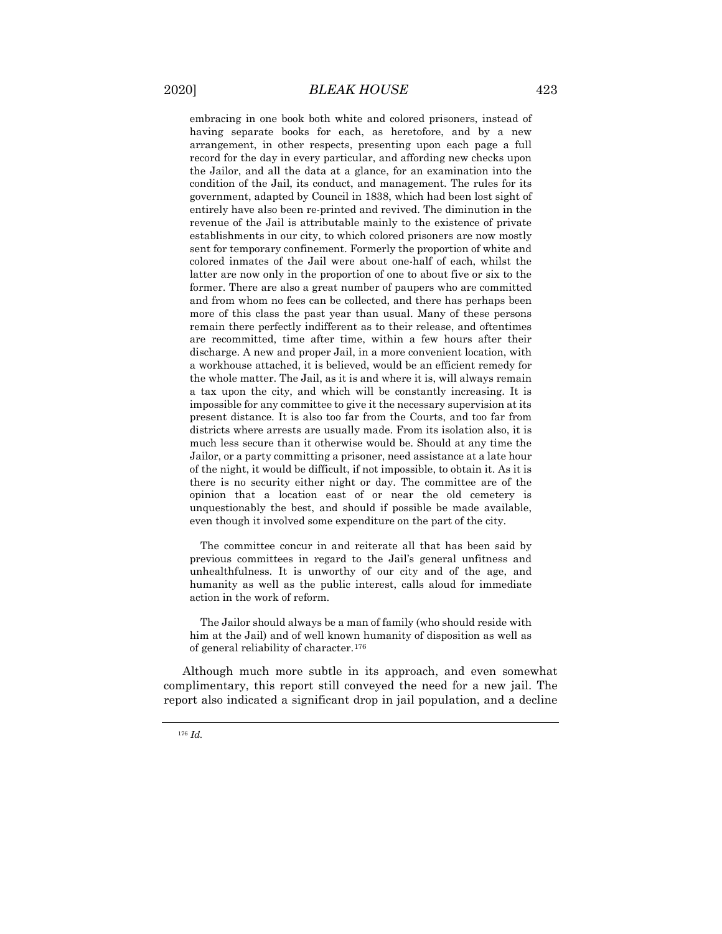embracing in one book both white and colored prisoners, instead of having separate books for each, as heretofore, and by a new arrangement, in other respects, presenting upon each page a full record for the day in every particular, and affording new checks upon the Jailor, and all the data at a glance, for an examination into the condition of the Jail, its conduct, and management. The rules for its government, adapted by Council in 1838, which had been lost sight of entirely have also been re-printed and revived. The diminution in the revenue of the Jail is attributable mainly to the existence of private establishments in our city, to which colored prisoners are now mostly sent for temporary confinement. Formerly the proportion of white and colored inmates of the Jail were about one-half of each, whilst the latter are now only in the proportion of one to about five or six to the former. There are also a great number of paupers who are committed and from whom no fees can be collected, and there has perhaps been more of this class the past year than usual. Many of these persons remain there perfectly indifferent as to their release, and oftentimes are recommitted, time after time, within a few hours after their discharge. A new and proper Jail, in a more convenient location, with a workhouse attached, it is believed, would be an efficient remedy for the whole matter. The Jail, as it is and where it is, will always remain a tax upon the city, and which will be constantly increasing. It is impossible for any committee to give it the necessary supervision at its present distance. It is also too far from the Courts, and too far from districts where arrests are usually made. From its isolation also, it is much less secure than it otherwise would be. Should at any time the Jailor, or a party committing a prisoner, need assistance at a late hour of the night, it would be difficult, if not impossible, to obtain it. As it is there is no security either night or day. The committee are of the opinion that a location east of or near the old cemetery is unquestionably the best, and should if possible be made available, even though it involved some expenditure on the part of the city.

The committee concur in and reiterate all that has been said by previous committees in regard to the Jail's general unfitness and unhealthfulness. It is unworthy of our city and of the age, and humanity as well as the public interest, calls aloud for immediate action in the work of reform.

The Jailor should always be a man of family (who should reside with him at the Jail) and of well known humanity of disposition as well as of general reliability of character.[176](#page-37-0)

<span id="page-37-0"></span>Although much more subtle in its approach, and even somewhat complimentary, this report still conveyed the need for a new jail. The report also indicated a significant drop in jail population, and a decline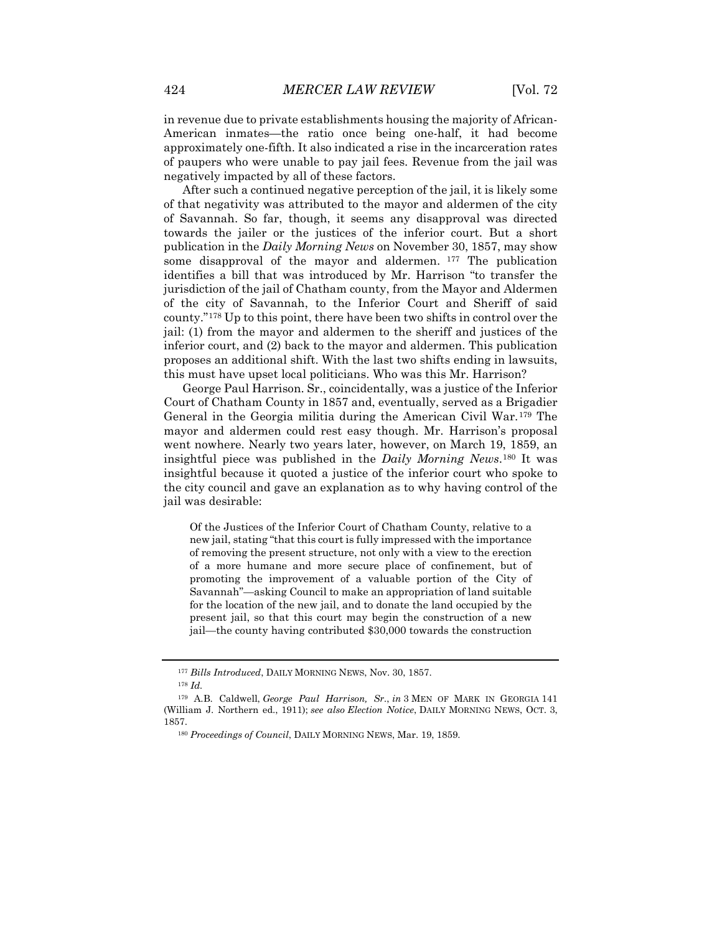in revenue due to private establishments housing the majority of African-American inmates—the ratio once being one-half, it had become approximately one-fifth. It also indicated a rise in the incarceration rates of paupers who were unable to pay jail fees. Revenue from the jail was negatively impacted by all of these factors.

After such a continued negative perception of the jail, it is likely some of that negativity was attributed to the mayor and aldermen of the city of Savannah. So far, though, it seems any disapproval was directed towards the jailer or the justices of the inferior court. But a short publication in the *Daily Morning News* on November 30, 1857, may show some disapproval of the mayor and aldermen. [177](#page-38-0) The publication identifies a bill that was introduced by Mr. Harrison "to transfer the jurisdiction of the jail of Chatham county, from the Mayor and Aldermen of the city of Savannah, to the Inferior Court and Sheriff of said county."[178](#page-38-1) Up to this point, there have been two shifts in control over the jail: (1) from the mayor and aldermen to the sheriff and justices of the inferior court, and (2) back to the mayor and aldermen. This publication proposes an additional shift. With the last two shifts ending in lawsuits, this must have upset local politicians. Who was this Mr. Harrison?

George Paul Harrison. Sr., coincidentally, was a justice of the Inferior Court of Chatham County in 1857 and, eventually, served as a Brigadier General in the Georgia militia during the American Civil War.[179](#page-38-2) The mayor and aldermen could rest easy though. Mr. Harrison's proposal went nowhere. Nearly two years later, however, on March 19, 1859, an insightful piece was published in the *Daily Morning News*.[180](#page-38-3) It was insightful because it quoted a justice of the inferior court who spoke to the city council and gave an explanation as to why having control of the jail was desirable:

Of the Justices of the Inferior Court of Chatham County, relative to a new jail, stating "that this court is fully impressed with the importance of removing the present structure, not only with a view to the erection of a more humane and more secure place of confinement, but of promoting the improvement of a valuable portion of the City of Savannah"—asking Council to make an appropriation of land suitable for the location of the new jail, and to donate the land occupied by the present jail, so that this court may begin the construction of a new jail—the county having contributed \$30,000 towards the construction

<sup>177</sup> *Bills Introduced*, DAILY MORNING NEWS, Nov. 30, 1857.

<sup>178</sup> *Id.*

<span id="page-38-3"></span><span id="page-38-2"></span><span id="page-38-1"></span><span id="page-38-0"></span><sup>179</sup> A.B. Caldwell, *George Paul Harrison, Sr.*, *in* 3 MEN OF MARK IN GEORGIA 141 (William J. Northern ed., 1911); *see also Election Notice*, DAILY MORNING NEWS, OCT. 3, 1857.

<sup>180</sup> *Proceedings of Council*, DAILY MORNING NEWS, Mar. 19, 1859.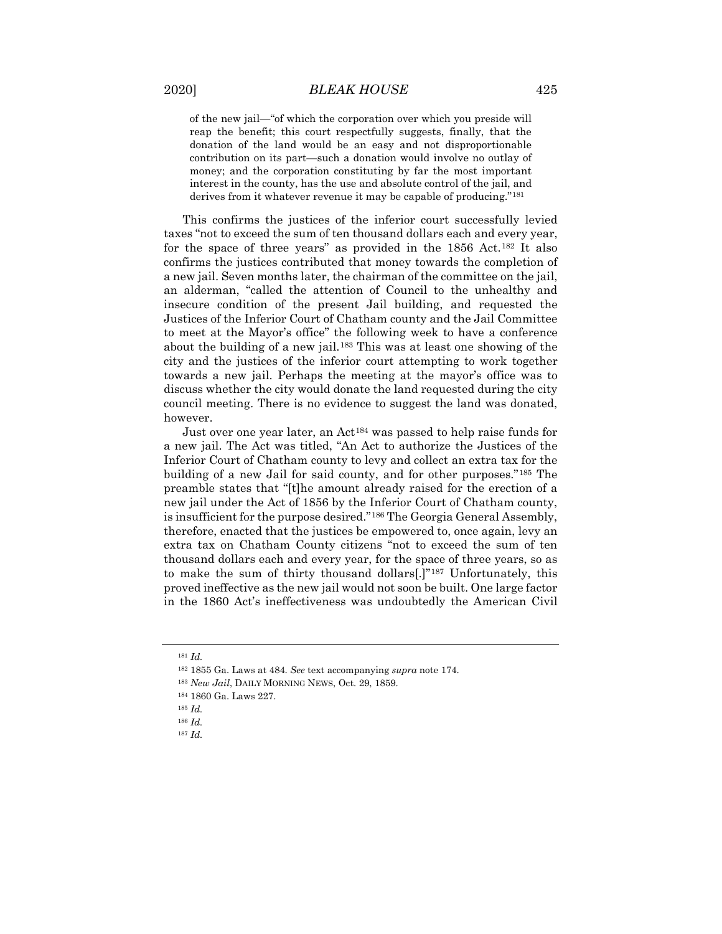of the new jail—"of which the corporation over which you preside will reap the benefit; this court respectfully suggests, finally, that the donation of the land would be an easy and not disproportionable contribution on its part—such a donation would involve no outlay of money; and the corporation constituting by far the most important interest in the county, has the use and absolute control of the jail, and derives from it whatever revenue it may be capable of producing."[181](#page-39-0)

This confirms the justices of the inferior court successfully levied taxes "not to exceed the sum of ten thousand dollars each and every year, for the space of three years" as provided in the 1856 Act.[182](#page-39-1) It also confirms the justices contributed that money towards the completion of a new jail. Seven months later, the chairman of the committee on the jail, an alderman, "called the attention of Council to the unhealthy and insecure condition of the present Jail building, and requested the Justices of the Inferior Court of Chatham county and the Jail Committee to meet at the Mayor's office" the following week to have a conference about the building of a new jail.[183](#page-39-2) This was at least one showing of the city and the justices of the inferior court attempting to work together towards a new jail. Perhaps the meeting at the mayor's office was to discuss whether the city would donate the land requested during the city council meeting. There is no evidence to suggest the land was donated, however.

Just over one year later, an Act[184](#page-39-3) was passed to help raise funds for a new jail. The Act was titled, "An Act to authorize the Justices of the Inferior Court of Chatham county to levy and collect an extra tax for the building of a new Jail for said county, and for other purposes."[185](#page-39-4) The preamble states that "[t]he amount already raised for the erection of a new jail under the Act of 1856 by the Inferior Court of Chatham county, is insufficient for the purpose desired."[186](#page-39-5) The Georgia General Assembly, therefore, enacted that the justices be empowered to, once again, levy an extra tax on Chatham County citizens "not to exceed the sum of ten thousand dollars each and every year, for the space of three years, so as to make the sum of thirty thousand dollars[.]"[187](#page-39-6) Unfortunately, this proved ineffective as the new jail would not soon be built. One large factor in the 1860 Act's ineffectiveness was undoubtedly the American Civil

<span id="page-39-0"></span><sup>181</sup> *Id.*

<span id="page-39-2"></span><span id="page-39-1"></span><sup>182</sup> 1855 Ga. Laws at 484. *See* text accompanying *supra* note 174.

<span id="page-39-3"></span><sup>183</sup> *New Jail*, DAILY MORNING NEWS, Oct. 29, 1859.

<sup>184</sup> 1860 Ga. Laws 227.

<sup>185</sup> *Id.*

<span id="page-39-6"></span><span id="page-39-5"></span><span id="page-39-4"></span><sup>186</sup> *Id.*

<sup>187</sup> *Id.*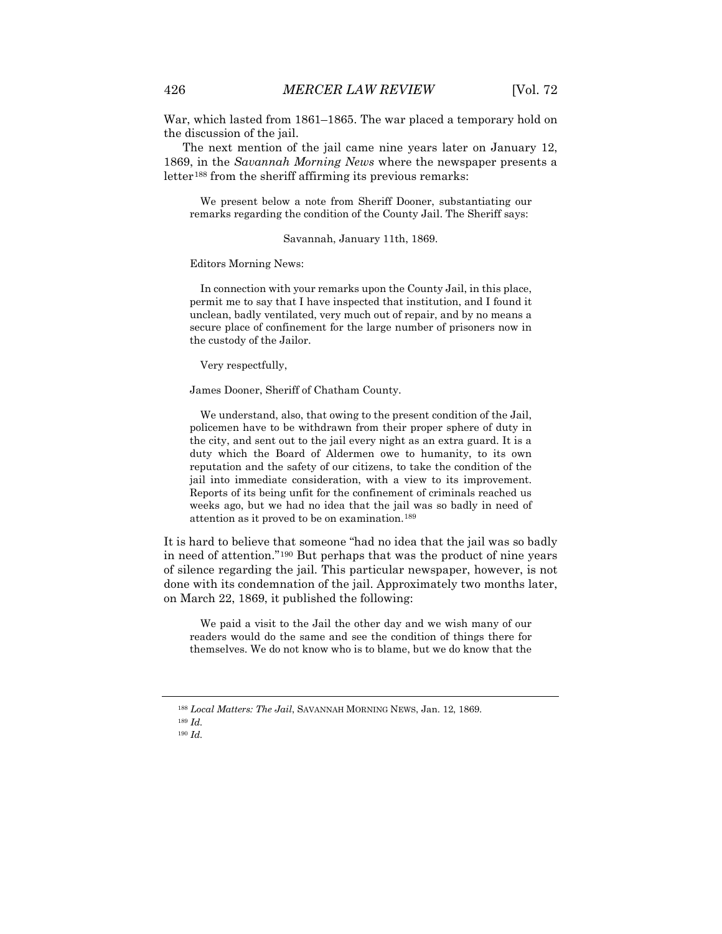War, which lasted from 1861–1865. The war placed a temporary hold on the discussion of the jail.

The next mention of the jail came nine years later on January 12, 1869, in the *Savannah Morning News* where the newspaper presents a letter<sup>[188](#page-40-0)</sup> from the sheriff affirming its previous remarks:

We present below a note from Sheriff Dooner, substantiating our remarks regarding the condition of the County Jail. The Sheriff says:

Savannah, January 11th, 1869.

Editors Morning News:

In connection with your remarks upon the County Jail, in this place, permit me to say that I have inspected that institution, and I found it unclean, badly ventilated, very much out of repair, and by no means a secure place of confinement for the large number of prisoners now in the custody of the Jailor.

Very respectfully,

James Dooner, Sheriff of Chatham County.

We understand, also, that owing to the present condition of the Jail, policemen have to be withdrawn from their proper sphere of duty in the city, and sent out to the jail every night as an extra guard. It is a duty which the Board of Aldermen owe to humanity, to its own reputation and the safety of our citizens, to take the condition of the jail into immediate consideration, with a view to its improvement. Reports of its being unfit for the confinement of criminals reached us weeks ago, but we had no idea that the jail was so badly in need of attention as it proved to be on examination.[189](#page-40-1)

It is hard to believe that someone "had no idea that the jail was so badly in need of attention."[190](#page-40-2) But perhaps that was the product of nine years of silence regarding the jail. This particular newspaper, however, is not done with its condemnation of the jail. Approximately two months later, on March 22, 1869, it published the following:

We paid a visit to the Jail the other day and we wish many of our readers would do the same and see the condition of things there for themselves. We do not know who is to blame, but we do know that the

<sup>188</sup> *Local Matters: The Jail*, SAVANNAH MORNING NEWS, Jan. 12, 1869.

<span id="page-40-2"></span><span id="page-40-1"></span><span id="page-40-0"></span><sup>189</sup> *Id.*

<sup>190</sup> *Id.*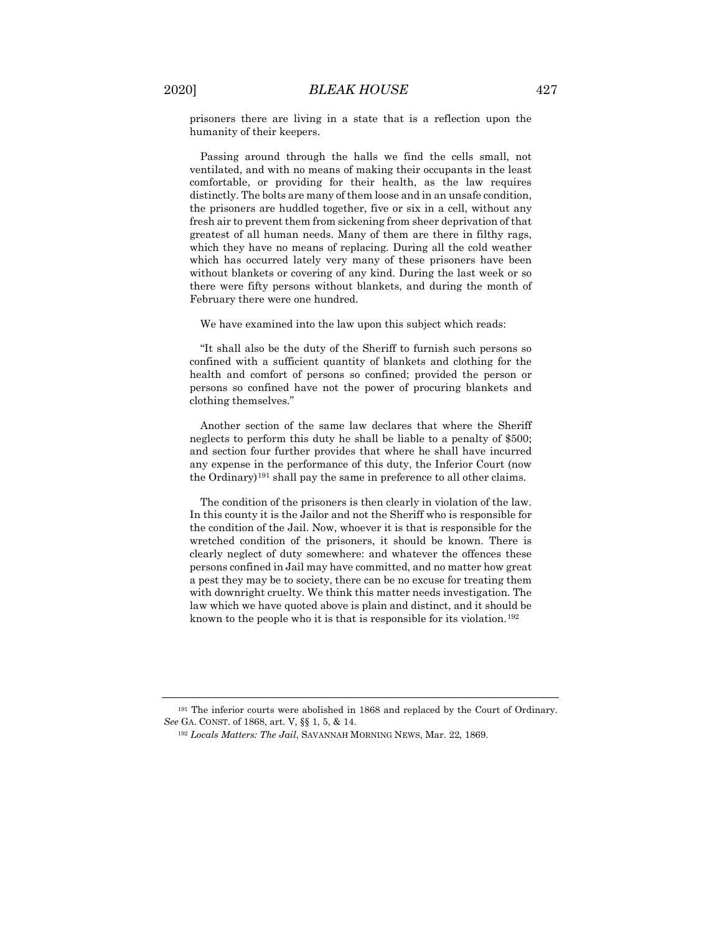prisoners there are living in a state that is a reflection upon the humanity of their keepers.

Passing around through the halls we find the cells small, not ventilated, and with no means of making their occupants in the least comfortable, or providing for their health, as the law requires distinctly. The bolts are many of them loose and in an unsafe condition, the prisoners are huddled together, five or six in a cell, without any fresh air to prevent them from sickening from sheer deprivation of that greatest of all human needs. Many of them are there in filthy rags, which they have no means of replacing. During all the cold weather which has occurred lately very many of these prisoners have been without blankets or covering of any kind. During the last week or so there were fifty persons without blankets, and during the month of February there were one hundred.

We have examined into the law upon this subject which reads:

"It shall also be the duty of the Sheriff to furnish such persons so confined with a sufficient quantity of blankets and clothing for the health and comfort of persons so confined; provided the person or persons so confined have not the power of procuring blankets and clothing themselves."

Another section of the same law declares that where the Sheriff neglects to perform this duty he shall be liable to a penalty of \$500; and section four further provides that where he shall have incurred any expense in the performance of this duty, the Inferior Court (now the Ordinary)[191](#page-41-0) shall pay the same in preference to all other claims.

The condition of the prisoners is then clearly in violation of the law. In this county it is the Jailor and not the Sheriff who is responsible for the condition of the Jail. Now, whoever it is that is responsible for the wretched condition of the prisoners, it should be known. There is clearly neglect of duty somewhere: and whatever the offences these persons confined in Jail may have committed, and no matter how great a pest they may be to society, there can be no excuse for treating them with downright cruelty. We think this matter needs investigation. The law which we have quoted above is plain and distinct, and it should be known to the people who it is that is responsible for its violation.[192](#page-41-1)

<span id="page-41-1"></span><span id="page-41-0"></span><sup>191</sup> The inferior courts were abolished in 1868 and replaced by the Court of Ordinary. *See* GA. CONST. of 1868, art. V, §§ 1, 5, & 14.

<sup>192</sup> *Locals Matters: The Jail*, SAVANNAH MORNING NEWS, Mar. 22, 1869.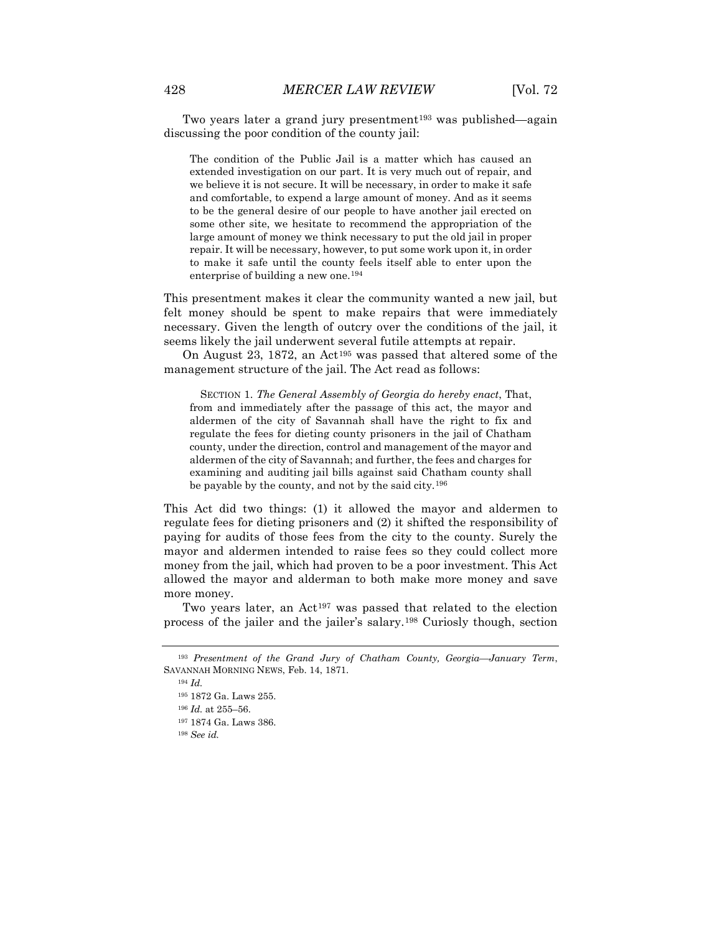Two years later a grand jury presentment<sup>193</sup> was published—again discussing the poor condition of the county jail:

The condition of the Public Jail is a matter which has caused an extended investigation on our part. It is very much out of repair, and we believe it is not secure. It will be necessary, in order to make it safe and comfortable, to expend a large amount of money. And as it seems to be the general desire of our people to have another jail erected on some other site, we hesitate to recommend the appropriation of the large amount of money we think necessary to put the old jail in proper repair. It will be necessary, however, to put some work upon it, in order to make it safe until the county feels itself able to enter upon the enterprise of building a new one.[194](#page-42-1)

This presentment makes it clear the community wanted a new jail, but felt money should be spent to make repairs that were immediately necessary. Given the length of outcry over the conditions of the jail, it seems likely the jail underwent several futile attempts at repair.

On August 23, 1872, an Act<sup>[195](#page-42-2)</sup> was passed that altered some of the management structure of the jail. The Act read as follows:

SECTION 1. *The General Assembly of Georgia do hereby enact*, That, from and immediately after the passage of this act, the mayor and aldermen of the city of Savannah shall have the right to fix and regulate the fees for dieting county prisoners in the jail of Chatham county, under the direction, control and management of the mayor and aldermen of the city of Savannah; and further, the fees and charges for examining and auditing jail bills against said Chatham county shall be payable by the county, and not by the said city.<sup>[196](#page-42-3)</sup>

This Act did two things: (1) it allowed the mayor and aldermen to regulate fees for dieting prisoners and (2) it shifted the responsibility of paying for audits of those fees from the city to the county. Surely the mayor and aldermen intended to raise fees so they could collect more money from the jail, which had proven to be a poor investment. This Act allowed the mayor and alderman to both make more money and save more money.

Two years later, an Act<sup>[197](#page-42-4)</sup> was passed that related to the election process of the jailer and the jailer's salary.[198](#page-42-5) Curiosly though, section

<span id="page-42-5"></span><sup>198</sup> *See id.*

<span id="page-42-4"></span><span id="page-42-3"></span><span id="page-42-2"></span><span id="page-42-1"></span><span id="page-42-0"></span><sup>193</sup> *Presentment of the Grand Jury of Chatham County, Georgia—January Term*, SAVANNAH MORNING NEWS, Feb. 14, 1871.

<sup>194</sup> *Id.*

<sup>195</sup> 1872 Ga. Laws 255.

<sup>196</sup> *Id.* at 255–56.

<sup>197</sup> 1874 Ga. Laws 386.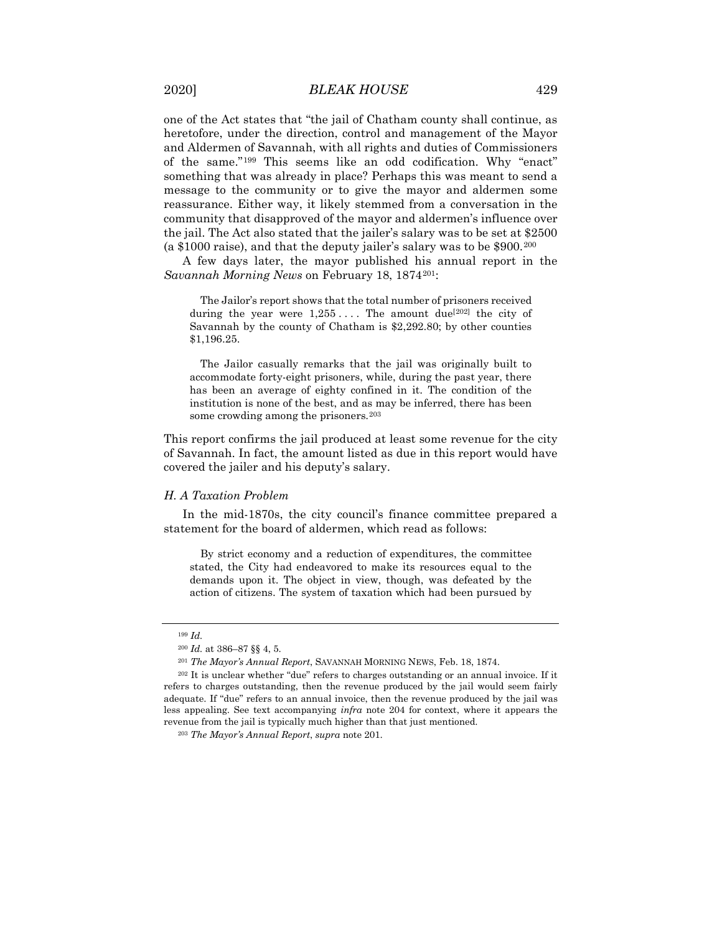one of the Act states that "the jail of Chatham county shall continue, as heretofore, under the direction, control and management of the Mayor and Aldermen of Savannah, with all rights and duties of Commissioners of the same."[199](#page-43-0) This seems like an odd codification. Why "enact" something that was already in place? Perhaps this was meant to send a message to the community or to give the mayor and aldermen some reassurance. Either way, it likely stemmed from a conversation in the community that disapproved of the mayor and aldermen's influence over the jail. The Act also stated that the jailer's salary was to be set at \$2500 (a \$1000 raise), and that the deputy jailer's salary was to be \$900.[200](#page-43-1)

A few days later, the mayor published his annual report in the *Savannah Morning News* on February 18, 1874[201](#page-43-2):

The Jailor's report shows that the total number of prisoners received during the year were  $1,255...$  The amount due<sup>[[202\]](#page-43-3)</sup> the city of Savannah by the county of Chatham is \$2,292.80; by other counties \$1,196.25.

The Jailor casually remarks that the jail was originally built to accommodate forty-eight prisoners, while, during the past year, there has been an average of eighty confined in it. The condition of the institution is none of the best, and as may be inferred, there has been some crowding among the prisoners.<sup>[203](#page-43-4)</sup>

This report confirms the jail produced at least some revenue for the city of Savannah. In fact, the amount listed as due in this report would have covered the jailer and his deputy's salary.

#### *H. A Taxation Problem*

In the mid-1870s, the city council's finance committee prepared a statement for the board of aldermen, which read as follows:

By strict economy and a reduction of expenditures, the committee stated, the City had endeavored to make its resources equal to the demands upon it. The object in view, though, was defeated by the action of citizens. The system of taxation which had been pursued by

<sup>199</sup> *Id.*

<sup>200</sup> *Id.* at 386–87 §§ 4, 5.

<sup>201</sup> *The Mayor's Annual Report*, SAVANNAH MORNING NEWS, Feb. 18, 1874.

<span id="page-43-4"></span><span id="page-43-3"></span><span id="page-43-2"></span><span id="page-43-1"></span><span id="page-43-0"></span><sup>202</sup> It is unclear whether "due" refers to charges outstanding or an annual invoice. If it refers to charges outstanding, then the revenue produced by the jail would seem fairly adequate. If "due" refers to an annual invoice, then the revenue produced by the jail was less appealing. See text accompanying *infra* note 204 for context, where it appears the revenue from the jail is typically much higher than that just mentioned.

<sup>203</sup> *The Mayor's Annual Report*, *supra* note 201.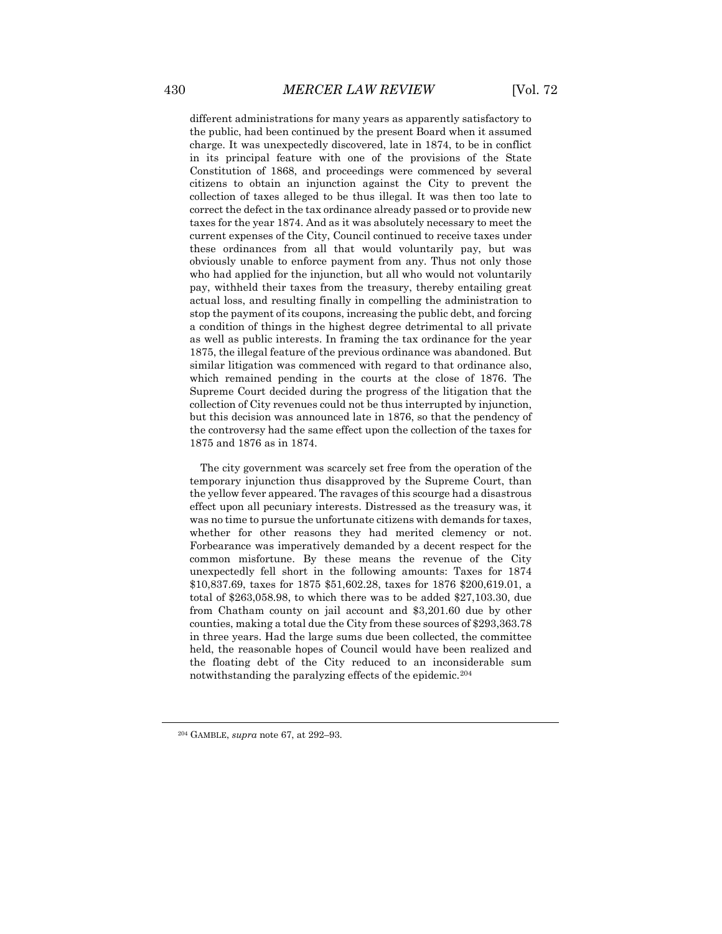different administrations for many years as apparently satisfactory to the public, had been continued by the present Board when it assumed charge. It was unexpectedly discovered, late in 1874, to be in conflict in its principal feature with one of the provisions of the State Constitution of 1868, and proceedings were commenced by several citizens to obtain an injunction against the City to prevent the collection of taxes alleged to be thus illegal. It was then too late to correct the defect in the tax ordinance already passed or to provide new taxes for the year 1874. And as it was absolutely necessary to meet the current expenses of the City, Council continued to receive taxes under these ordinances from all that would voluntarily pay, but was obviously unable to enforce payment from any. Thus not only those who had applied for the injunction, but all who would not voluntarily pay, withheld their taxes from the treasury, thereby entailing great actual loss, and resulting finally in compelling the administration to stop the payment of its coupons, increasing the public debt, and forcing a condition of things in the highest degree detrimental to all private as well as public interests. In framing the tax ordinance for the year 1875, the illegal feature of the previous ordinance was abandoned. But similar litigation was commenced with regard to that ordinance also, which remained pending in the courts at the close of 1876. The Supreme Court decided during the progress of the litigation that the collection of City revenues could not be thus interrupted by injunction, but this decision was announced late in 1876, so that the pendency of the controversy had the same effect upon the collection of the taxes for 1875 and 1876 as in 1874.

The city government was scarcely set free from the operation of the temporary injunction thus disapproved by the Supreme Court, than the yellow fever appeared. The ravages of this scourge had a disastrous effect upon all pecuniary interests. Distressed as the treasury was, it was no time to pursue the unfortunate citizens with demands for taxes, whether for other reasons they had merited clemency or not. Forbearance was imperatively demanded by a decent respect for the common misfortune. By these means the revenue of the City unexpectedly fell short in the following amounts: Taxes for 1874 \$10,837.69, taxes for 1875 \$51,602.28, taxes for 1876 \$200,619.01, a total of \$263,058.98, to which there was to be added \$27,103.30, due from Chatham county on jail account and \$3,201.60 due by other counties, making a total due the City from these sources of \$293,363.78 in three years. Had the large sums due been collected, the committee held, the reasonable hopes of Council would have been realized and the floating debt of the City reduced to an inconsiderable sum notwithstanding the paralyzing effects of the epidemic.[204](#page-44-0)

<span id="page-44-0"></span><sup>204</sup> GAMBLE, *supra* note 67, at 292–93.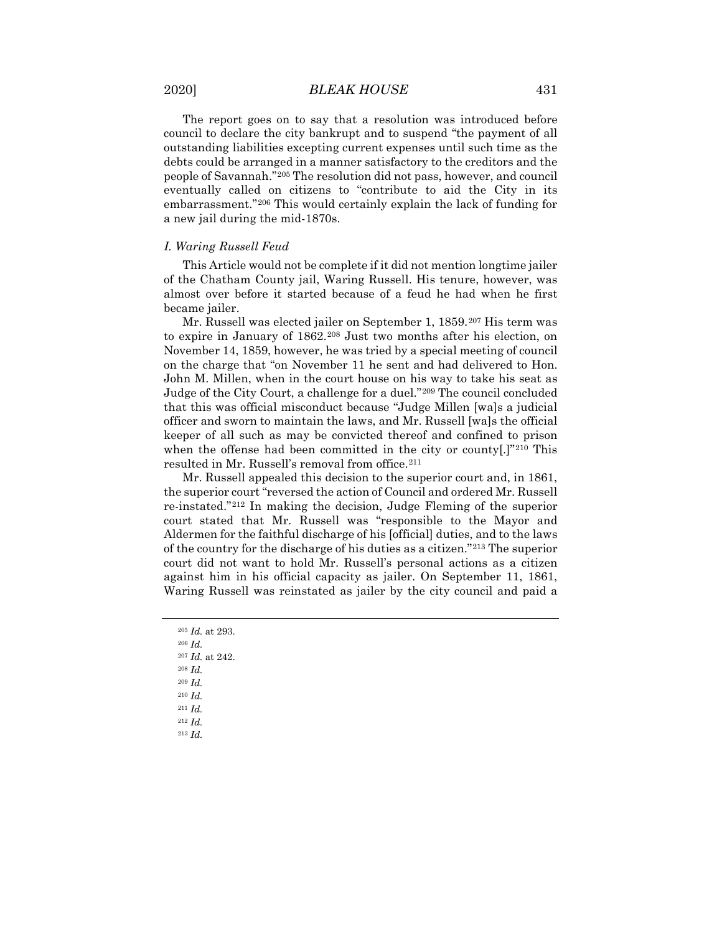The report goes on to say that a resolution was introduced before council to declare the city bankrupt and to suspend "the payment of all outstanding liabilities excepting current expenses until such time as the debts could be arranged in a manner satisfactory to the creditors and the people of Savannah."[205](#page-45-0) The resolution did not pass, however, and council eventually called on citizens to "contribute to aid the City in its embarrassment."[206](#page-45-1) This would certainly explain the lack of funding for a new jail during the mid-1870s.

### *I. Waring Russell Feud*

This Article would not be complete if it did not mention longtime jailer of the Chatham County jail, Waring Russell. His tenure, however, was almost over before it started because of a feud he had when he first became jailer.

Mr. Russell was elected jailer on September 1, 1859.[207](#page-45-2) His term was to expire in January of 1862.[208](#page-45-3) Just two months after his election, on November 14, 1859, however, he was tried by a special meeting of council on the charge that "on November 11 he sent and had delivered to Hon. John M. Millen, when in the court house on his way to take his seat as Judge of the City Court, a challenge for a duel."[209](#page-45-4) The council concluded that this was official misconduct because "Judge Millen [wa]s a judicial officer and sworn to maintain the laws, and Mr. Russell [wa]s the official keeper of all such as may be convicted thereof and confined to prison when the offense had been committed in the city or county[.]"<sup>[210](#page-45-5)</sup> This resulted in Mr. Russell's removal from office.[211](#page-45-6)

Mr. Russell appealed this decision to the superior court and, in 1861, the superior court "reversed the action of Council and ordered Mr. Russell re-instated."[212](#page-45-7) In making the decision, Judge Fleming of the superior court stated that Mr. Russell was "responsible to the Mayor and Aldermen for the faithful discharge of his [official] duties, and to the laws of the country for the discharge of his duties as a citizen."[213](#page-45-8) The superior court did not want to hold Mr. Russell's personal actions as a citizen against him in his official capacity as jailer. On September 11, 1861, Waring Russell was reinstated as jailer by the city council and paid a

<span id="page-45-8"></span><span id="page-45-7"></span><span id="page-45-6"></span><span id="page-45-5"></span><span id="page-45-4"></span><span id="page-45-3"></span><span id="page-45-2"></span><span id="page-45-1"></span><span id="page-45-0"></span><sup>205</sup> *Id.* at 293. <sup>206</sup> *Id.* <sup>207</sup> *Id.* at 242. <sup>208</sup> *Id.* <sup>209</sup> *Id.* <sup>210</sup> *Id.* <sup>211</sup> *Id.* <sup>212</sup> *Id.* <sup>213</sup> *Id.*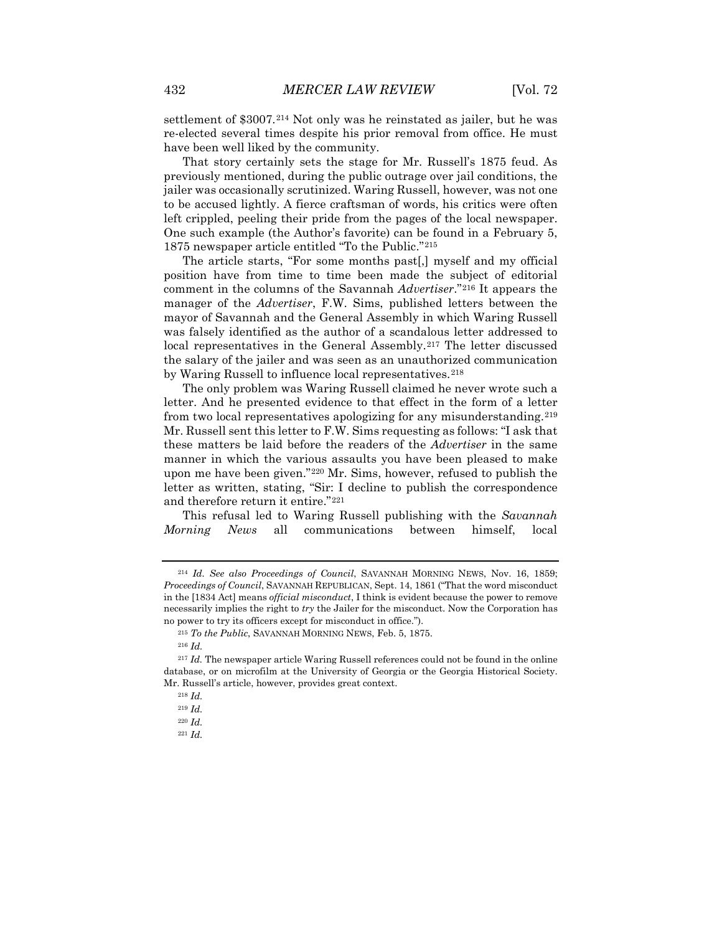settlement of \$3007.<sup>[214](#page-46-0)</sup> Not only was he reinstated as jailer, but he was re-elected several times despite his prior removal from office. He must have been well liked by the community.

That story certainly sets the stage for Mr. Russell's 1875 feud. As previously mentioned, during the public outrage over jail conditions, the jailer was occasionally scrutinized. Waring Russell, however, was not one to be accused lightly. A fierce craftsman of words, his critics were often left crippled, peeling their pride from the pages of the local newspaper. One such example (the Author's favorite) can be found in a February 5, 1875 newspaper article entitled "To the Public."[215](#page-46-1)

The article starts, "For some months past[,] myself and my official position have from time to time been made the subject of editorial comment in the columns of the Savannah *Advertiser*."[216](#page-46-2) It appears the manager of the *Advertiser*, F.W. Sims, published letters between the mayor of Savannah and the General Assembly in which Waring Russell was falsely identified as the author of a scandalous letter addressed to local representatives in the General Assembly.<sup>[217](#page-46-3)</sup> The letter discussed the salary of the jailer and was seen as an unauthorized communication by Waring Russell to influence local representatives.<sup>[218](#page-46-4)</sup>

The only problem was Waring Russell claimed he never wrote such a letter. And he presented evidence to that effect in the form of a letter from two local representatives apologizing for any misunderstanding.[219](#page-46-5) Mr. Russell sent this letter to F.W. Sims requesting as follows: "I ask that these matters be laid before the readers of the *Advertiser* in the same manner in which the various assaults you have been pleased to make upon me have been given."[220](#page-46-6) Mr. Sims, however, refused to publish the letter as written, stating, "Sir: I decline to publish the correspondence and therefore return it entire."[221](#page-46-7)

This refusal led to Waring Russell publishing with the *Savannah Morning News* all communications between himself, local

<span id="page-46-0"></span><sup>214</sup> *Id. See also Proceedings of Council*, SAVANNAH MORNING NEWS, Nov. 16, 1859; *Proceedings of Council*, SAVANNAH REPUBLICAN, Sept. 14, 1861 ("That the word misconduct in the [1834 Act] means *official misconduct*, I think is evident because the power to remove necessarily implies the right to *try* the Jailer for the misconduct. Now the Corporation has no power to try its officers except for misconduct in office.").

<sup>215</sup> *To the Public*, SAVANNAH MORNING NEWS, Feb. 5, 1875.

<sup>216</sup> *Id.*

<span id="page-46-6"></span><span id="page-46-5"></span><span id="page-46-4"></span><span id="page-46-3"></span><span id="page-46-2"></span><span id="page-46-1"></span><sup>217</sup> *Id.* The newspaper article Waring Russell references could not be found in the online database, or on microfilm at the University of Georgia or the Georgia Historical Society. Mr. Russell's article, however, provides great context.

<sup>218</sup> *Id.*

<sup>219</sup> *Id.*

<sup>220</sup> *Id.*

<span id="page-46-7"></span><sup>221</sup> *Id.*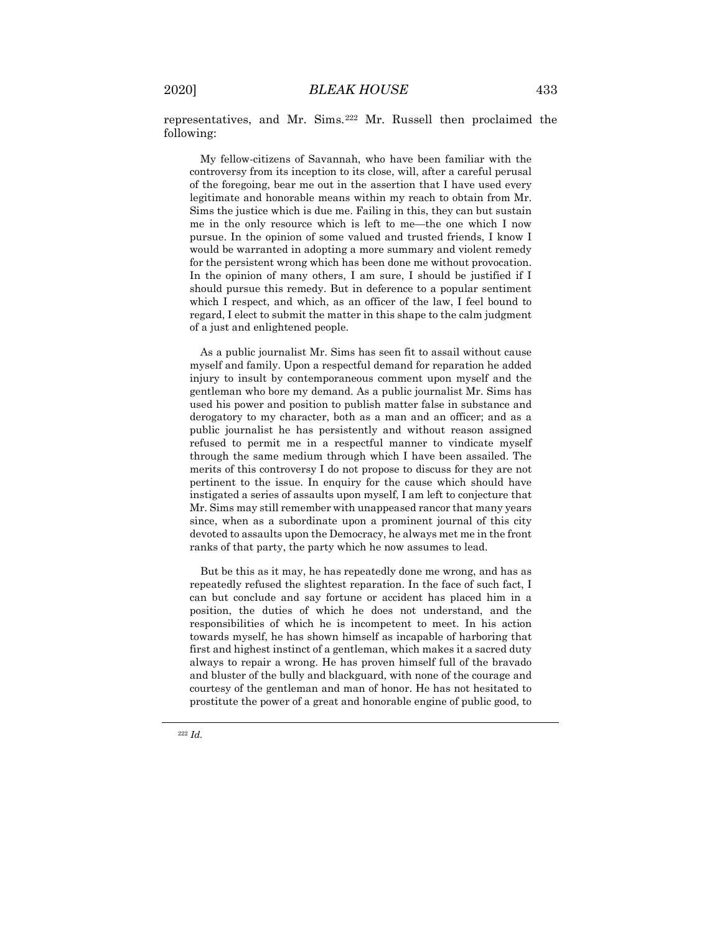representatives, and Mr. Sims.[222](#page-47-0) Mr. Russell then proclaimed the following:

My fellow-citizens of Savannah, who have been familiar with the controversy from its inception to its close, will, after a careful perusal of the foregoing, bear me out in the assertion that I have used every legitimate and honorable means within my reach to obtain from Mr. Sims the justice which is due me. Failing in this, they can but sustain me in the only resource which is left to me—the one which I now pursue. In the opinion of some valued and trusted friends, I know I would be warranted in adopting a more summary and violent remedy for the persistent wrong which has been done me without provocation. In the opinion of many others, I am sure, I should be justified if I should pursue this remedy. But in deference to a popular sentiment which I respect, and which, as an officer of the law, I feel bound to regard, I elect to submit the matter in this shape to the calm judgment of a just and enlightened people.

As a public journalist Mr. Sims has seen fit to assail without cause myself and family. Upon a respectful demand for reparation he added injury to insult by contemporaneous comment upon myself and the gentleman who bore my demand. As a public journalist Mr. Sims has used his power and position to publish matter false in substance and derogatory to my character, both as a man and an officer; and as a public journalist he has persistently and without reason assigned refused to permit me in a respectful manner to vindicate myself through the same medium through which I have been assailed. The merits of this controversy I do not propose to discuss for they are not pertinent to the issue. In enquiry for the cause which should have instigated a series of assaults upon myself, I am left to conjecture that Mr. Sims may still remember with unappeased rancor that many years since, when as a subordinate upon a prominent journal of this city devoted to assaults upon the Democracy, he always met me in the front ranks of that party, the party which he now assumes to lead.

<span id="page-47-0"></span>But be this as it may, he has repeatedly done me wrong, and has as repeatedly refused the slightest reparation. In the face of such fact, I can but conclude and say fortune or accident has placed him in a position, the duties of which he does not understand, and the responsibilities of which he is incompetent to meet. In his action towards myself, he has shown himself as incapable of harboring that first and highest instinct of a gentleman, which makes it a sacred duty always to repair a wrong. He has proven himself full of the bravado and bluster of the bully and blackguard, with none of the courage and courtesy of the gentleman and man of honor. He has not hesitated to prostitute the power of a great and honorable engine of public good, to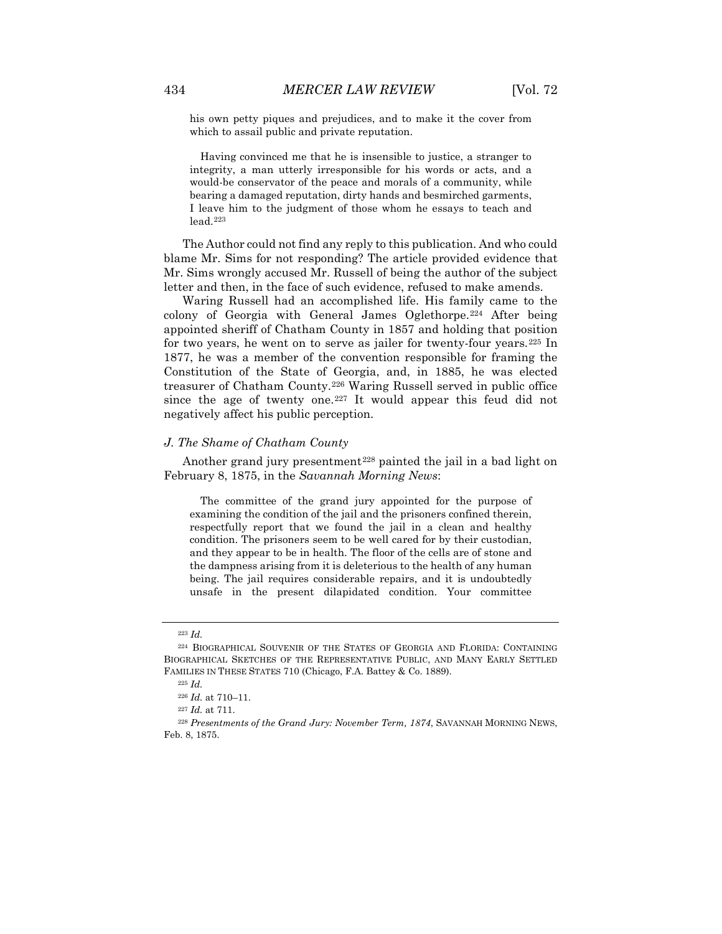his own petty piques and prejudices, and to make it the cover from which to assail public and private reputation.

Having convinced me that he is insensible to justice, a stranger to integrity, a man utterly irresponsible for his words or acts, and a would-be conservator of the peace and morals of a community, while bearing a damaged reputation, dirty hands and besmirched garments, I leave him to the judgment of those whom he essays to teach and lead[.223](#page-48-0)

The Author could not find any reply to this publication. And who could blame Mr. Sims for not responding? The article provided evidence that Mr. Sims wrongly accused Mr. Russell of being the author of the subject letter and then, in the face of such evidence, refused to make amends.

Waring Russell had an accomplished life. His family came to the colony of Georgia with General James Oglethorpe.[224](#page-48-1) After being appointed sheriff of Chatham County in 1857 and holding that position for two years, he went on to serve as jailer for twenty-four years.<sup>[225](#page-48-2)</sup> In 1877, he was a member of the convention responsible for framing the Constitution of the State of Georgia, and, in 1885, he was elected treasurer of Chatham County.[226](#page-48-3) Waring Russell served in public office since the age of twenty one.[227](#page-48-4) It would appear this feud did not negatively affect his public perception.

# *J. The Shame of Chatham County*

Another grand jury presentment<sup>[228](#page-48-5)</sup> painted the jail in a bad light on February 8, 1875, in the *Savannah Morning News*:

The committee of the grand jury appointed for the purpose of examining the condition of the jail and the prisoners confined therein, respectfully report that we found the jail in a clean and healthy condition. The prisoners seem to be well cared for by their custodian, and they appear to be in health. The floor of the cells are of stone and the dampness arising from it is deleterious to the health of any human being. The jail requires considerable repairs, and it is undoubtedly unsafe in the present dilapidated condition. Your committee

<sup>223</sup> *Id.*

<span id="page-48-2"></span><span id="page-48-1"></span><span id="page-48-0"></span><sup>224</sup> BIOGRAPHICAL SOUVENIR OF THE STATES OF GEORGIA AND FLORIDA: CONTAINING BIOGRAPHICAL SKETCHES OF THE REPRESENTATIVE PUBLIC, AND MANY EARLY SETTLED FAMILIES IN THESE STATES 710 (Chicago, F.A. Battey & Co. 1889).

<sup>225</sup> *Id.*

<sup>226</sup> *Id.* at 710–11.

<sup>227</sup> *Id.* at 711.

<span id="page-48-5"></span><span id="page-48-4"></span><span id="page-48-3"></span><sup>228</sup> *Presentments of the Grand Jury: November Term, 1874*, SAVANNAH MORNING NEWS, Feb. 8, 1875.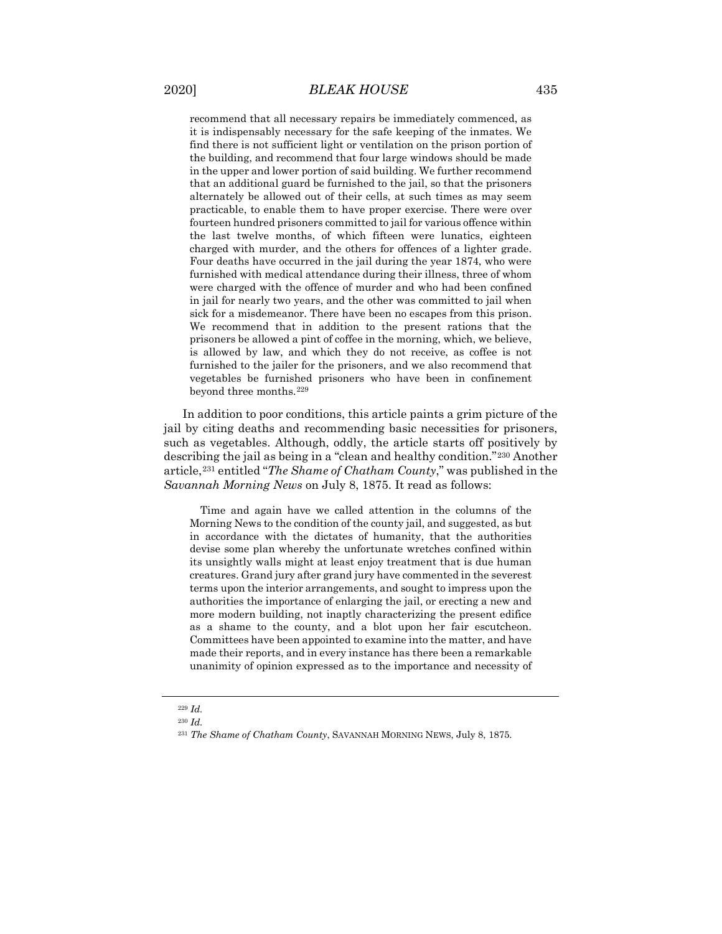recommend that all necessary repairs be immediately commenced, as it is indispensably necessary for the safe keeping of the inmates. We find there is not sufficient light or ventilation on the prison portion of the building, and recommend that four large windows should be made in the upper and lower portion of said building. We further recommend that an additional guard be furnished to the jail, so that the prisoners alternately be allowed out of their cells, at such times as may seem practicable, to enable them to have proper exercise. There were over fourteen hundred prisoners committed to jail for various offence within the last twelve months, of which fifteen were lunatics, eighteen charged with murder, and the others for offences of a lighter grade. Four deaths have occurred in the jail during the year 1874, who were furnished with medical attendance during their illness, three of whom were charged with the offence of murder and who had been confined in jail for nearly two years, and the other was committed to jail when sick for a misdemeanor. There have been no escapes from this prison. We recommend that in addition to the present rations that the prisoners be allowed a pint of coffee in the morning, which, we believe, is allowed by law, and which they do not receive, as coffee is not furnished to the jailer for the prisoners, and we also recommend that vegetables be furnished prisoners who have been in confinement beyond three months.[229](#page-49-0)

In addition to poor conditions, this article paints a grim picture of the jail by citing deaths and recommending basic necessities for prisoners, such as vegetables. Although, oddly, the article starts off positively by describing the jail as being in a "clean and healthy condition."[230](#page-49-1) Another article,[231](#page-49-2) entitled "*The Shame of Chatham County*," was published in the *Savannah Morning News* on July 8, 1875. It read as follows:

Time and again have we called attention in the columns of the Morning News to the condition of the county jail, and suggested, as but in accordance with the dictates of humanity, that the authorities devise some plan whereby the unfortunate wretches confined within its unsightly walls might at least enjoy treatment that is due human creatures. Grand jury after grand jury have commented in the severest terms upon the interior arrangements, and sought to impress upon the authorities the importance of enlarging the jail, or erecting a new and more modern building, not inaptly characterizing the present edifice as a shame to the county, and a blot upon her fair escutcheon. Committees have been appointed to examine into the matter, and have made their reports, and in every instance has there been a remarkable unanimity of opinion expressed as to the importance and necessity of

<sup>229</sup> *Id.*

<span id="page-49-2"></span><span id="page-49-1"></span><span id="page-49-0"></span><sup>230</sup> *Id.*

<sup>231</sup> *The Shame of Chatham County*, SAVANNAH MORNING NEWS, July 8, 1875.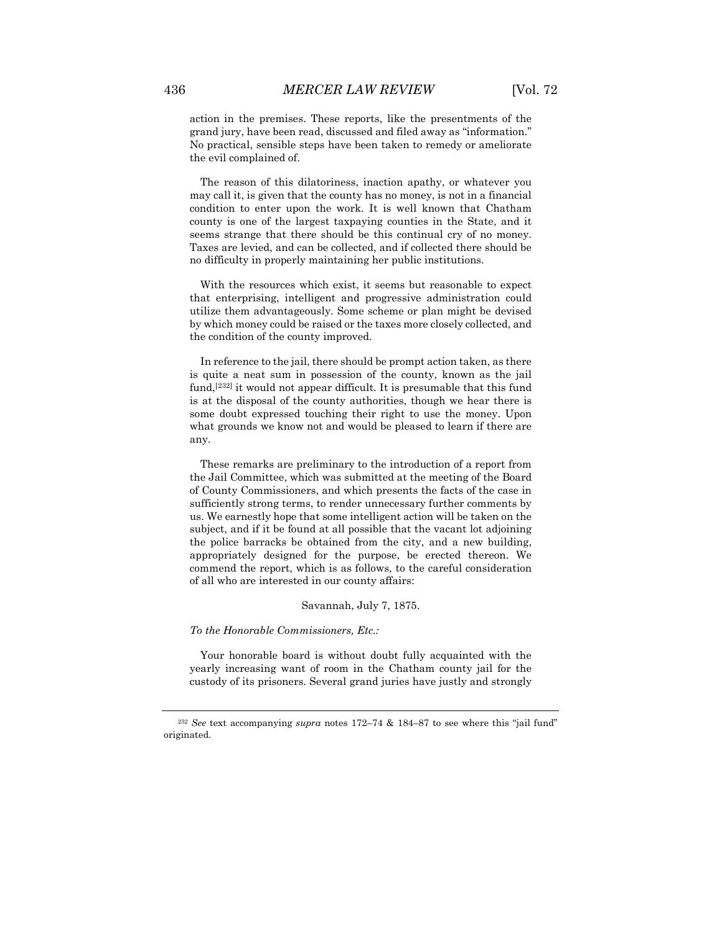action in the premises. These reports, like the presentments of the grand jury, have been read, discussed and filed away as "information." No practical, sensible steps have been taken to remedy or ameliorate the evil complained of.

The reason of this dilatoriness, inaction apathy, or whatever you may call it, is given that the county has no money, is not in a financial condition to enter upon the work. It is well known that Chatham county is one of the largest taxpaying counties in the State, and it seems strange that there should be this continual cry of no money. Taxes are levied, and can be collected, and if collected there should be no difficulty in properly maintaining her public institutions.

With the resources which exist, it seems but reasonable to expect that enterprising, intelligent and progressive administration could utilize them advantageously. Some scheme or plan might be devised by which money could be raised or the taxes more closely collected, and the condition of the county improved.

In reference to the jail, there should be prompt action taken, as there is quite a neat sum in possession of the county, known as the jail fund,[[232](#page-50-0)] it would not appear difficult. It is presumable that this fund is at the disposal of the county authorities, though we hear there is some doubt expressed touching their right to use the money. Upon what grounds we know not and would be pleased to learn if there are any.

These remarks are preliminary to the introduction of a report from the Jail Committee, which was submitted at the meeting of the Board of County Commissioners, and which presents the facts of the case in sufficiently strong terms, to render unnecessary further comments by us. We earnestly hope that some intelligent action will be taken on the subject, and if it be found at all possible that the vacant lot adjoining the police barracks be obtained from the city, and a new building, appropriately designed for the purpose, be erected thereon. We commend the report, which is as follows, to the careful consideration of all who are interested in our county affairs:

#### Savannah, July 7, 1875.

*To the Honorable Commissioners, Etc.:*

Your honorable board is without doubt fully acquainted with the yearly increasing want of room in the Chatham county jail for the custody of its prisoners. Several grand juries have justly and strongly

<span id="page-50-0"></span><sup>232</sup> *See* text accompanying *supra* notes 172–74 & 184–87 to see where this "jail fund" originated.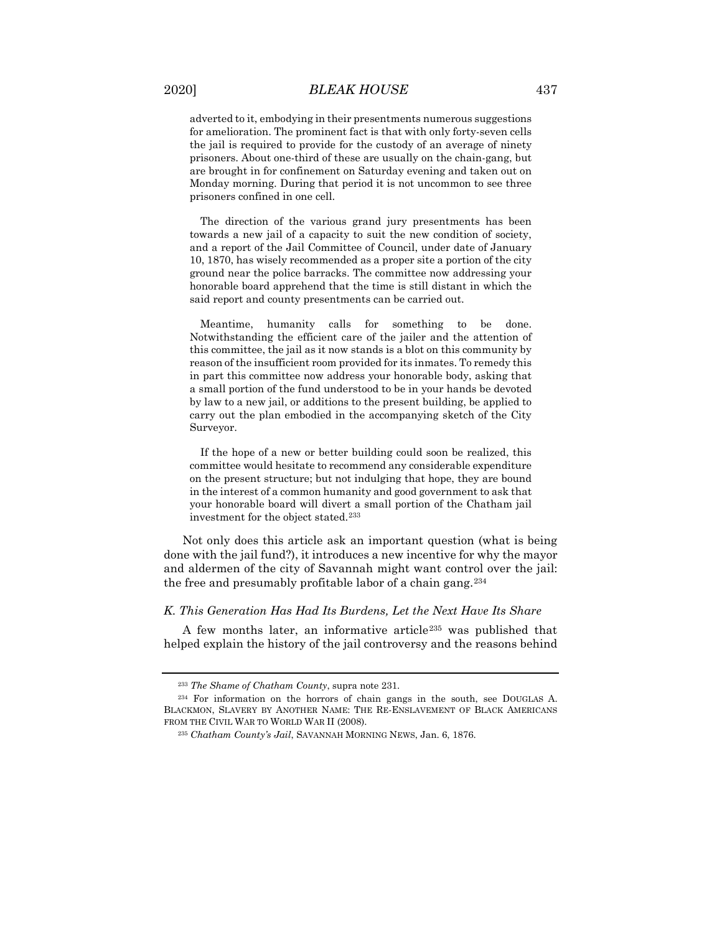adverted to it, embodying in their presentments numerous suggestions for amelioration. The prominent fact is that with only forty-seven cells the jail is required to provide for the custody of an average of ninety prisoners. About one-third of these are usually on the chain-gang, but are brought in for confinement on Saturday evening and taken out on Monday morning. During that period it is not uncommon to see three prisoners confined in one cell.

The direction of the various grand jury presentments has been towards a new jail of a capacity to suit the new condition of society, and a report of the Jail Committee of Council, under date of January 10, 1870, has wisely recommended as a proper site a portion of the city ground near the police barracks. The committee now addressing your honorable board apprehend that the time is still distant in which the said report and county presentments can be carried out.

Meantime, humanity calls for something to be done. Notwithstanding the efficient care of the jailer and the attention of this committee, the jail as it now stands is a blot on this community by reason of the insufficient room provided for its inmates. To remedy this in part this committee now address your honorable body, asking that a small portion of the fund understood to be in your hands be devoted by law to a new jail, or additions to the present building, be applied to carry out the plan embodied in the accompanying sketch of the City Surveyor.

If the hope of a new or better building could soon be realized, this committee would hesitate to recommend any considerable expenditure on the present structure; but not indulging that hope, they are bound in the interest of a common humanity and good government to ask that your honorable board will divert a small portion of the Chatham jail investment for the object stated.[233](#page-51-0)

Not only does this article ask an important question (what is being done with the jail fund?), it introduces a new incentive for why the mayor and aldermen of the city of Savannah might want control over the jail: the free and presumably profitable labor of a chain gang.[234](#page-51-1)

# *K. This Generation Has Had Its Burdens, Let the Next Have Its Share*

A few months later, an informative article[235](#page-51-2) was published that helped explain the history of the jail controversy and the reasons behind

<sup>233</sup> *The Shame of Chatham County*, supra note 231.

<span id="page-51-2"></span><span id="page-51-1"></span><span id="page-51-0"></span><sup>234</sup> For information on the horrors of chain gangs in the south, see DOUGLAS A. BLACKMON, SLAVERY BY ANOTHER NAME: THE RE-ENSLAVEMENT OF BLACK AMERICANS FROM THE CIVIL WAR TO WORLD WAR II (2008).

<sup>235</sup> *Chatham County's Jail*, SAVANNAH MORNING NEWS, Jan. 6, 1876.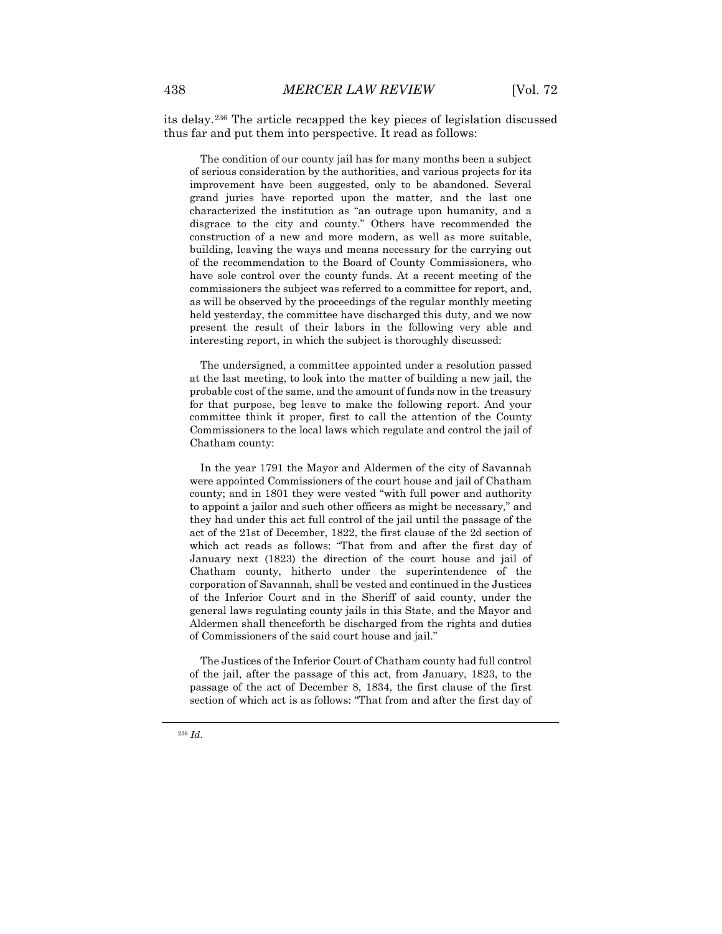its delay.[236](#page-52-0) The article recapped the key pieces of legislation discussed thus far and put them into perspective. It read as follows:

The condition of our county jail has for many months been a subject of serious consideration by the authorities, and various projects for its improvement have been suggested, only to be abandoned. Several grand juries have reported upon the matter, and the last one characterized the institution as "an outrage upon humanity, and a disgrace to the city and county." Others have recommended the construction of a new and more modern, as well as more suitable, building, leaving the ways and means necessary for the carrying out of the recommendation to the Board of County Commissioners, who have sole control over the county funds. At a recent meeting of the commissioners the subject was referred to a committee for report, and, as will be observed by the proceedings of the regular monthly meeting held yesterday, the committee have discharged this duty, and we now present the result of their labors in the following very able and interesting report, in which the subject is thoroughly discussed:

The undersigned, a committee appointed under a resolution passed at the last meeting, to look into the matter of building a new jail, the probable cost of the same, and the amount of funds now in the treasury for that purpose, beg leave to make the following report. And your committee think it proper, first to call the attention of the County Commissioners to the local laws which regulate and control the jail of Chatham county:

In the year 1791 the Mayor and Aldermen of the city of Savannah were appointed Commissioners of the court house and jail of Chatham county; and in 1801 they were vested "with full power and authority to appoint a jailor and such other officers as might be necessary," and they had under this act full control of the jail until the passage of the act of the 21st of December, 1822, the first clause of the 2d section of which act reads as follows: "That from and after the first day of January next (1823) the direction of the court house and jail of Chatham county, hitherto under the superintendence of the corporation of Savannah, shall be vested and continued in the Justices of the Inferior Court and in the Sheriff of said county, under the general laws regulating county jails in this State, and the Mayor and Aldermen shall thenceforth be discharged from the rights and duties of Commissioners of the said court house and jail."

<span id="page-52-0"></span>The Justices of the Inferior Court of Chatham county had full control of the jail, after the passage of this act, from January, 1823, to the passage of the act of December 8, 1834, the first clause of the first section of which act is as follows: "That from and after the first day of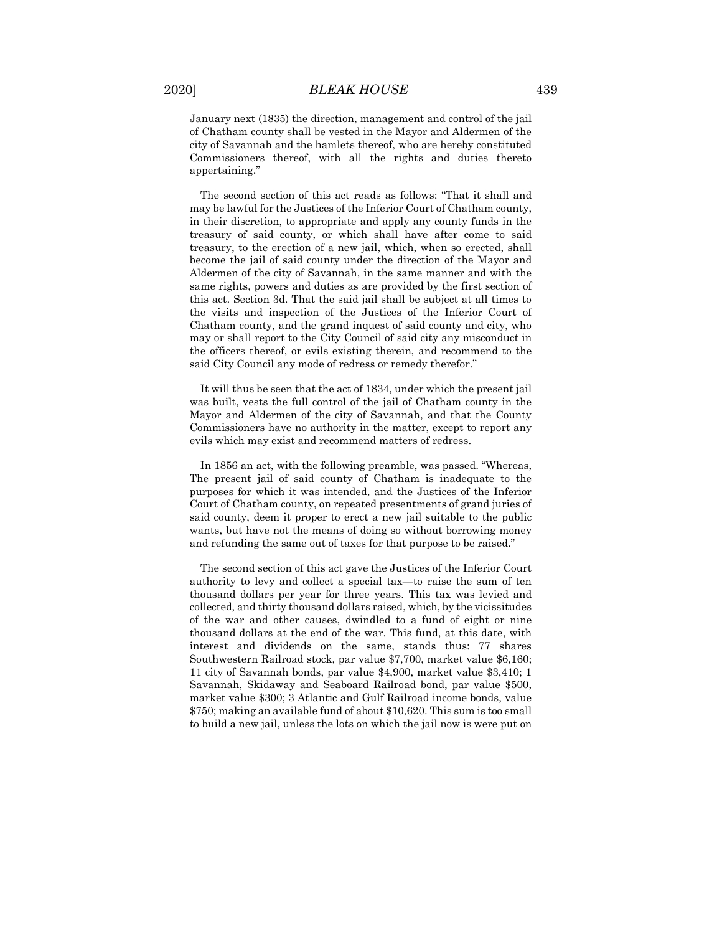January next (1835) the direction, management and control of the jail of Chatham county shall be vested in the Mayor and Aldermen of the city of Savannah and the hamlets thereof, who are hereby constituted Commissioners thereof, with all the rights and duties thereto appertaining."

The second section of this act reads as follows: "That it shall and may be lawful for the Justices of the Inferior Court of Chatham county, in their discretion, to appropriate and apply any county funds in the treasury of said county, or which shall have after come to said treasury, to the erection of a new jail, which, when so erected, shall become the jail of said county under the direction of the Mayor and Aldermen of the city of Savannah, in the same manner and with the same rights, powers and duties as are provided by the first section of this act. Section 3d. That the said jail shall be subject at all times to the visits and inspection of the Justices of the Inferior Court of Chatham county, and the grand inquest of said county and city, who may or shall report to the City Council of said city any misconduct in the officers thereof, or evils existing therein, and recommend to the said City Council any mode of redress or remedy therefor."

It will thus be seen that the act of 1834, under which the present jail was built, vests the full control of the jail of Chatham county in the Mayor and Aldermen of the city of Savannah, and that the County Commissioners have no authority in the matter, except to report any evils which may exist and recommend matters of redress.

In 1856 an act, with the following preamble, was passed. "Whereas, The present jail of said county of Chatham is inadequate to the purposes for which it was intended, and the Justices of the Inferior Court of Chatham county, on repeated presentments of grand juries of said county, deem it proper to erect a new jail suitable to the public wants, but have not the means of doing so without borrowing money and refunding the same out of taxes for that purpose to be raised."

The second section of this act gave the Justices of the Inferior Court authority to levy and collect a special tax—to raise the sum of ten thousand dollars per year for three years. This tax was levied and collected, and thirty thousand dollars raised, which, by the vicissitudes of the war and other causes, dwindled to a fund of eight or nine thousand dollars at the end of the war. This fund, at this date, with interest and dividends on the same, stands thus: 77 shares Southwestern Railroad stock, par value \$7,700, market value \$6,160; 11 city of Savannah bonds, par value \$4,900, market value \$3,410; 1 Savannah, Skidaway and Seaboard Railroad bond, par value \$500, market value \$300; 3 Atlantic and Gulf Railroad income bonds, value \$750; making an available fund of about \$10,620. This sum is too small to build a new jail, unless the lots on which the jail now is were put on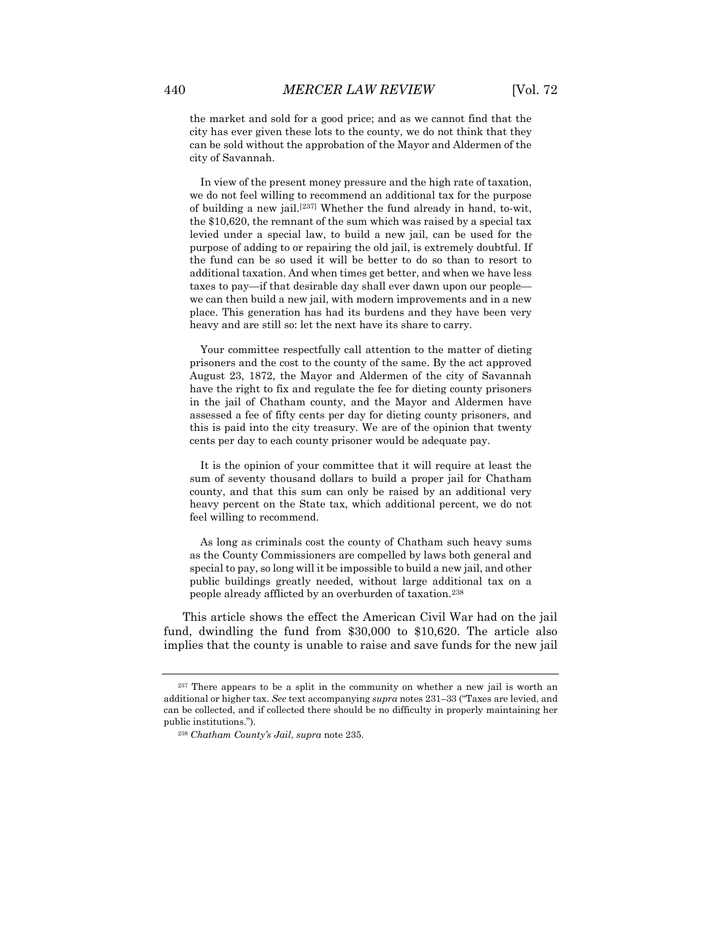the market and sold for a good price; and as we cannot find that the city has ever given these lots to the county, we do not think that they can be sold without the approbation of the Mayor and Aldermen of the city of Savannah.

In view of the present money pressure and the high rate of taxation, we do not feel willing to recommend an additional tax for the purpose of building a new jail.[[237\]](#page-54-0) Whether the fund already in hand, to-wit, the \$10,620, the remnant of the sum which was raised by a special tax levied under a special law, to build a new jail, can be used for the purpose of adding to or repairing the old jail, is extremely doubtful. If the fund can be so used it will be better to do so than to resort to additional taxation. And when times get better, and when we have less taxes to pay—if that desirable day shall ever dawn upon our people we can then build a new jail, with modern improvements and in a new place. This generation has had its burdens and they have been very heavy and are still so: let the next have its share to carry.

Your committee respectfully call attention to the matter of dieting prisoners and the cost to the county of the same. By the act approved August 23, 1872, the Mayor and Aldermen of the city of Savannah have the right to fix and regulate the fee for dieting county prisoners in the jail of Chatham county, and the Mayor and Aldermen have assessed a fee of fifty cents per day for dieting county prisoners, and this is paid into the city treasury. We are of the opinion that twenty cents per day to each county prisoner would be adequate pay.

It is the opinion of your committee that it will require at least the sum of seventy thousand dollars to build a proper jail for Chatham county, and that this sum can only be raised by an additional very heavy percent on the State tax, which additional percent, we do not feel willing to recommend.

As long as criminals cost the county of Chatham such heavy sums as the County Commissioners are compelled by laws both general and special to pay, so long will it be impossible to build a new jail, and other public buildings greatly needed, without large additional tax on a people already afflicted by an overburden of taxation.[238](#page-54-1)

This article shows the effect the American Civil War had on the jail fund, dwindling the fund from \$30,000 to \$10,620. The article also implies that the county is unable to raise and save funds for the new jail

<span id="page-54-1"></span><span id="page-54-0"></span><sup>237</sup> There appears to be a split in the community on whether a new jail is worth an additional or higher tax. *See* text accompanying *supra* notes 231–33 ("Taxes are levied, and can be collected, and if collected there should be no difficulty in properly maintaining her public institutions.").

<sup>238</sup> *Chatham County's Jail*, *supra* note 235.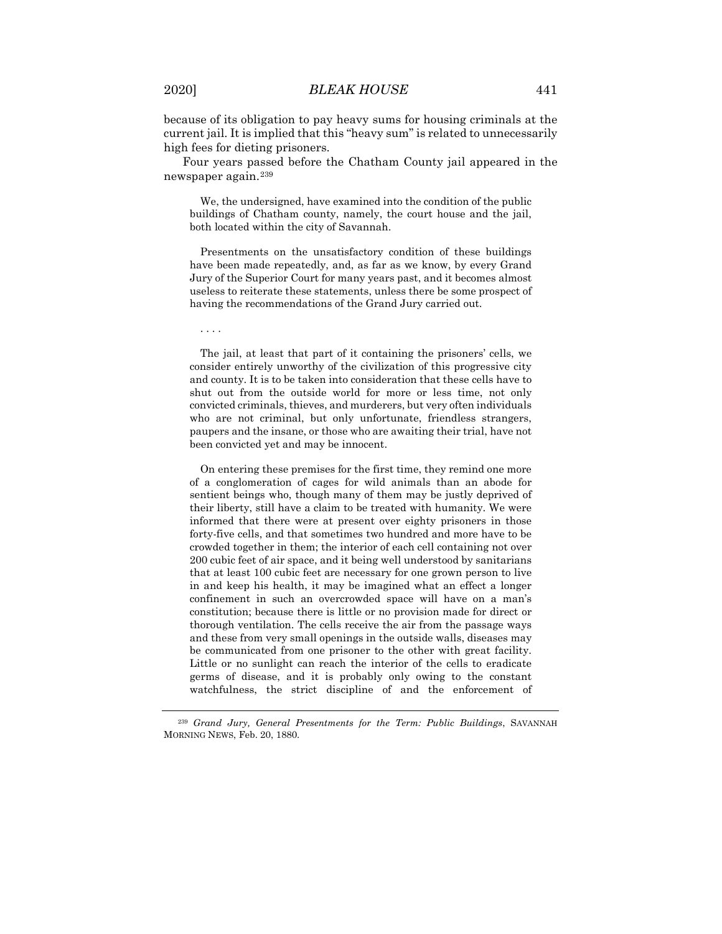because of its obligation to pay heavy sums for housing criminals at the current jail. It is implied that this "heavy sum" is related to unnecessarily high fees for dieting prisoners.

Four years passed before the Chatham County jail appeared in the newspaper again.[239](#page-55-0)

We, the undersigned, have examined into the condition of the public buildings of Chatham county, namely, the court house and the jail, both located within the city of Savannah.

Presentments on the unsatisfactory condition of these buildings have been made repeatedly, and, as far as we know, by every Grand Jury of the Superior Court for many years past, and it becomes almost useless to reiterate these statements, unless there be some prospect of having the recommendations of the Grand Jury carried out.

. . . .

The jail, at least that part of it containing the prisoners' cells, we consider entirely unworthy of the civilization of this progressive city and county. It is to be taken into consideration that these cells have to shut out from the outside world for more or less time, not only convicted criminals, thieves, and murderers, but very often individuals who are not criminal, but only unfortunate, friendless strangers, paupers and the insane, or those who are awaiting their trial, have not been convicted yet and may be innocent.

On entering these premises for the first time, they remind one more of a conglomeration of cages for wild animals than an abode for sentient beings who, though many of them may be justly deprived of their liberty, still have a claim to be treated with humanity. We were informed that there were at present over eighty prisoners in those forty-five cells, and that sometimes two hundred and more have to be crowded together in them; the interior of each cell containing not over 200 cubic feet of air space, and it being well understood by sanitarians that at least 100 cubic feet are necessary for one grown person to live in and keep his health, it may be imagined what an effect a longer confinement in such an overcrowded space will have on a man's constitution; because there is little or no provision made for direct or thorough ventilation. The cells receive the air from the passage ways and these from very small openings in the outside walls, diseases may be communicated from one prisoner to the other with great facility. Little or no sunlight can reach the interior of the cells to eradicate germs of disease, and it is probably only owing to the constant watchfulness, the strict discipline of and the enforcement of

<span id="page-55-0"></span><sup>239</sup> *Grand Jury, General Presentments for the Term: Public Buildings*, SAVANNAH MORNING NEWS, Feb. 20, 1880.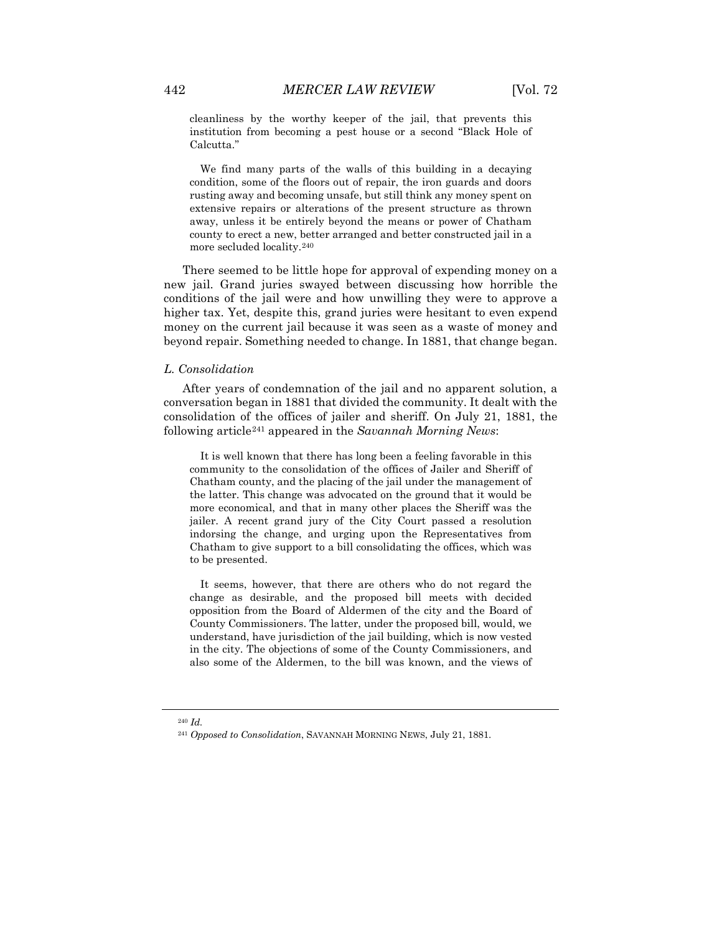cleanliness by the worthy keeper of the jail, that prevents this institution from becoming a pest house or a second "Black Hole of Calcutta."

We find many parts of the walls of this building in a decaying condition, some of the floors out of repair, the iron guards and doors rusting away and becoming unsafe, but still think any money spent on extensive repairs or alterations of the present structure as thrown away, unless it be entirely beyond the means or power of Chatham county to erect a new, better arranged and better constructed jail in a more secluded locality.[240](#page-56-0)

There seemed to be little hope for approval of expending money on a new jail. Grand juries swayed between discussing how horrible the conditions of the jail were and how unwilling they were to approve a higher tax. Yet, despite this, grand juries were hesitant to even expend money on the current jail because it was seen as a waste of money and beyond repair. Something needed to change. In 1881, that change began.

#### *L. Consolidation*

After years of condemnation of the jail and no apparent solution, a conversation began in 1881 that divided the community. It dealt with the consolidation of the offices of jailer and sheriff. On July 21, 1881, the following article[241](#page-56-1) appeared in the *Savannah Morning News*:

It is well known that there has long been a feeling favorable in this community to the consolidation of the offices of Jailer and Sheriff of Chatham county, and the placing of the jail under the management of the latter. This change was advocated on the ground that it would be more economical, and that in many other places the Sheriff was the jailer. A recent grand jury of the City Court passed a resolution indorsing the change, and urging upon the Representatives from Chatham to give support to a bill consolidating the offices, which was to be presented.

It seems, however, that there are others who do not regard the change as desirable, and the proposed bill meets with decided opposition from the Board of Aldermen of the city and the Board of County Commissioners. The latter, under the proposed bill, would, we understand, have jurisdiction of the jail building, which is now vested in the city. The objections of some of the County Commissioners, and also some of the Aldermen, to the bill was known, and the views of

<span id="page-56-1"></span><span id="page-56-0"></span><sup>240</sup> *Id.*

<sup>241</sup> *Opposed to Consolidation*, SAVANNAH MORNING NEWS, July 21, 1881.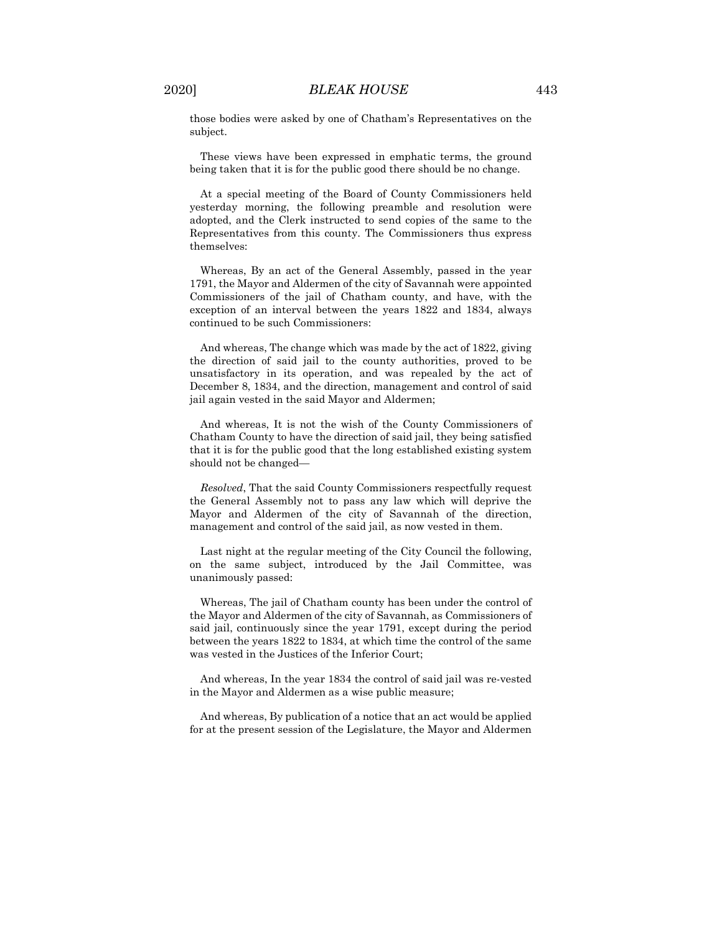those bodies were asked by one of Chatham's Representatives on the subject.

These views have been expressed in emphatic terms, the ground being taken that it is for the public good there should be no change.

At a special meeting of the Board of County Commissioners held yesterday morning, the following preamble and resolution were adopted, and the Clerk instructed to send copies of the same to the Representatives from this county. The Commissioners thus express themselves:

Whereas, By an act of the General Assembly, passed in the year 1791, the Mayor and Aldermen of the city of Savannah were appointed Commissioners of the jail of Chatham county, and have, with the exception of an interval between the years 1822 and 1834, always continued to be such Commissioners:

And whereas, The change which was made by the act of 1822, giving the direction of said jail to the county authorities, proved to be unsatisfactory in its operation, and was repealed by the act of December 8, 1834, and the direction, management and control of said jail again vested in the said Mayor and Aldermen;

And whereas, It is not the wish of the County Commissioners of Chatham County to have the direction of said jail, they being satisfied that it is for the public good that the long established existing system should not be changed—

*Resolved*, That the said County Commissioners respectfully request the General Assembly not to pass any law which will deprive the Mayor and Aldermen of the city of Savannah of the direction, management and control of the said jail, as now vested in them.

Last night at the regular meeting of the City Council the following, on the same subject, introduced by the Jail Committee, was unanimously passed:

Whereas, The jail of Chatham county has been under the control of the Mayor and Aldermen of the city of Savannah, as Commissioners of said jail, continuously since the year 1791, except during the period between the years 1822 to 1834, at which time the control of the same was vested in the Justices of the Inferior Court;

And whereas, In the year 1834 the control of said jail was re-vested in the Mayor and Aldermen as a wise public measure;

And whereas, By publication of a notice that an act would be applied for at the present session of the Legislature, the Mayor and Aldermen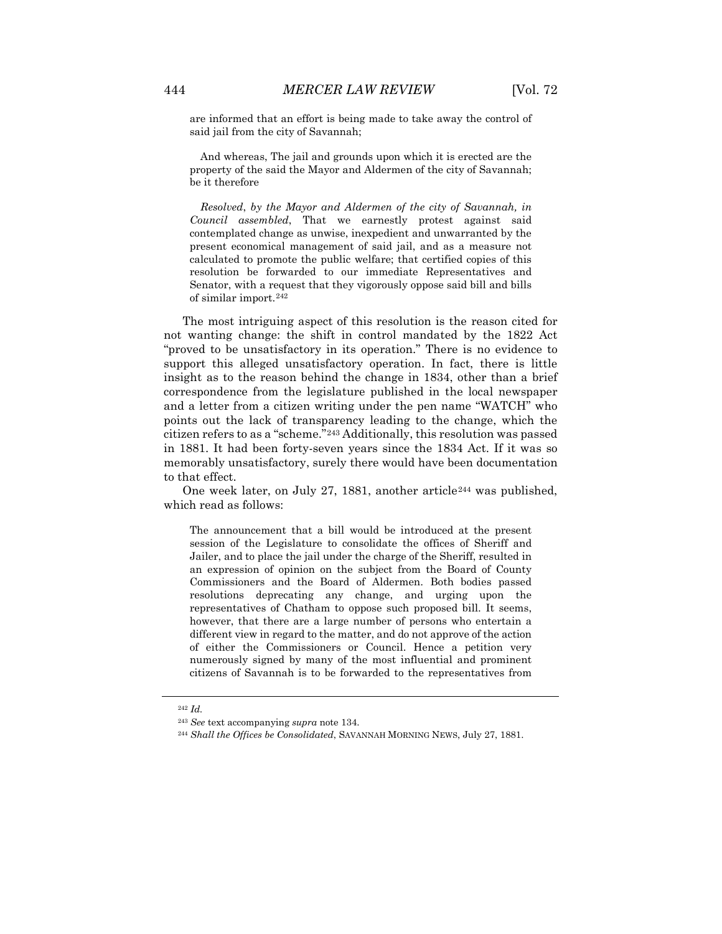are informed that an effort is being made to take away the control of said jail from the city of Savannah;

And whereas, The jail and grounds upon which it is erected are the property of the said the Mayor and Aldermen of the city of Savannah; be it therefore

*Resolved*, *by the Mayor and Aldermen of the city of Savannah, in Council assembled*, That we earnestly protest against said contemplated change as unwise, inexpedient and unwarranted by the present economical management of said jail, and as a measure not calculated to promote the public welfare; that certified copies of this resolution be forwarded to our immediate Representatives and Senator, with a request that they vigorously oppose said bill and bills of similar import.[242](#page-58-0)

The most intriguing aspect of this resolution is the reason cited for not wanting change: the shift in control mandated by the 1822 Act "proved to be unsatisfactory in its operation." There is no evidence to support this alleged unsatisfactory operation. In fact, there is little insight as to the reason behind the change in 1834, other than a brief correspondence from the legislature published in the local newspaper and a letter from a citizen writing under the pen name "WATCH" who points out the lack of transparency leading to the change, which the citizen refers to as a "scheme."[243](#page-58-1) Additionally, this resolution was passed in 1881. It had been forty-seven years since the 1834 Act. If it was so memorably unsatisfactory, surely there would have been documentation to that effect.

One week later, on July 27, 1881, another article<sup>[244](#page-58-2)</sup> was published, which read as follows:

The announcement that a bill would be introduced at the present session of the Legislature to consolidate the offices of Sheriff and Jailer, and to place the jail under the charge of the Sheriff, resulted in an expression of opinion on the subject from the Board of County Commissioners and the Board of Aldermen. Both bodies passed resolutions deprecating any change, and urging upon the representatives of Chatham to oppose such proposed bill. It seems, however, that there are a large number of persons who entertain a different view in regard to the matter, and do not approve of the action of either the Commissioners or Council. Hence a petition very numerously signed by many of the most influential and prominent citizens of Savannah is to be forwarded to the representatives from

<span id="page-58-0"></span><sup>242</sup> *Id.*

<span id="page-58-1"></span><sup>243</sup> *See* text accompanying *supra* note 134.

<span id="page-58-2"></span><sup>244</sup> *Shall the Offices be Consolidated*, SAVANNAH MORNING NEWS, July 27, 1881.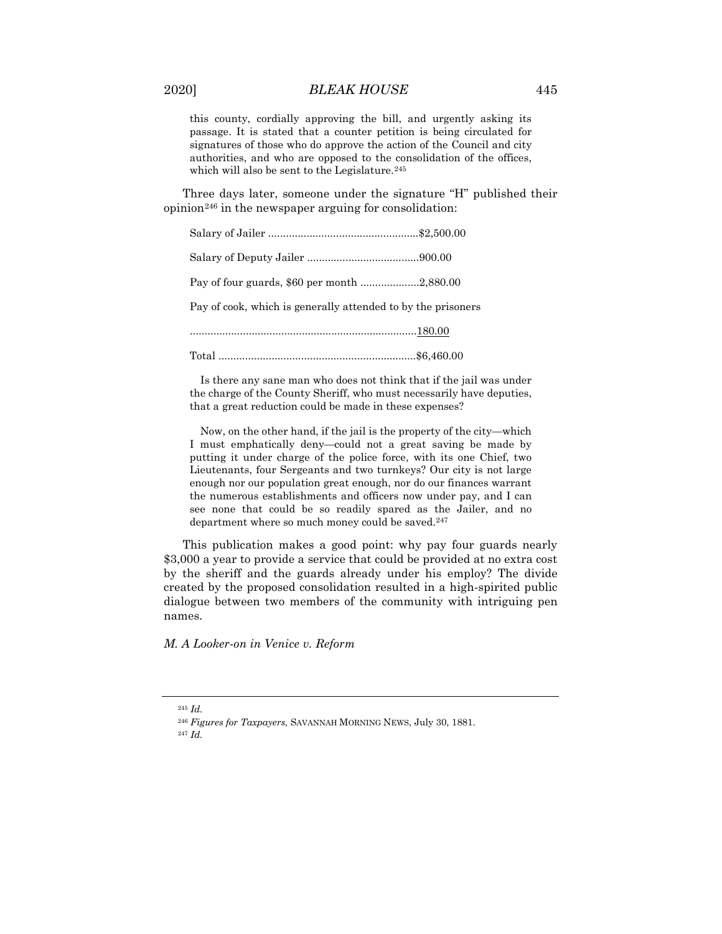this county, cordially approving the bill, and urgently asking its passage. It is stated that a counter petition is being circulated for signatures of those who do approve the action of the Council and city authorities, and who are opposed to the consolidation of the offices, which will also be sent to the Legislature.<sup>[245](#page-59-0)</sup>

Three days later, someone under the signature "H" published their  $opinion<sup>246</sup>$  $opinion<sup>246</sup>$  $opinion<sup>246</sup>$  in the newspaper arguing for consolidation:

| Pay of four guards, \$60 per month 2,880.00                  |  |
|--------------------------------------------------------------|--|
| Pay of cook, which is generally attended to by the prisoners |  |
|                                                              |  |
|                                                              |  |
|                                                              |  |

Is there any sane man who does not think that if the jail was under the charge of the County Sheriff, who must necessarily have deputies, that a great reduction could be made in these expenses?

Now, on the other hand, if the jail is the property of the city—which I must emphatically deny—could not a great saving be made by putting it under charge of the police force, with its one Chief, two Lieutenants, four Sergeants and two turnkeys? Our city is not large enough nor our population great enough, nor do our finances warrant the numerous establishments and officers now under pay, and I can see none that could be so readily spared as the Jailer, and no department where so much money could be saved.<sup>[247](#page-59-2)</sup>

This publication makes a good point: why pay four guards nearly \$3,000 a year to provide a service that could be provided at no extra cost by the sheriff and the guards already under his employ? The divide created by the proposed consolidation resulted in a high-spirited public dialogue between two members of the community with intriguing pen names.

<span id="page-59-0"></span>*M. A Looker-on in Venice v. Reform*

<sup>245</sup> *Id.*

<span id="page-59-1"></span><sup>246</sup> *Figures for Taxpayers*, SAVANNAH MORNING NEWS, July 30, 1881.

<span id="page-59-2"></span><sup>247</sup> *Id.*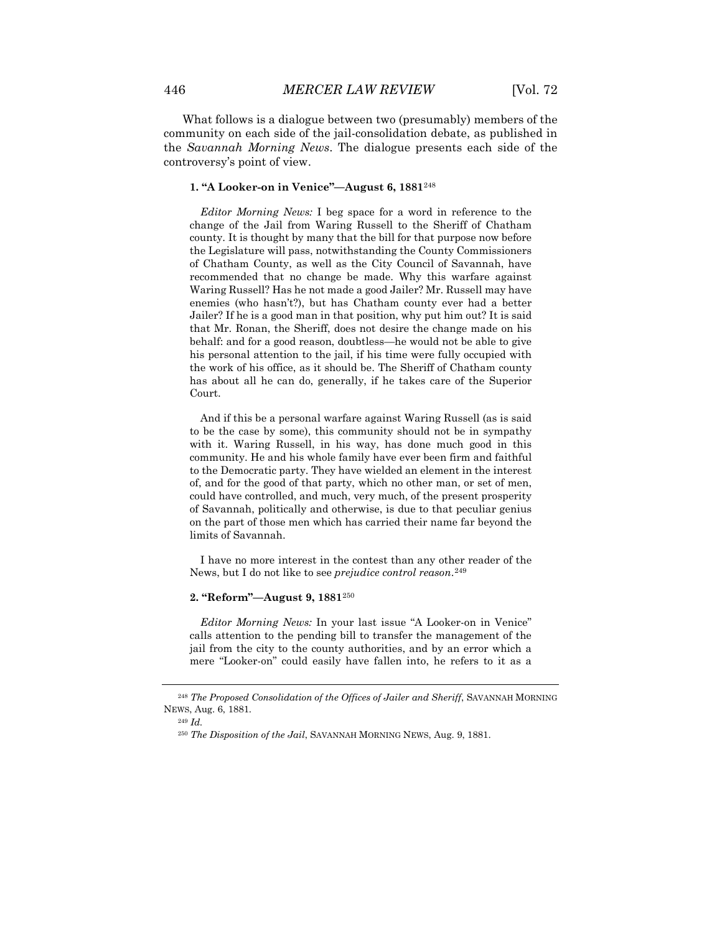What follows is a dialogue between two (presumably) members of the community on each side of the jail-consolidation debate, as published in the *Savannah Morning News*. The dialogue presents each side of the controversy's point of view.

# **1. "A Looker-on in Venice"—August 6, 1881**[248](#page-60-0)

*Editor Morning News:* I beg space for a word in reference to the change of the Jail from Waring Russell to the Sheriff of Chatham county. It is thought by many that the bill for that purpose now before the Legislature will pass, notwithstanding the County Commissioners of Chatham County, as well as the City Council of Savannah, have recommended that no change be made. Why this warfare against Waring Russell? Has he not made a good Jailer? Mr. Russell may have enemies (who hasn't?), but has Chatham county ever had a better Jailer? If he is a good man in that position, why put him out? It is said that Mr. Ronan, the Sheriff, does not desire the change made on his behalf: and for a good reason, doubtless—he would not be able to give his personal attention to the jail, if his time were fully occupied with the work of his office, as it should be. The Sheriff of Chatham county has about all he can do, generally, if he takes care of the Superior Court.

And if this be a personal warfare against Waring Russell (as is said to be the case by some), this community should not be in sympathy with it. Waring Russell, in his way, has done much good in this community. He and his whole family have ever been firm and faithful to the Democratic party. They have wielded an element in the interest of, and for the good of that party, which no other man, or set of men, could have controlled, and much, very much, of the present prosperity of Savannah, politically and otherwise, is due to that peculiar genius on the part of those men which has carried their name far beyond the limits of Savannah.

I have no more interest in the contest than any other reader of the News, but I do not like to see *prejudice control reason*.[249](#page-60-1)

## **2. "Reform"—August 9, 1881**[250](#page-60-2)

*Editor Morning News:* In your last issue "A Looker-on in Venice" calls attention to the pending bill to transfer the management of the jail from the city to the county authorities, and by an error which a mere "Looker-on" could easily have fallen into, he refers to it as a

<span id="page-60-2"></span><span id="page-60-1"></span><span id="page-60-0"></span><sup>248</sup> *The Proposed Consolidation of the Offices of Jailer and Sheriff*, SAVANNAH MORNING NEWS, Aug. 6, 1881.

<sup>249</sup> *Id.*

<sup>250</sup> *The Disposition of the Jail*, SAVANNAH MORNING NEWS, Aug. 9, 1881.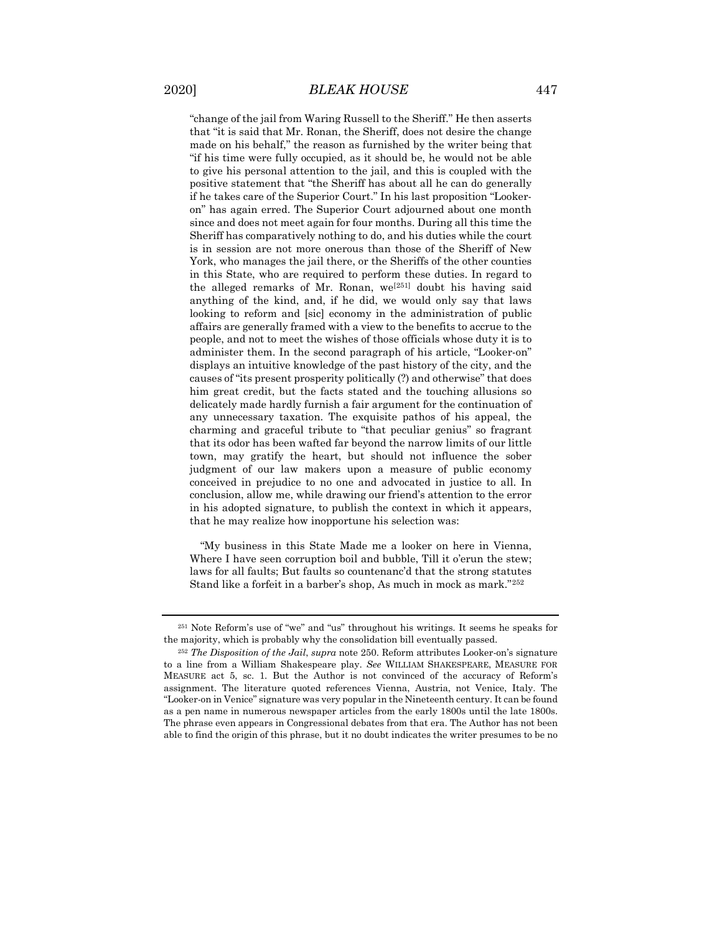"change of the jail from Waring Russell to the Sheriff." He then asserts that "it is said that Mr. Ronan, the Sheriff, does not desire the change made on his behalf," the reason as furnished by the writer being that "if his time were fully occupied, as it should be, he would not be able to give his personal attention to the jail, and this is coupled with the positive statement that "the Sheriff has about all he can do generally if he takes care of the Superior Court." In his last proposition "Lookeron" has again erred. The Superior Court adjourned about one month since and does not meet again for four months. During all this time the Sheriff has comparatively nothing to do, and his duties while the court is in session are not more onerous than those of the Sheriff of New York, who manages the jail there, or the Sheriffs of the other counties in this State, who are required to perform these duties. In regard to the alleged remarks of Mr. Ronan, we[[251](#page-61-0)] doubt his having said anything of the kind, and, if he did, we would only say that laws looking to reform and [sic] economy in the administration of public affairs are generally framed with a view to the benefits to accrue to the people, and not to meet the wishes of those officials whose duty it is to administer them. In the second paragraph of his article, "Looker-on" displays an intuitive knowledge of the past history of the city, and the causes of "its present prosperity politically (?) and otherwise" that does him great credit, but the facts stated and the touching allusions so delicately made hardly furnish a fair argument for the continuation of any unnecessary taxation. The exquisite pathos of his appeal, the charming and graceful tribute to "that peculiar genius" so fragrant that its odor has been wafted far beyond the narrow limits of our little town, may gratify the heart, but should not influence the sober judgment of our law makers upon a measure of public economy conceived in prejudice to no one and advocated in justice to all. In conclusion, allow me, while drawing our friend's attention to the error in his adopted signature, to publish the context in which it appears, that he may realize how inopportune his selection was:

"My business in this State Made me a looker on here in Vienna, Where I have seen corruption boil and bubble, Till it o'erun the stew; laws for all faults; But faults so countenanc'd that the strong statutes Stand like a forfeit in a barber's shop, As much in mock as mark."[252](#page-61-1)

<span id="page-61-0"></span><sup>251</sup> Note Reform's use of "we" and "us" throughout his writings. It seems he speaks for the majority, which is probably why the consolidation bill eventually passed.

<span id="page-61-1"></span><sup>252</sup> *The Disposition of the Jail*, *supra* note 250. Reform attributes Looker-on's signature to a line from a William Shakespeare play. *See* WILLIAM SHAKESPEARE, MEASURE FOR MEASURE act 5, sc. 1. But the Author is not convinced of the accuracy of Reform's assignment. The literature quoted references Vienna, Austria, not Venice, Italy. The "Looker-on in Venice" signature was very popular in the Nineteenth century. It can be found as a pen name in numerous newspaper articles from the early 1800s until the late 1800s. The phrase even appears in Congressional debates from that era. The Author has not been able to find the origin of this phrase, but it no doubt indicates the writer presumes to be no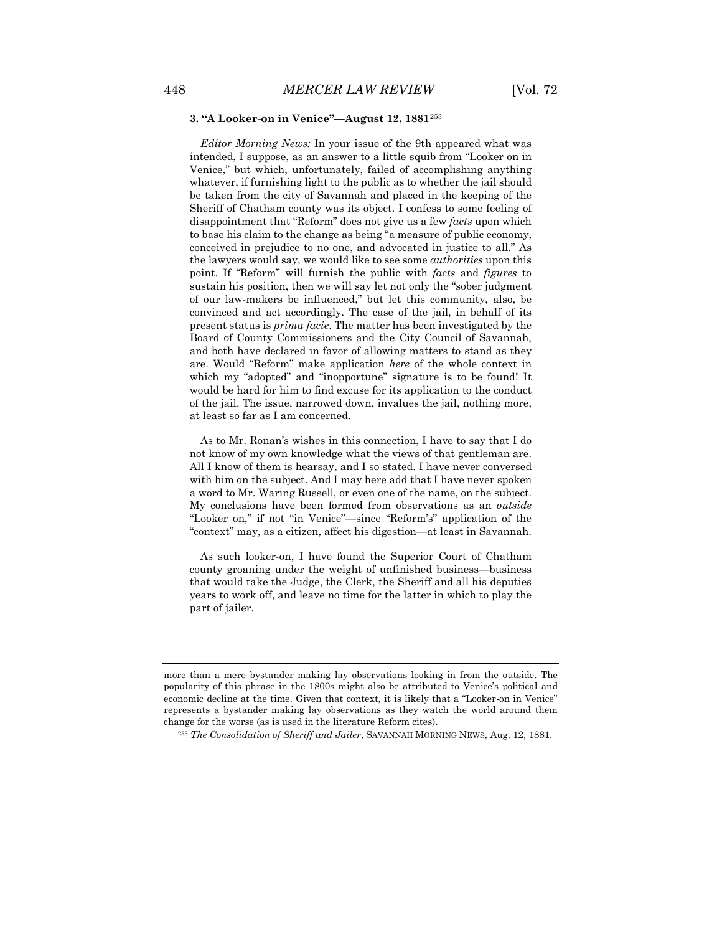### **3. "A Looker-on in Venice"—August 12, 1881**[253](#page-62-0)

*Editor Morning News:* In your issue of the 9th appeared what was intended, I suppose, as an answer to a little squib from "Looker on in Venice," but which, unfortunately, failed of accomplishing anything whatever, if furnishing light to the public as to whether the jail should be taken from the city of Savannah and placed in the keeping of the Sheriff of Chatham county was its object. I confess to some feeling of disappointment that "Reform" does not give us a few *facts* upon which to base his claim to the change as being "a measure of public economy, conceived in prejudice to no one, and advocated in justice to all." As the lawyers would say, we would like to see some *authorities* upon this point. If "Reform" will furnish the public with *facts* and *figures* to sustain his position, then we will say let not only the "sober judgment of our law-makers be influenced," but let this community, also, be convinced and act accordingly. The case of the jail, in behalf of its present status is *prima facie*. The matter has been investigated by the Board of County Commissioners and the City Council of Savannah, and both have declared in favor of allowing matters to stand as they are. Would "Reform" make application *here* of the whole context in which my "adopted" and "inopportune" signature is to be found! It would be hard for him to find excuse for its application to the conduct of the jail. The issue, narrowed down, invalues the jail, nothing more, at least so far as I am concerned.

As to Mr. Ronan's wishes in this connection, I have to say that I do not know of my own knowledge what the views of that gentleman are. All I know of them is hearsay, and I so stated. I have never conversed with him on the subject. And I may here add that I have never spoken a word to Mr. Waring Russell, or even one of the name, on the subject. My conclusions have been formed from observations as an *outside* "Looker on," if not "in Venice"—since "Reform's" application of the "context" may, as a citizen, affect his digestion—at least in Savannah.

As such looker-on, I have found the Superior Court of Chatham county groaning under the weight of unfinished business—business that would take the Judge, the Clerk, the Sheriff and all his deputies years to work off, and leave no time for the latter in which to play the part of jailer.

<span id="page-62-0"></span>more than a mere bystander making lay observations looking in from the outside. The popularity of this phrase in the 1800s might also be attributed to Venice's political and economic decline at the time. Given that context, it is likely that a "Looker-on in Venice" represents a bystander making lay observations as they watch the world around them change for the worse (as is used in the literature Reform cites).

<sup>253</sup> *The Consolidation of Sheriff and Jailer*, SAVANNAH MORNING NEWS, Aug. 12, 1881.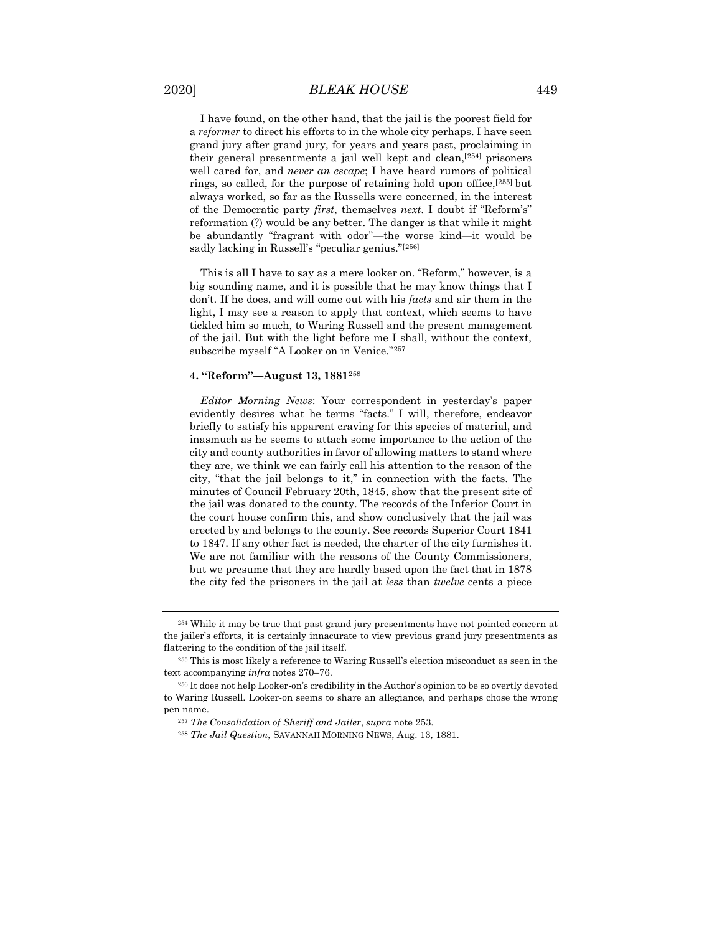I have found, on the other hand, that the jail is the poorest field for a *reformer* to direct his efforts to in the whole city perhaps. I have seen grand jury after grand jury, for years and years past, proclaiming in their general presentments a jail well kept and clean,[[254](#page-63-0)] prisoners well cared for, and *never an escape*; I have heard rumors of political rings, so called, for the purpose of retaining hold upon office.<sup>[[255\]](#page-63-1)</sup> but always worked, so far as the Russells were concerned, in the interest

of the Democratic party *first*, themselves *next*. I doubt if "Reform's" reformation (?) would be any better. The danger is that while it might be abundantly "fragrant with odor"—the worse kind—it would be sadly lacking in Russell's "peculiar genius."[[256\]](#page-63-2)

This is all I have to say as a mere looker on. "Reform," however, is a big sounding name, and it is possible that he may know things that I don't. If he does, and will come out with his *facts* and air them in the light, I may see a reason to apply that context, which seems to have tickled him so much, to Waring Russell and the present management of the jail. But with the light before me I shall, without the context, subscribe myself "A Looker on in Venice."[257](#page-63-3)

#### **4. "Reform"—August 13, 1881**[258](#page-63-4)

*Editor Morning News*: Your correspondent in yesterday's paper evidently desires what he terms "facts." I will, therefore, endeavor briefly to satisfy his apparent craving for this species of material, and inasmuch as he seems to attach some importance to the action of the city and county authorities in favor of allowing matters to stand where they are, we think we can fairly call his attention to the reason of the city, "that the jail belongs to it," in connection with the facts. The minutes of Council February 20th, 1845, show that the present site of the jail was donated to the county. The records of the Inferior Court in the court house confirm this, and show conclusively that the jail was erected by and belongs to the county. See records Superior Court 1841 to 1847. If any other fact is needed, the charter of the city furnishes it. We are not familiar with the reasons of the County Commissioners, but we presume that they are hardly based upon the fact that in 1878 the city fed the prisoners in the jail at *less* than *twelve* cents a piece

<span id="page-63-0"></span><sup>254</sup> While it may be true that past grand jury presentments have not pointed concern at the jailer's efforts, it is certainly innacurate to view previous grand jury presentments as flattering to the condition of the jail itself.

<span id="page-63-1"></span><sup>255</sup> This is most likely a reference to Waring Russell's election misconduct as seen in the text accompanying *infra* notes 270–76.

<span id="page-63-4"></span><span id="page-63-3"></span><span id="page-63-2"></span><sup>256</sup> It does not help Looker-on's credibility in the Author's opinion to be so overtly devoted to Waring Russell. Looker-on seems to share an allegiance, and perhaps chose the wrong pen name.

<sup>257</sup> *The Consolidation of Sheriff and Jailer*, *supra* note 253.

<sup>258</sup> *The Jail Question*, SAVANNAH MORNING NEWS, Aug. 13, 1881.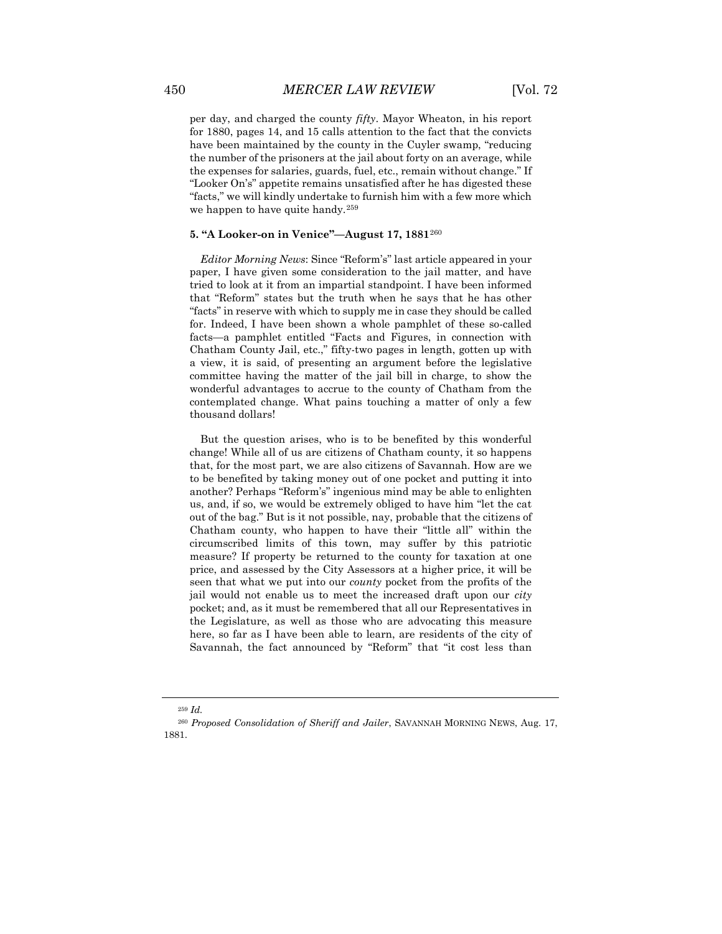per day, and charged the county *fifty*. Mayor Wheaton, in his report for 1880, pages 14, and 15 calls attention to the fact that the convicts have been maintained by the county in the Cuyler swamp, "reducing the number of the prisoners at the jail about forty on an average, while the expenses for salaries, guards, fuel, etc., remain without change." If "Looker On's" appetite remains unsatisfied after he has digested these "facts," we will kindly undertake to furnish him with a few more which we happen to have quite handy.<sup>[259](#page-64-0)</sup>

### **5. "A Looker-on in Venice"—August 17, 1881**[260](#page-64-1)

*Editor Morning News*: Since "Reform's" last article appeared in your paper, I have given some consideration to the jail matter, and have tried to look at it from an impartial standpoint. I have been informed that "Reform" states but the truth when he says that he has other "facts" in reserve with which to supply me in case they should be called for. Indeed, I have been shown a whole pamphlet of these so-called facts—a pamphlet entitled "Facts and Figures, in connection with Chatham County Jail, etc.," fifty-two pages in length, gotten up with a view, it is said, of presenting an argument before the legislative committee having the matter of the jail bill in charge, to show the wonderful advantages to accrue to the county of Chatham from the contemplated change. What pains touching a matter of only a few thousand dollars!

But the question arises, who is to be benefited by this wonderful change! While all of us are citizens of Chatham county, it so happens that, for the most part, we are also citizens of Savannah. How are we to be benefited by taking money out of one pocket and putting it into another? Perhaps "Reform's" ingenious mind may be able to enlighten us, and, if so, we would be extremely obliged to have him "let the cat out of the bag." But is it not possible, nay, probable that the citizens of Chatham county, who happen to have their "little all" within the circumscribed limits of this town, may suffer by this patriotic measure? If property be returned to the county for taxation at one price, and assessed by the City Assessors at a higher price, it will be seen that what we put into our *county* pocket from the profits of the jail would not enable us to meet the increased draft upon our *city* pocket; and, as it must be remembered that all our Representatives in the Legislature, as well as those who are advocating this measure here, so far as I have been able to learn, are residents of the city of Savannah, the fact announced by "Reform" that "it cost less than

<sup>259</sup> *Id.*

<span id="page-64-1"></span><span id="page-64-0"></span><sup>260</sup> *Proposed Consolidation of Sheriff and Jailer*, SAVANNAH MORNING NEWS, Aug. 17, 1881.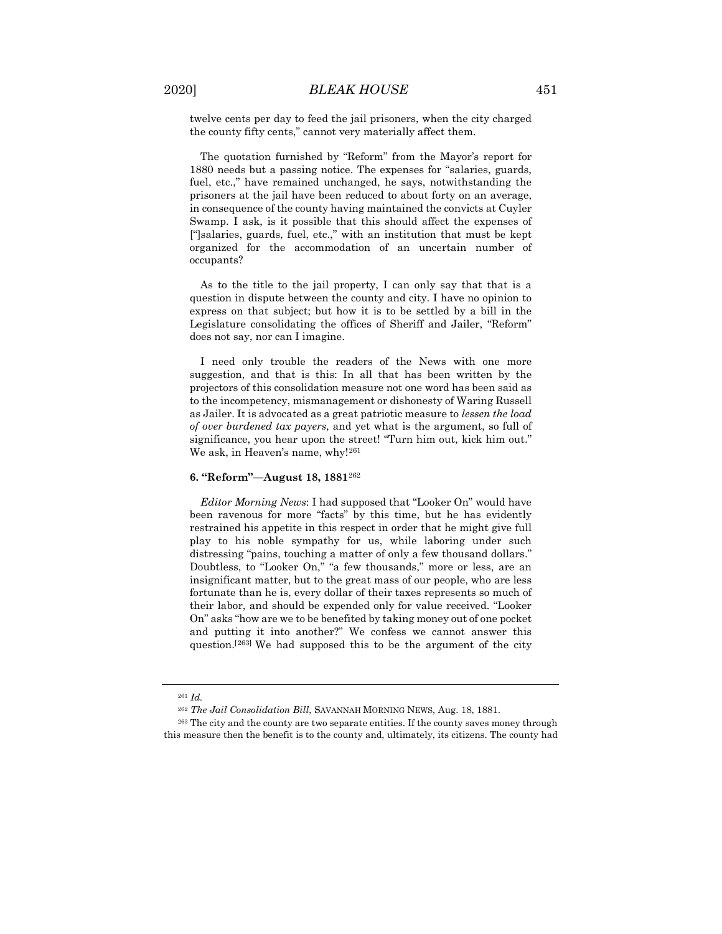twelve cents per day to feed the jail prisoners, when the city charged the county fifty cents," cannot very materially affect them.

The quotation furnished by "Reform" from the Mayor's report for 1880 needs but a passing notice. The expenses for "salaries, guards, fuel, etc.," have remained unchanged, he says, notwithstanding the prisoners at the jail have been reduced to about forty on an average, in consequence of the county having maintained the convicts at Cuyler Swamp. I ask, is it possible that this should affect the expenses of ["]salaries, guards, fuel, etc.," with an institution that must be kept organized for the accommodation of an uncertain number of occupants?

As to the title to the jail property, I can only say that that is a question in dispute between the county and city. I have no opinion to express on that subject; but how it is to be settled by a bill in the Legislature consolidating the offices of Sheriff and Jailer, "Reform" does not say, nor can I imagine.

I need only trouble the readers of the News with one more suggestion, and that is this: In all that has been written by the projectors of this consolidation measure not one word has been said as to the incompetency, mismanagement or dishonesty of Waring Russell as Jailer. It is advocated as a great patriotic measure to *lessen the load of over burdened tax payers*, and yet what is the argument, so full of significance, you hear upon the street! "Turn him out, kick him out." We ask, in Heaven's name, why![261](#page-65-0)

#### **6. "Reform"—August 18, 1881**[262](#page-65-1)

*Editor Morning News*: I had supposed that "Looker On" would have been ravenous for more "facts" by this time, but he has evidently restrained his appetite in this respect in order that he might give full play to his noble sympathy for us, while laboring under such distressing "pains, touching a matter of only a few thousand dollars." Doubtless, to "Looker On," "a few thousands," more or less, are an insignificant matter, but to the great mass of our people, who are less fortunate than he is, every dollar of their taxes represents so much of their labor, and should be expended only for value received. "Looker On" asks "how are we to be benefited by taking money out of one pocket and putting it into another?" We confess we cannot answer this question.[[263\]](#page-65-2) We had supposed this to be the argument of the city

<sup>261</sup> *Id.*

<sup>262</sup> *The Jail Consolidation Bill*, SAVANNAH MORNING NEWS, Aug. 18, 1881.

<span id="page-65-2"></span><span id="page-65-1"></span><span id="page-65-0"></span><sup>263</sup> The city and the county are two separate entities. If the county saves money through this measure then the benefit is to the county and, ultimately, its citizens. The county had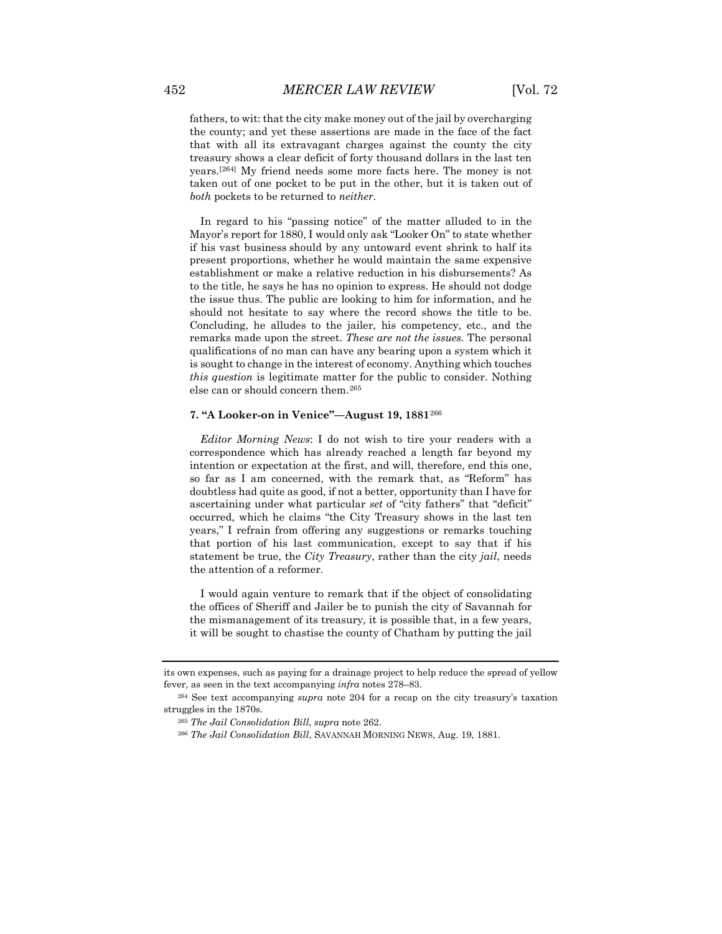fathers, to wit: that the city make money out of the jail by overcharging the county; and yet these assertions are made in the face of the fact that with all its extravagant charges against the county the city treasury shows a clear deficit of forty thousand dollars in the last ten years.[[264](#page-66-0)] My friend needs some more facts here. The money is not taken out of one pocket to be put in the other, but it is taken out of *both* pockets to be returned to *neither*.

In regard to his "passing notice" of the matter alluded to in the Mayor's report for 1880, I would only ask "Looker On" to state whether if his vast business should by any untoward event shrink to half its present proportions, whether he would maintain the same expensive establishment or make a relative reduction in his disbursements? As to the title, he says he has no opinion to express. He should not dodge the issue thus. The public are looking to him for information, and he should not hesitate to say where the record shows the title to be. Concluding, he alludes to the jailer, his competency, etc., and the remarks made upon the street. *These are not the issues.* The personal qualifications of no man can have any bearing upon a system which it is sought to change in the interest of economy. Anything which touches *this question* is legitimate matter for the public to consider. Nothing else can or should concern them.[265](#page-66-1)

### **7. "A Looker-on in Venice"—August 19, 1881**[266](#page-66-2)

*Editor Morning News*: I do not wish to tire your readers with a correspondence which has already reached a length far beyond my intention or expectation at the first, and will, therefore, end this one, so far as I am concerned, with the remark that, as "Reform" has doubtless had quite as good, if not a better, opportunity than I have for ascertaining under what particular *set* of "city fathers" that "deficit" occurred, which he claims "the City Treasury shows in the last ten years," I refrain from offering any suggestions or remarks touching that portion of his last communication, except to say that if his statement be true, the *City Treasury*, rather than the city *jail*, needs the attention of a reformer.

I would again venture to remark that if the object of consolidating the offices of Sheriff and Jailer be to punish the city of Savannah for the mismanagement of its treasury, it is possible that, in a few years, it will be sought to chastise the county of Chatham by putting the jail

its own expenses, such as paying for a drainage project to help reduce the spread of yellow fever, as seen in the text accompanying *infra* notes 278–83.

<span id="page-66-2"></span><span id="page-66-1"></span><span id="page-66-0"></span><sup>264</sup> See text accompanying *supra* note 204 for a recap on the city treasury's taxation struggles in the 1870s.

<sup>265</sup> *The Jail Consolidation Bill*, *supra* note 262.

<sup>266</sup> *The Jail Consolidation Bill*, SAVANNAH MORNING NEWS, Aug. 19, 1881.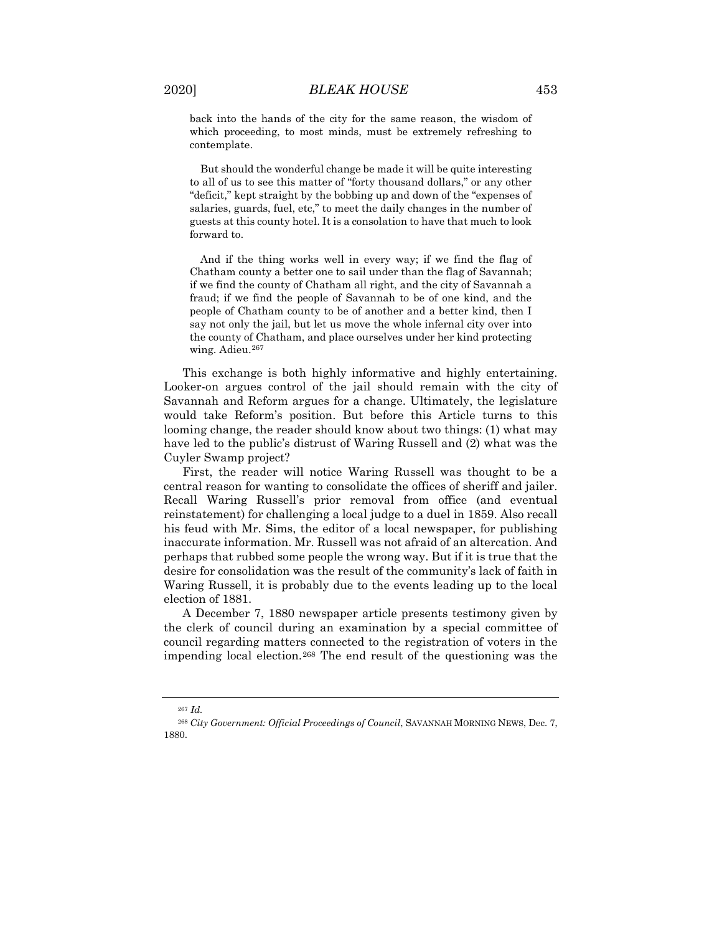back into the hands of the city for the same reason, the wisdom of which proceeding, to most minds, must be extremely refreshing to contemplate.

But should the wonderful change be made it will be quite interesting to all of us to see this matter of "forty thousand dollars," or any other "deficit," kept straight by the bobbing up and down of the "expenses of salaries, guards, fuel, etc," to meet the daily changes in the number of guests at this county hotel. It is a consolation to have that much to look forward to.

And if the thing works well in every way; if we find the flag of Chatham county a better one to sail under than the flag of Savannah; if we find the county of Chatham all right, and the city of Savannah a fraud; if we find the people of Savannah to be of one kind, and the people of Chatham county to be of another and a better kind, then I say not only the jail, but let us move the whole infernal city over into the county of Chatham, and place ourselves under her kind protecting wing. Adieu.<sup>[267](#page-67-0)</sup>

This exchange is both highly informative and highly entertaining. Looker-on argues control of the jail should remain with the city of Savannah and Reform argues for a change. Ultimately, the legislature would take Reform's position. But before this Article turns to this looming change, the reader should know about two things: (1) what may have led to the public's distrust of Waring Russell and (2) what was the Cuyler Swamp project?

First, the reader will notice Waring Russell was thought to be a central reason for wanting to consolidate the offices of sheriff and jailer. Recall Waring Russell's prior removal from office (and eventual reinstatement) for challenging a local judge to a duel in 1859. Also recall his feud with Mr. Sims, the editor of a local newspaper, for publishing inaccurate information. Mr. Russell was not afraid of an altercation. And perhaps that rubbed some people the wrong way. But if it is true that the desire for consolidation was the result of the community's lack of faith in Waring Russell, it is probably due to the events leading up to the local election of 1881.

A December 7, 1880 newspaper article presents testimony given by the clerk of council during an examination by a special committee of council regarding matters connected to the registration of voters in the impending local election.[268](#page-67-1) The end result of the questioning was the

<sup>267</sup> *Id.*

<span id="page-67-1"></span><span id="page-67-0"></span><sup>268</sup> *City Government: Official Proceedings of Council*, SAVANNAH MORNING NEWS, Dec. 7, 1880.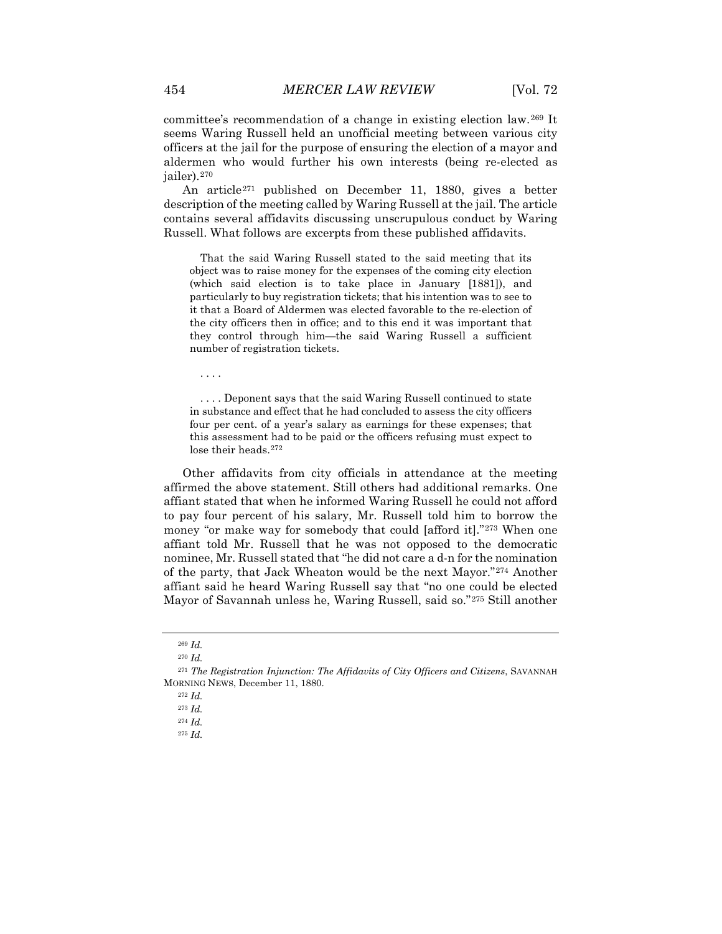committee's recommendation of a change in existing election law.[269](#page-68-0) It seems Waring Russell held an unofficial meeting between various city officers at the jail for the purpose of ensuring the election of a mayor and aldermen who would further his own interests (being re-elected as jailer).[270](#page-68-1)

An article[271](#page-68-2) published on December 11, 1880, gives a better description of the meeting called by Waring Russell at the jail. The article contains several affidavits discussing unscrupulous conduct by Waring Russell. What follows are excerpts from these published affidavits.

That the said Waring Russell stated to the said meeting that its object was to raise money for the expenses of the coming city election (which said election is to take place in January [1881]), and particularly to buy registration tickets; that his intention was to see to it that a Board of Aldermen was elected favorable to the re-election of the city officers then in office; and to this end it was important that they control through him—the said Waring Russell a sufficient number of registration tickets.

. . . .

. . . . Deponent says that the said Waring Russell continued to state in substance and effect that he had concluded to assess the city officers four per cent. of a year's salary as earnings for these expenses; that this assessment had to be paid or the officers refusing must expect to lose their heads.<sup>[272](#page-68-3)</sup>

Other affidavits from city officials in attendance at the meeting affirmed the above statement. Still others had additional remarks. One affiant stated that when he informed Waring Russell he could not afford to pay four percent of his salary, Mr. Russell told him to borrow the money "or make way for somebody that could [afford it]."[273](#page-68-4) When one affiant told Mr. Russell that he was not opposed to the democratic nominee, Mr. Russell stated that "he did not care a d-n for the nomination of the party, that Jack Wheaton would be the next Mayor."[274](#page-68-5) Another affiant said he heard Waring Russell say that "no one could be elected Mayor of Savannah unless he, Waring Russell, said so."[275](#page-68-6) Still another

<sup>269</sup> *Id.*

<sup>270</sup> *Id.*

<span id="page-68-6"></span><span id="page-68-5"></span><span id="page-68-4"></span><span id="page-68-3"></span><span id="page-68-2"></span><span id="page-68-1"></span><span id="page-68-0"></span><sup>271</sup> *The Registration Injunction: The Affidavits of City Officers and Citizens*, SAVANNAH MORNING NEWS, December 11, 1880.

<sup>272</sup> *Id.*

<sup>273</sup> *Id.*

<sup>274</sup> *Id.*

<sup>275</sup> *Id.*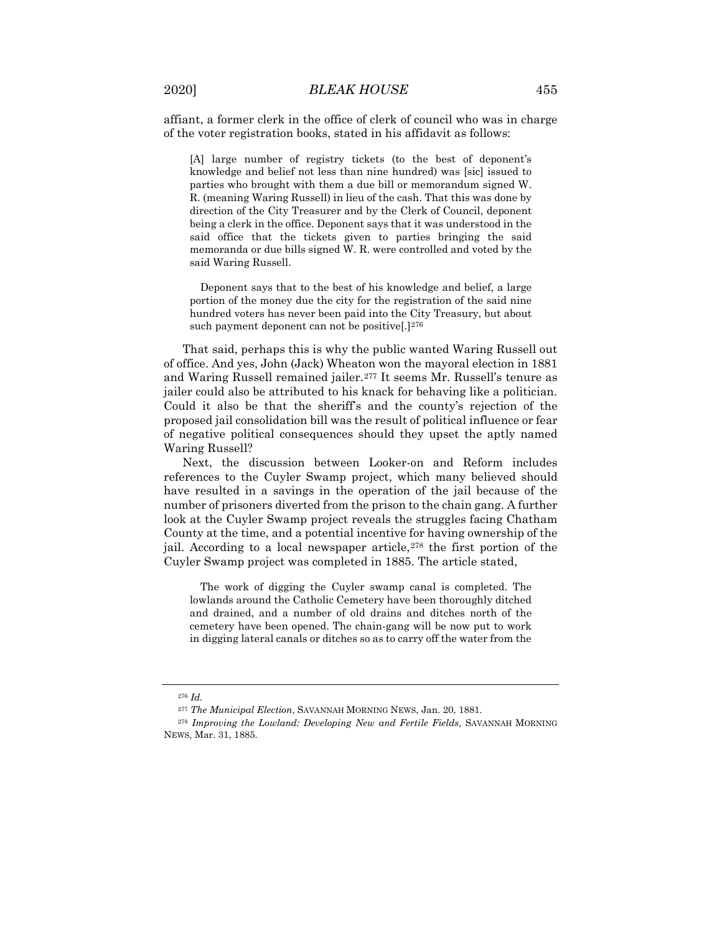affiant, a former clerk in the office of clerk of council who was in charge of the voter registration books, stated in his affidavit as follows:

[A] large number of registry tickets (to the best of deponent's knowledge and belief not less than nine hundred) was [sic] issued to parties who brought with them a due bill or memorandum signed W. R. (meaning Waring Russell) in lieu of the cash. That this was done by direction of the City Treasurer and by the Clerk of Council, deponent being a clerk in the office. Deponent says that it was understood in the said office that the tickets given to parties bringing the said memoranda or due bills signed W. R. were controlled and voted by the said Waring Russell.

Deponent says that to the best of his knowledge and belief, a large portion of the money due the city for the registration of the said nine hundred voters has never been paid into the City Treasury, but about such payment deponent can not be positive.  $[1]^{276}$  $[1]^{276}$  $[1]^{276}$ 

That said, perhaps this is why the public wanted Waring Russell out of office. And yes, John (Jack) Wheaton won the mayoral election in 1881 and Waring Russell remained jailer.[277](#page-69-1) It seems Mr. Russell's tenure as jailer could also be attributed to his knack for behaving like a politician. Could it also be that the sheriff's and the county's rejection of the proposed jail consolidation bill was the result of political influence or fear of negative political consequences should they upset the aptly named Waring Russell?

Next, the discussion between Looker-on and Reform includes references to the Cuyler Swamp project, which many believed should have resulted in a savings in the operation of the jail because of the number of prisoners diverted from the prison to the chain gang. A further look at the Cuyler Swamp project reveals the struggles facing Chatham County at the time, and a potential incentive for having ownership of the jail. According to a local newspaper article,<sup>[278](#page-69-2)</sup> the first portion of the Cuyler Swamp project was completed in 1885. The article stated,

The work of digging the Cuyler swamp canal is completed. The lowlands around the Catholic Cemetery have been thoroughly ditched and drained, and a number of old drains and ditches north of the cemetery have been opened. The chain-gang will be now put to work in digging lateral canals or ditches so as to carry off the water from the

<sup>276</sup> *Id.*

<sup>277</sup> *The Municipal Election*, SAVANNAH MORNING NEWS, Jan. 20, 1881.

<span id="page-69-2"></span><span id="page-69-1"></span><span id="page-69-0"></span><sup>278</sup> *Improving the Lowland: Developing New and Fertile Fields*, SAVANNAH MORNING NEWS, Mar. 31, 1885.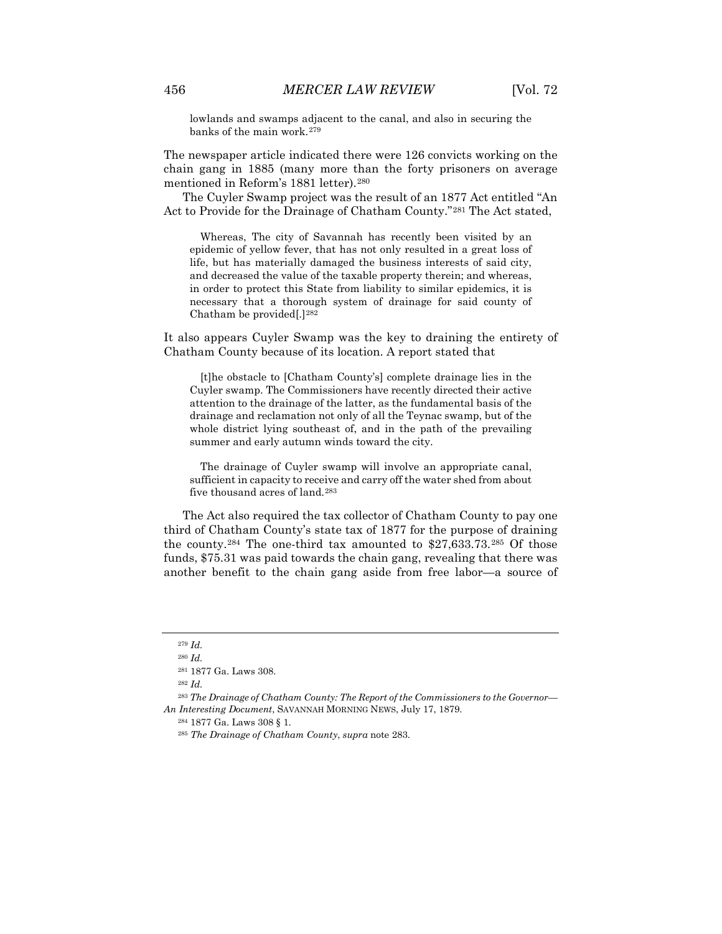lowlands and swamps adjacent to the canal, and also in securing the banks of the main work.[279](#page-70-0)

The newspaper article indicated there were 126 convicts working on the chain gang in 1885 (many more than the forty prisoners on average mentioned in Reform's 1881 letter).[280](#page-70-1)

The Cuyler Swamp project was the result of an 1877 Act entitled "An Act to Provide for the Drainage of Chatham County."[281](#page-70-2) The Act stated,

Whereas, The city of Savannah has recently been visited by an epidemic of yellow fever, that has not only resulted in a great loss of life, but has materially damaged the business interests of said city, and decreased the value of the taxable property therein; and whereas, in order to protect this State from liability to similar epidemics, it is necessary that a thorough system of drainage for said county of Chatham be provided[.][282](#page-70-3)

It also appears Cuyler Swamp was the key to draining the entirety of Chatham County because of its location. A report stated that

[t]he obstacle to [Chatham County's] complete drainage lies in the Cuyler swamp. The Commissioners have recently directed their active attention to the drainage of the latter, as the fundamental basis of the drainage and reclamation not only of all the Teynac swamp, but of the whole district lying southeast of, and in the path of the prevailing summer and early autumn winds toward the city.

The drainage of Cuyler swamp will involve an appropriate canal, sufficient in capacity to receive and carry off the water shed from about five thousand acres of land.[283](#page-70-4)

The Act also required the tax collector of Chatham County to pay one third of Chatham County's state tax of 1877 for the purpose of draining the county.[284](#page-70-5) The one-third tax amounted to \$27,633.73.[285](#page-70-6) Of those funds, \$75.31 was paid towards the chain gang, revealing that there was another benefit to the chain gang aside from free labor—a source of

<sup>279</sup> *Id.*

<sup>280</sup> *Id.*

<sup>281</sup> 1877 Ga. Laws 308.

<sup>282</sup> *Id.*

<span id="page-70-6"></span><span id="page-70-5"></span><span id="page-70-4"></span><span id="page-70-3"></span><span id="page-70-2"></span><span id="page-70-1"></span><span id="page-70-0"></span><sup>283</sup> *The Drainage of Chatham County: The Report of the Commissioners to the Governor— An Interesting Document*, SAVANNAH MORNING NEWS, July 17, 1879.

<sup>284</sup> 1877 Ga. Laws 308 § 1.

<sup>285</sup> *The Drainage of Chatham County*, *supra* note 283.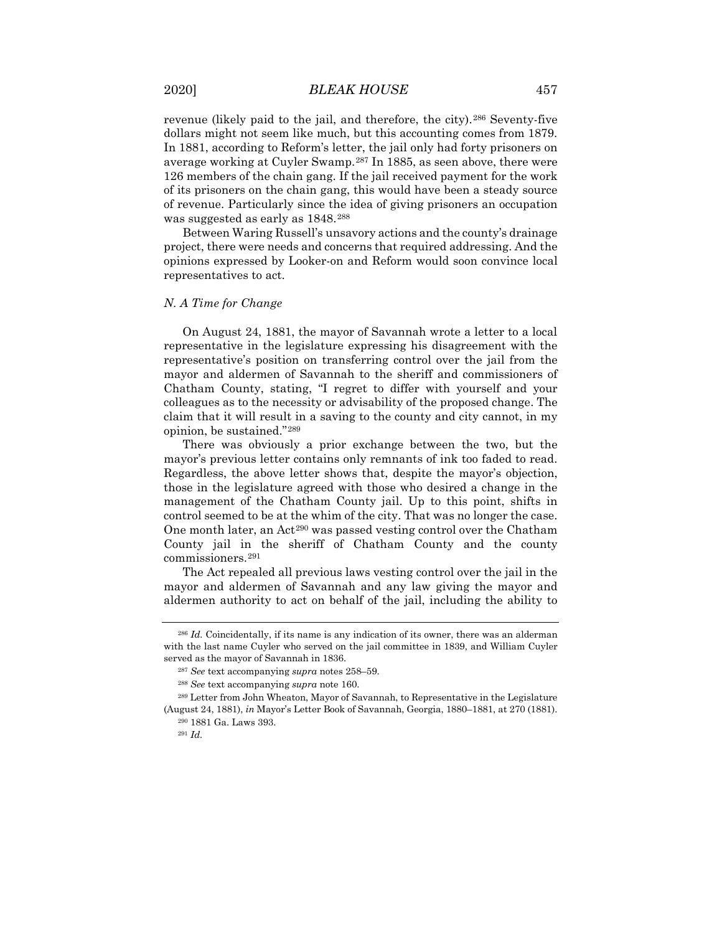revenue (likely paid to the jail, and therefore, the city).<sup>[286](#page-71-0)</sup> Seventy-five dollars might not seem like much, but this accounting comes from 1879. In 1881, according to Reform's letter, the jail only had forty prisoners on average working at Cuyler Swamp.[287](#page-71-1) In 1885, as seen above, there were 126 members of the chain gang. If the jail received payment for the work of its prisoners on the chain gang, this would have been a steady source of revenue. Particularly since the idea of giving prisoners an occupation was suggested as early as 1848.[288](#page-71-2)

Between Waring Russell's unsavory actions and the county's drainage project, there were needs and concerns that required addressing. And the opinions expressed by Looker-on and Reform would soon convince local representatives to act.

#### *N. A Time for Change*

On August 24, 1881, the mayor of Savannah wrote a letter to a local representative in the legislature expressing his disagreement with the representative's position on transferring control over the jail from the mayor and aldermen of Savannah to the sheriff and commissioners of Chatham County, stating, "I regret to differ with yourself and your colleagues as to the necessity or advisability of the proposed change. The claim that it will result in a saving to the county and city cannot, in my opinion, be sustained."[289](#page-71-3)

There was obviously a prior exchange between the two, but the mayor's previous letter contains only remnants of ink too faded to read. Regardless, the above letter shows that, despite the mayor's objection, those in the legislature agreed with those who desired a change in the management of the Chatham County jail. Up to this point, shifts in control seemed to be at the whim of the city. That was no longer the case. One month later, an Act<sup>[290](#page-71-4)</sup> was passed vesting control over the Chatham County jail in the sheriff of Chatham County and the county commissioners.[291](#page-71-5)

The Act repealed all previous laws vesting control over the jail in the mayor and aldermen of Savannah and any law giving the mayor and aldermen authority to act on behalf of the jail, including the ability to

<span id="page-71-0"></span><sup>286</sup> *Id.* Coincidentally, if its name is any indication of its owner, there was an alderman with the last name Cuyler who served on the jail committee in 1839, and William Cuyler served as the mayor of Savannah in 1836.

<sup>287</sup> *See* text accompanying *supra* notes 258–59.

<sup>288</sup> *See* text accompanying *supra* note 160.

<span id="page-71-5"></span><span id="page-71-4"></span><span id="page-71-3"></span><span id="page-71-2"></span><span id="page-71-1"></span><sup>289</sup> Letter from John Wheaton, Mayor of Savannah, to Representative in the Legislature (August 24, 1881), *in* Mayor's Letter Book of Savannah, Georgia, 1880–1881, at 270 (1881).

<sup>290</sup> 1881 Ga. Laws 393.

<sup>291</sup> *Id.*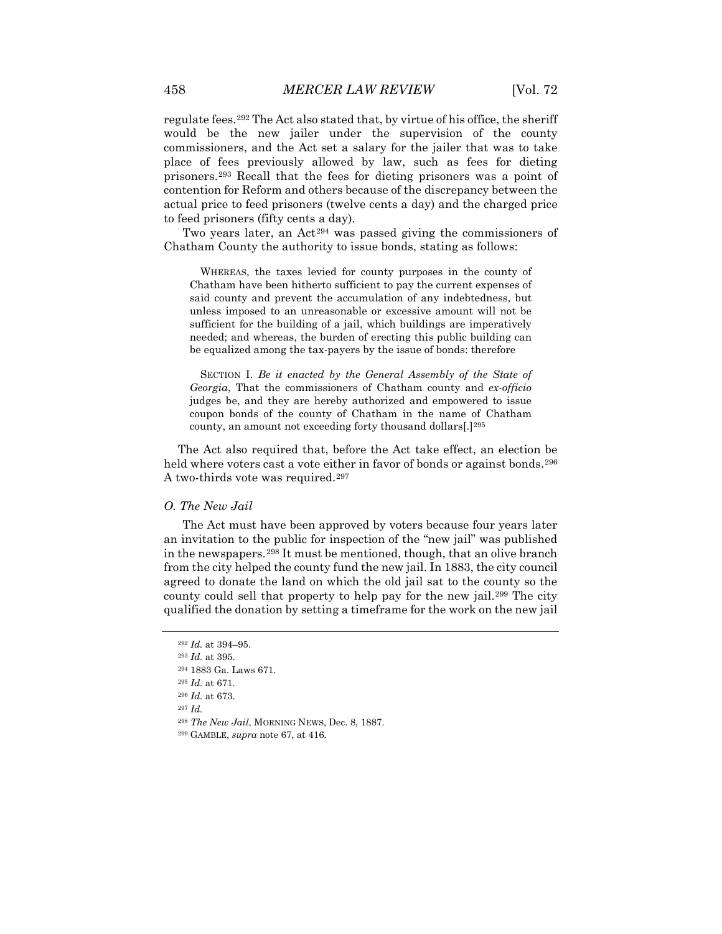regulate fees.[292](#page-72-0) The Act also stated that, by virtue of his office, the sheriff would be the new jailer under the supervision of the county commissioners, and the Act set a salary for the jailer that was to take place of fees previously allowed by law, such as fees for dieting prisoners.[293](#page-72-1) Recall that the fees for dieting prisoners was a point of contention for Reform and others because of the discrepancy between the actual price to feed prisoners (twelve cents a day) and the charged price to feed prisoners (fifty cents a day).

Two years later, an Act<sup>[294](#page-72-2)</sup> was passed giving the commissioners of Chatham County the authority to issue bonds, stating as follows:

WHEREAS, the taxes levied for county purposes in the county of Chatham have been hitherto sufficient to pay the current expenses of said county and prevent the accumulation of any indebtedness, but unless imposed to an unreasonable or excessive amount will not be sufficient for the building of a jail, which buildings are imperatively needed; and whereas, the burden of erecting this public building can be equalized among the tax-payers by the issue of bonds: therefore

SECTION I. *Be it enacted by the General Assembly of the State of Georgia*, That the commissioners of Chatham county and *ex-officio* judges be, and they are hereby authorized and empowered to issue coupon bonds of the county of Chatham in the name of Chatham county, an amount not exceeding forty thousand dollars[.][295](#page-72-3)

The Act also required that, before the Act take effect, an election be held where voters cast a vote either in favor of bonds or against bonds.<sup>[296](#page-72-4)</sup> A two-thirds vote was required.[297](#page-72-5)

### *O. The New Jail*

The Act must have been approved by voters because four years later an invitation to the public for inspection of the "new jail" was published in the newspapers.[298](#page-72-6) It must be mentioned, though, that an olive branch from the city helped the county fund the new jail. In 1883, the city council agreed to donate the land on which the old jail sat to the county so the county could sell that property to help pay for the new jail.[299](#page-72-7) The city qualified the donation by setting a timeframe for the work on the new jail

- <span id="page-72-5"></span><sup>297</sup> *Id.*
- <span id="page-72-6"></span><sup>298</sup> *The New Jail*, MORNING NEWS, Dec. 8, 1887.
- <span id="page-72-7"></span><sup>299</sup> GAMBLE, *supra* note 67, at 416.

<sup>292</sup> *Id.* at 394–95.

<span id="page-72-3"></span><span id="page-72-2"></span><span id="page-72-1"></span><span id="page-72-0"></span><sup>293</sup> *Id.* at 395.

<sup>294</sup> 1883 Ga. Laws 671.

<sup>295</sup> *Id.* at 671.

<span id="page-72-4"></span><sup>296</sup> *Id.* at 673.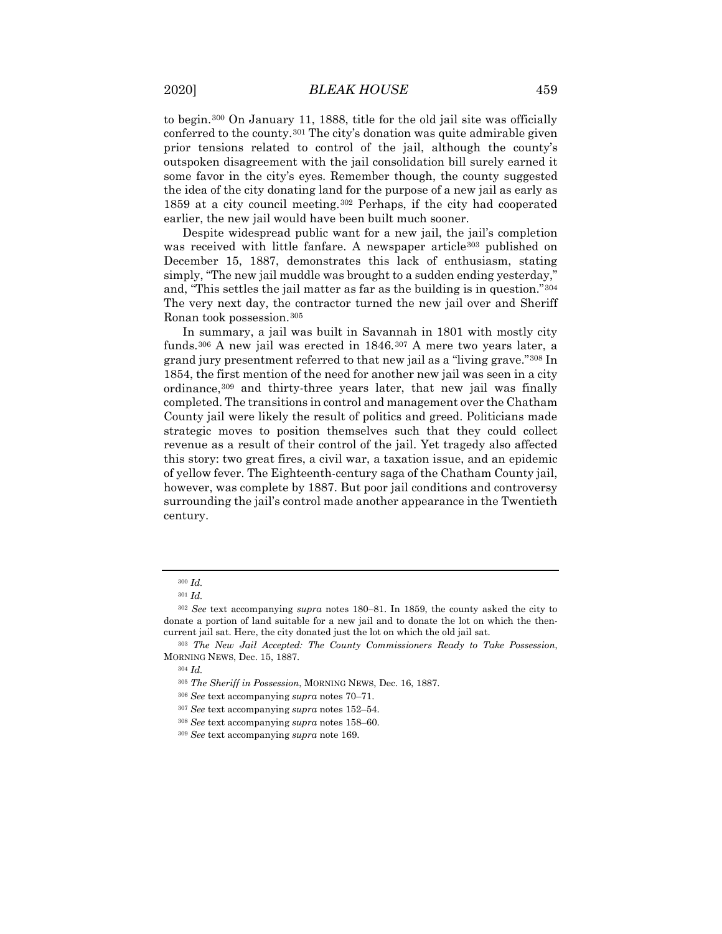to begin.[300](#page-73-0) On January 11, 1888, title for the old jail site was officially conferred to the county.<sup>[301](#page-73-1)</sup> The city's donation was quite admirable given prior tensions related to control of the jail, although the county's outspoken disagreement with the jail consolidation bill surely earned it some favor in the city's eyes. Remember though, the county suggested the idea of the city donating land for the purpose of a new jail as early as 1859 at a city council meeting.[302](#page-73-2) Perhaps, if the city had cooperated earlier, the new jail would have been built much sooner.

Despite widespread public want for a new jail, the jail's completion was received with little fanfare. A newspaper article<sup>[303](#page-73-3)</sup> published on December 15, 1887, demonstrates this lack of enthusiasm, stating simply, "The new jail muddle was brought to a sudden ending yesterday," and, "This settles the jail matter as far as the building is in question."[304](#page-73-4) The very next day, the contractor turned the new jail over and Sheriff Ronan took possession.[305](#page-73-5)

In summary, a jail was built in Savannah in 1801 with mostly city funds.[306](#page-73-6) A new jail was erected in 1846.[307](#page-73-7) A mere two years later, a grand jury presentment referred to that new jail as a "living grave."[308](#page-73-8) In 1854, the first mention of the need for another new jail was seen in a city ordinance,[309](#page-73-9) and thirty-three years later, that new jail was finally completed. The transitions in control and management over the Chatham County jail were likely the result of politics and greed. Politicians made strategic moves to position themselves such that they could collect revenue as a result of their control of the jail. Yet tragedy also affected this story: two great fires, a civil war, a taxation issue, and an epidemic of yellow fever. The Eighteenth-century saga of the Chatham County jail, however, was complete by 1887. But poor jail conditions and controversy surrounding the jail's control made another appearance in the Twentieth century.

<sup>300</sup> *Id.*

<sup>301</sup> *Id.*

<span id="page-73-2"></span><span id="page-73-1"></span><span id="page-73-0"></span><sup>302</sup> *See* text accompanying *supra* notes 180–81. In 1859, the county asked the city to donate a portion of land suitable for a new jail and to donate the lot on which the thencurrent jail sat. Here, the city donated just the lot on which the old jail sat.

<span id="page-73-7"></span><span id="page-73-6"></span><span id="page-73-5"></span><span id="page-73-4"></span><span id="page-73-3"></span><sup>303</sup> *The New Jail Accepted: The County Commissioners Ready to Take Possession*, MORNING NEWS, Dec. 15, 1887.

<sup>304</sup> *Id.*

<sup>305</sup> *The Sheriff in Possession*, MORNING NEWS, Dec. 16, 1887.

<sup>306</sup> *See* text accompanying *supra* notes 70–71.

<span id="page-73-8"></span><sup>307</sup> *See* text accompanying *supra* notes 152–54.

<sup>308</sup> *See* text accompanying *supra* notes 158–60.

<span id="page-73-9"></span><sup>309</sup> *See* text accompanying *supra* note 169.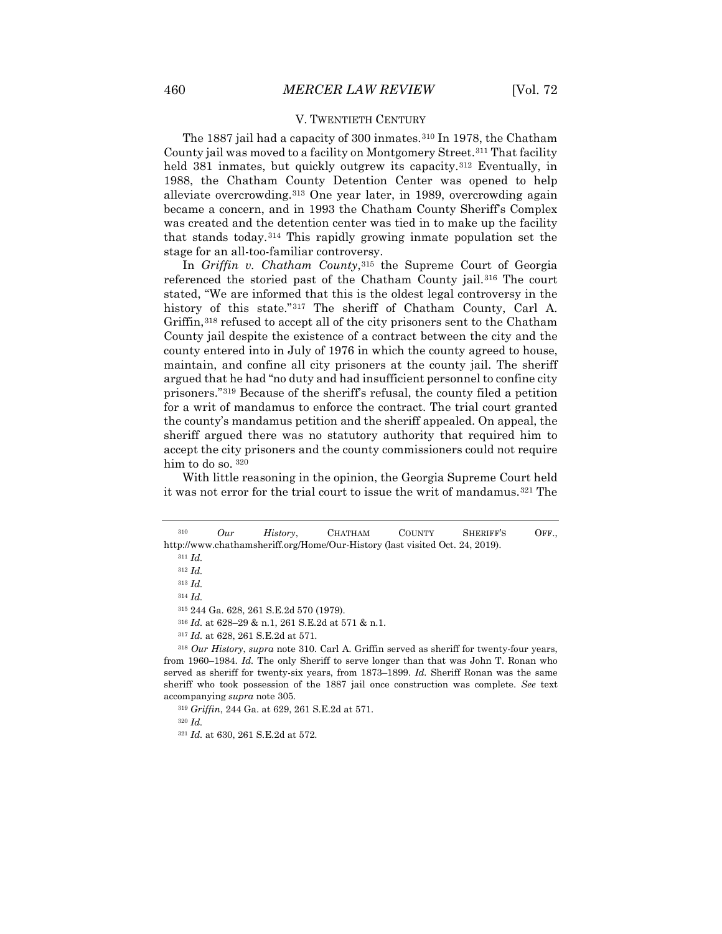# V. TWENTIETH CENTURY

The 1887 jail had a capacity of 300 inmates.[310](#page-74-0) In 1978, the Chatham County jail was moved to a facility on Montgomery Street.<sup>[311](#page-74-1)</sup> That facility held 381 inmates, but quickly outgrew its capacity.<sup>[312](#page-74-2)</sup> Eventually, in 1988, the Chatham County Detention Center was opened to help alleviate overcrowding.[313](#page-74-3) One year later, in 1989, overcrowding again became a concern, and in 1993 the Chatham County Sheriff's Complex was created and the detention center was tied in to make up the facility that stands today.[314](#page-74-4) This rapidly growing inmate population set the stage for an all-too-familiar controversy.

In *Griffin v. Chatham County*,[315](#page-74-5) the Supreme Court of Georgia referenced the storied past of the Chatham County jail.[316](#page-74-6) The court stated, "We are informed that this is the oldest legal controversy in the history of this state."<sup>[317](#page-74-7)</sup> The sheriff of Chatham County, Carl A. Griffin,<sup>[318](#page-74-8)</sup> refused to accept all of the city prisoners sent to the Chatham County jail despite the existence of a contract between the city and the county entered into in July of 1976 in which the county agreed to house, maintain, and confine all city prisoners at the county jail. The sheriff argued that he had "no duty and had insufficient personnel to confine city prisoners."[319](#page-74-9) Because of the sheriff's refusal, the county filed a petition for a writ of mandamus to enforce the contract. The trial court granted the county's mandamus petition and the sheriff appealed. On appeal, the sheriff argued there was no statutory authority that required him to accept the city prisoners and the county commissioners could not require him to do so.  $320$ 

With little reasoning in the opinion, the Georgia Supreme Court held it was not error for the trial court to issue the writ of mandamus.<sup>[321](#page-74-11)</sup> The

<sup>313</sup> *Id.*

<sup>314</sup> *Id.*

<sup>315</sup> 244 Ga. 628, 261 S.E.2d 570 (1979).

<sup>316</sup> *Id.* at 628–29 & n.1, 261 S.E.2d at 571 & n.1.

<sup>317</sup> *Id.* at 628, 261 S.E.2d at 571.

<span id="page-74-9"></span><span id="page-74-8"></span><span id="page-74-7"></span><span id="page-74-6"></span><span id="page-74-5"></span><span id="page-74-4"></span><sup>318</sup> *Our History*, *supra* note 310. Carl A. Griffin served as sheriff for twenty-four years, from 1960–1984. *Id.* The only Sheriff to serve longer than that was John T. Ronan who served as sheriff for twenty-six years, from 1873–1899. *Id.* Sheriff Ronan was the same sheriff who took possession of the 1887 jail once construction was complete. *See* text accompanying *supra* note 305.

<span id="page-74-11"></span><span id="page-74-10"></span><sup>320</sup> *Id.*

<span id="page-74-3"></span><span id="page-74-2"></span><span id="page-74-1"></span><span id="page-74-0"></span><sup>310</sup> *Our History*, CHATHAM COUNTY SHERIFF'S OFF., http://www.chathamsheriff.org/Home/Our-History (last visited Oct. 24, 2019).

<sup>311</sup> *Id.*

<sup>312</sup> *Id.*

<sup>319</sup> *Griffin*, 244 Ga. at 629, 261 S.E.2d at 571.

<sup>321</sup> *Id.* at 630, 261 S.E.2d at 572.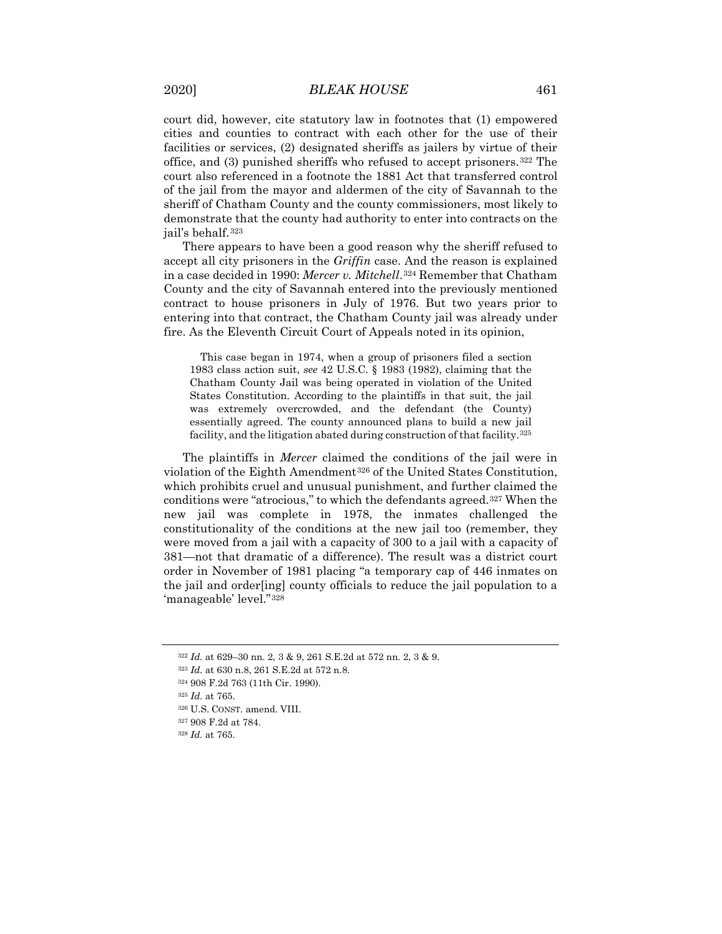court did, however, cite statutory law in footnotes that (1) empowered cities and counties to contract with each other for the use of their facilities or services, (2) designated sheriffs as jailers by virtue of their office, and (3) punished sheriffs who refused to accept prisoners.[322](#page-75-0) The court also referenced in a footnote the 1881 Act that transferred control of the jail from the mayor and aldermen of the city of Savannah to the sheriff of Chatham County and the county commissioners, most likely to demonstrate that the county had authority to enter into contracts on the jail's behalf.[323](#page-75-1)

There appears to have been a good reason why the sheriff refused to accept all city prisoners in the *Griffin* case. And the reason is explained in a case decided in 1990: *Mercer v. Mitchell*.[324](#page-75-2) Remember that Chatham County and the city of Savannah entered into the previously mentioned contract to house prisoners in July of 1976. But two years prior to entering into that contract, the Chatham County jail was already under fire. As the Eleventh Circuit Court of Appeals noted in its opinion,

This case began in 1974, when a group of prisoners filed a section 1983 class action suit, *see* 42 U.S.C. § 1983 (1982), claiming that the Chatham County Jail was being operated in violation of the United States Constitution. According to the plaintiffs in that suit, the jail was extremely overcrowded, and the defendant (the County) essentially agreed. The county announced plans to build a new jail facility, and the litigation abated during construction of that facility.<sup>[325](#page-75-3)</sup>

The plaintiffs in *Mercer* claimed the conditions of the jail were in violation of the Eighth Amendment<sup>[326](#page-75-4)</sup> of the United States Constitution, which prohibits cruel and unusual punishment, and further claimed the conditions were "atrocious," to which the defendants agreed.[327](#page-75-5) When the new jail was complete in 1978, the inmates challenged the constitutionality of the conditions at the new jail too (remember, they were moved from a jail with a capacity of 300 to a jail with a capacity of 381—not that dramatic of a difference). The result was a district court order in November of 1981 placing "a temporary cap of 446 inmates on the jail and order[ing] county officials to reduce the jail population to a 'manageable' level."[328](#page-75-6)

<sup>322</sup> *Id.* at 629–30 nn. 2, 3 & 9, 261 S.E.2d at 572 nn. 2, 3 & 9.

<span id="page-75-1"></span><span id="page-75-0"></span><sup>323</sup> *Id.* at 630 n.8, 261 S.E.2d at 572 n.8.

<span id="page-75-3"></span><span id="page-75-2"></span><sup>324</sup> 908 F.2d 763 (11th Cir. 1990).

<sup>325</sup> *Id.* at 765.

<sup>326</sup> U.S. CONST. amend. VIII.

<span id="page-75-6"></span><span id="page-75-5"></span><span id="page-75-4"></span><sup>327</sup> 908 F.2d at 784.

<sup>328</sup> *Id.* at 765.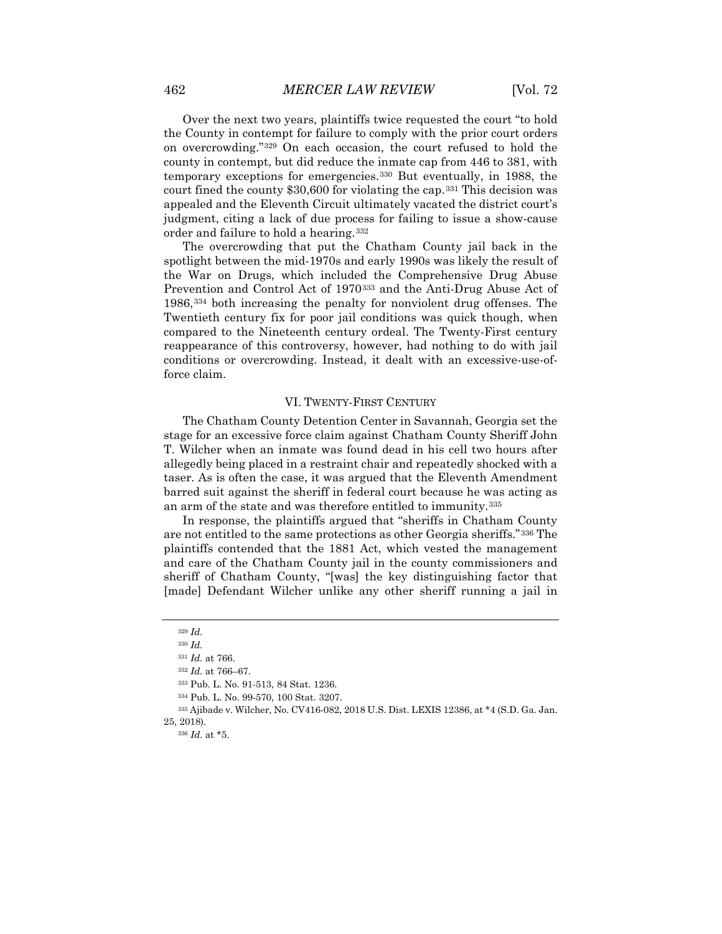Over the next two years, plaintiffs twice requested the court "to hold the County in contempt for failure to comply with the prior court orders on overcrowding."[329](#page-76-0) On each occasion, the court refused to hold the county in contempt, but did reduce the inmate cap from 446 to 381, with temporary exceptions for emergencies.[330](#page-76-1) But eventually, in 1988, the court fined the county \$30,600 for violating the cap.[331](#page-76-2) This decision was appealed and the Eleventh Circuit ultimately vacated the district court's judgment, citing a lack of due process for failing to issue a show-cause order and failure to hold a hearing.[332](#page-76-3)

The overcrowding that put the Chatham County jail back in the spotlight between the mid-1970s and early 1990s was likely the result of the War on Drugs, which included the Comprehensive Drug Abuse Prevention and Control Act of 1970[333](#page-76-4) and the Anti-Drug Abuse Act of 1986,[334](#page-76-5) both increasing the penalty for nonviolent drug offenses. The Twentieth century fix for poor jail conditions was quick though, when compared to the Nineteenth century ordeal. The Twenty-First century reappearance of this controversy, however, had nothing to do with jail conditions or overcrowding. Instead, it dealt with an excessive-use-offorce claim.

## VI. TWENTY-FIRST CENTURY

The Chatham County Detention Center in Savannah, Georgia set the stage for an excessive force claim against Chatham County Sheriff John T. Wilcher when an inmate was found dead in his cell two hours after allegedly being placed in a restraint chair and repeatedly shocked with a taser. As is often the case, it was argued that the Eleventh Amendment barred suit against the sheriff in federal court because he was acting as an arm of the state and was therefore entitled to immunity.[335](#page-76-6)

In response, the plaintiffs argued that "sheriffs in Chatham County are not entitled to the same protections as other Georgia sheriffs."[336](#page-76-7) The plaintiffs contended that the 1881 Act, which vested the management and care of the Chatham County jail in the county commissioners and sheriff of Chatham County, "[was] the key distinguishing factor that [made] Defendant Wilcher unlike any other sheriff running a jail in

<span id="page-76-0"></span><sup>329</sup> *Id.*

<sup>330</sup> *Id.*

<sup>331</sup> *Id.* at 766.

<sup>332</sup> *Id.* at 766–67.

<sup>333</sup> Pub. L. No. 91-513, 84 Stat. 1236.

<sup>334</sup> Pub. L. No. 99-570, 100 Stat. 3207.

<span id="page-76-7"></span><span id="page-76-6"></span><span id="page-76-5"></span><span id="page-76-4"></span><span id="page-76-3"></span><span id="page-76-2"></span><span id="page-76-1"></span><sup>335</sup> Ajibade v. Wilcher, No. CV416-082, 2018 U.S. Dist. LEXIS 12386, at \*4 (S.D. Ga. Jan. 25, 2018).

<sup>336</sup> *Id.* at \*5.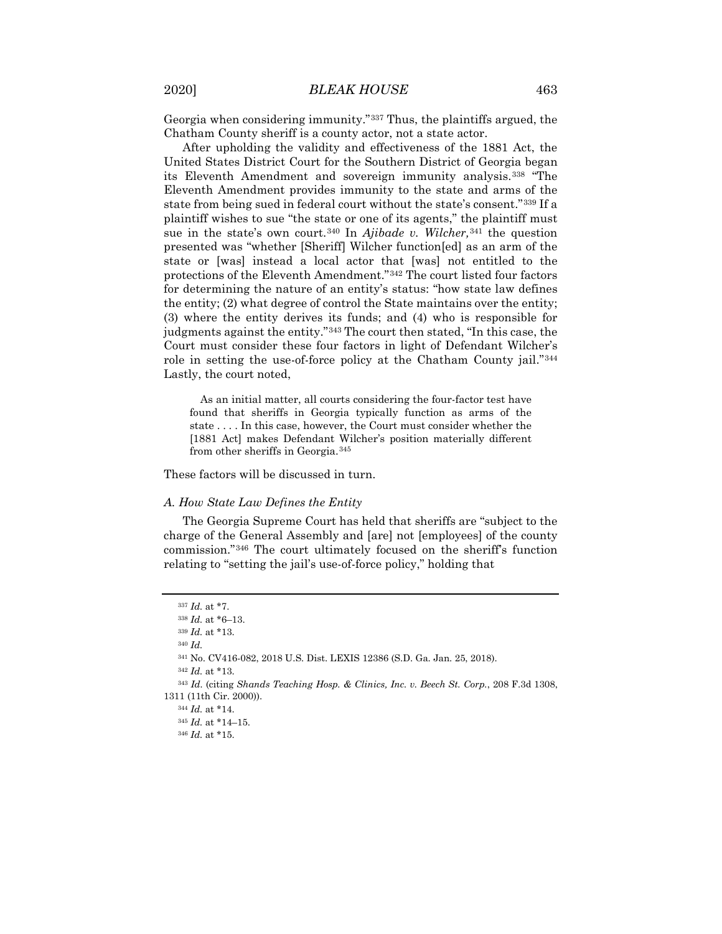Georgia when considering immunity."[337](#page-77-0) Thus, the plaintiffs argued, the Chatham County sheriff is a county actor, not a state actor.

After upholding the validity and effectiveness of the 1881 Act, the United States District Court for the Southern District of Georgia began its Eleventh Amendment and sovereign immunity analysis.[338](#page-77-1) "The Eleventh Amendment provides immunity to the state and arms of the state from being sued in federal court without the state's consent."[339](#page-77-2) If a plaintiff wishes to sue "the state or one of its agents," the plaintiff must sue in the state's own court.[340](#page-77-3) In *Ajibade v. Wilcher,*[341](#page-77-4) the question presented was "whether [Sheriff] Wilcher function[ed] as an arm of the state or [was] instead a local actor that [was] not entitled to the protections of the Eleventh Amendment."[342](#page-77-5) The court listed four factors for determining the nature of an entity's status: "how state law defines the entity; (2) what degree of control the State maintains over the entity; (3) where the entity derives its funds; and (4) who is responsible for judgments against the entity."[343](#page-77-6) The court then stated, "In this case, the Court must consider these four factors in light of Defendant Wilcher's role in setting the use-of-force policy at the Chatham County jail."[344](#page-77-7) Lastly, the court noted,

As an initial matter, all courts considering the four-factor test have found that sheriffs in Georgia typically function as arms of the state . . . . In this case, however, the Court must consider whether the [1881 Act] makes Defendant Wilcher's position materially different from other sheriffs in Georgia.[345](#page-77-8)

These factors will be discussed in turn.

#### *A. How State Law Defines the Entity*

The Georgia Supreme Court has held that sheriffs are "subject to the charge of the General Assembly and [are] not [employees] of the county commission."[346](#page-77-9) The court ultimately focused on the sheriff's function relating to "setting the jail's use-of-force policy," holding that

<sup>340</sup> *Id.*

<sup>337</sup> *Id.* at \*7.

<span id="page-77-1"></span><span id="page-77-0"></span><sup>338</sup> *Id.* at \*6–13.

<sup>339</sup> *Id.* at \*13.

<sup>341</sup> No. CV416-082, 2018 U.S. Dist. LEXIS 12386 (S.D. Ga. Jan. 25, 2018).

<sup>342</sup> *Id.* at \*13.

<span id="page-77-9"></span><span id="page-77-8"></span><span id="page-77-7"></span><span id="page-77-6"></span><span id="page-77-5"></span><span id="page-77-4"></span><span id="page-77-3"></span><span id="page-77-2"></span><sup>343</sup> *Id.* (citing *Shands Teaching Hosp. & Clinics, Inc. v. Beech St. Corp.*, 208 F.3d 1308, 1311 (11th Cir. 2000)).

<sup>344</sup> *Id.* at \*14.

<sup>345</sup> *Id.* at \*14–15.

<sup>346</sup> *Id.* at \*15.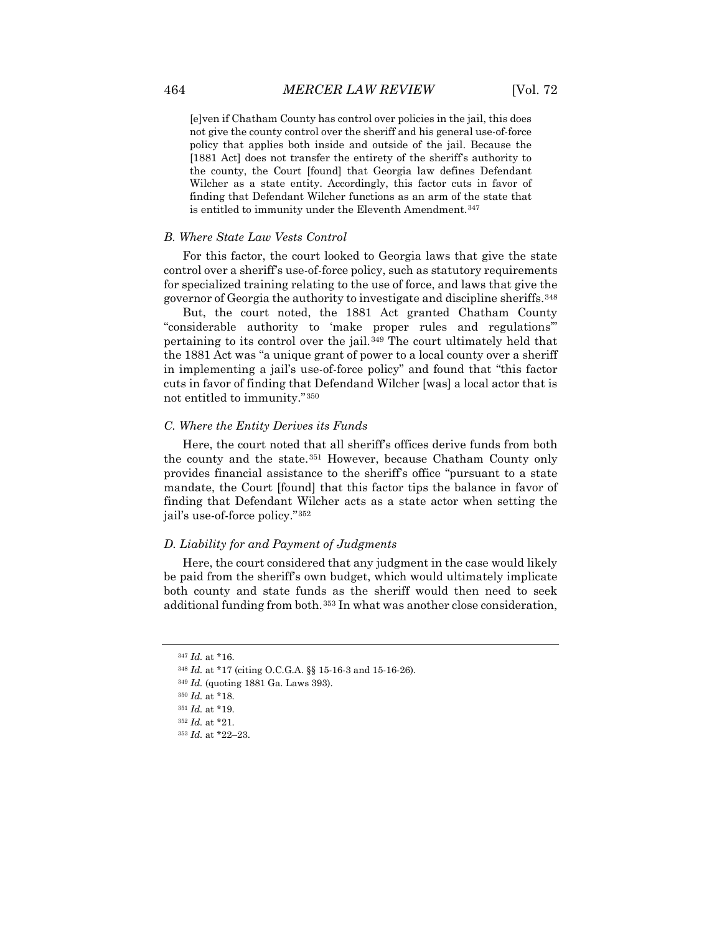[e]ven if Chatham County has control over policies in the jail, this does not give the county control over the sheriff and his general use-of-force policy that applies both inside and outside of the jail. Because the [1881 Act] does not transfer the entirety of the sheriff's authority to the county, the Court [found] that Georgia law defines Defendant Wilcher as a state entity. Accordingly, this factor cuts in favor of finding that Defendant Wilcher functions as an arm of the state that is entitled to immunity under the Eleventh Amendment.<sup>[347](#page-78-0)</sup>

### *B. Where State Law Vests Control*

For this factor, the court looked to Georgia laws that give the state control over a sheriff's use-of-force policy, such as statutory requirements for specialized training relating to the use of force, and laws that give the governor of Georgia the authority to investigate and discipline sheriffs.[348](#page-78-1)

But, the court noted, the 1881 Act granted Chatham County "considerable authority to 'make proper rules and regulations'" pertaining to its control over the jail.[349](#page-78-2) The court ultimately held that the 1881 Act was "a unique grant of power to a local county over a sheriff in implementing a jail's use-of-force policy" and found that "this factor cuts in favor of finding that Defendand Wilcher [was] a local actor that is not entitled to immunity."[350](#page-78-3)

#### *C. Where the Entity Derives its Funds*

Here, the court noted that all sheriff's offices derive funds from both the county and the state.[351](#page-78-4) However, because Chatham County only provides financial assistance to the sheriff's office "pursuant to a state mandate, the Court [found] that this factor tips the balance in favor of finding that Defendant Wilcher acts as a state actor when setting the jail's use-of-force policy."[352](#page-78-5)

## *D. Liability for and Payment of Judgments*

Here, the court considered that any judgment in the case would likely be paid from the sheriff's own budget, which would ultimately implicate both county and state funds as the sheriff would then need to seek additional funding from both.[353](#page-78-6) In what was another close consideration,

<sup>347</sup> *Id.* at \*16.

<span id="page-78-2"></span><span id="page-78-1"></span><span id="page-78-0"></span><sup>348</sup> *Id.* at \*17 (citing O.C.G.A. §§ 15-16-3 and 15-16-26).

<sup>349</sup> *Id.* (quoting 1881 Ga. Laws 393).

<sup>350</sup> *Id.* at \*18.

<span id="page-78-5"></span><span id="page-78-4"></span><span id="page-78-3"></span><sup>351</sup> *Id.* at \*19.

<span id="page-78-6"></span><sup>352</sup> *Id.* at \*21.

<sup>353</sup> *Id.* at \*22–23.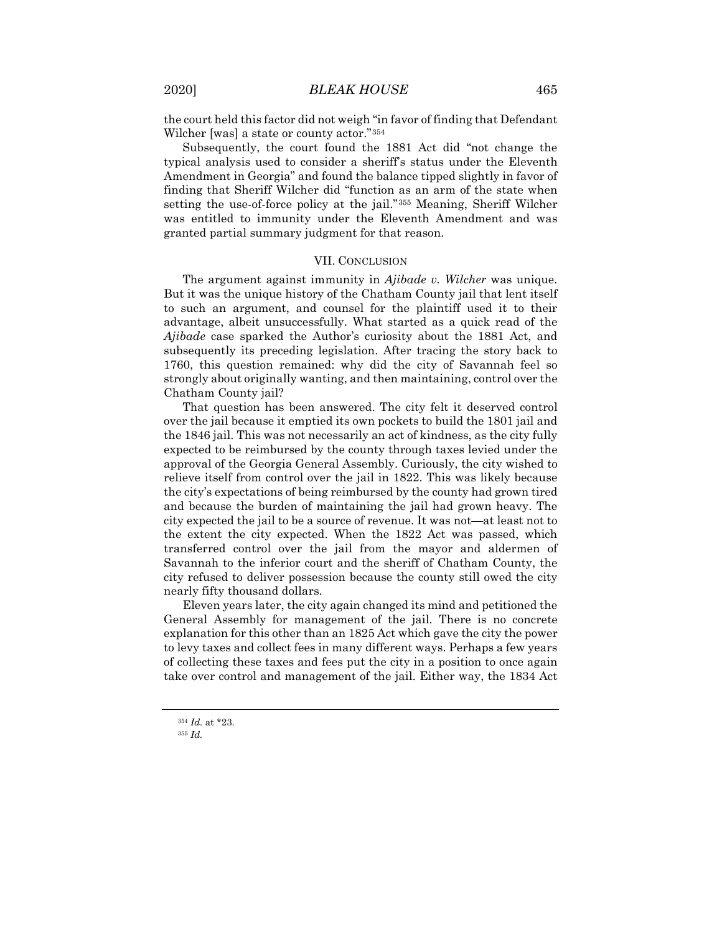the court held this factor did not weigh "in favor of finding that Defendant Wilcher [was] a state or county actor."[354](#page-79-0)

Subsequently, the court found the 1881 Act did "not change the typical analysis used to consider a sheriff's status under the Eleventh Amendment in Georgia" and found the balance tipped slightly in favor of finding that Sheriff Wilcher did "function as an arm of the state when setting the use-of-force policy at the jail."[355](#page-79-1) Meaning, Sheriff Wilcher was entitled to immunity under the Eleventh Amendment and was granted partial summary judgment for that reason.

### VII. CONCLUSION

The argument against immunity in *Ajibade v. Wilcher* was unique. But it was the unique history of the Chatham County jail that lent itself to such an argument, and counsel for the plaintiff used it to their advantage, albeit unsuccessfully. What started as a quick read of the *Ajibade* case sparked the Author's curiosity about the 1881 Act, and subsequently its preceding legislation. After tracing the story back to 1760, this question remained: why did the city of Savannah feel so strongly about originally wanting, and then maintaining, control over the Chatham County jail?

That question has been answered. The city felt it deserved control over the jail because it emptied its own pockets to build the 1801 jail and the 1846 jail. This was not necessarily an act of kindness, as the city fully expected to be reimbursed by the county through taxes levied under the approval of the Georgia General Assembly. Curiously, the city wished to relieve itself from control over the jail in 1822. This was likely because the city's expectations of being reimbursed by the county had grown tired and because the burden of maintaining the jail had grown heavy. The city expected the jail to be a source of revenue. It was not—at least not to the extent the city expected. When the 1822 Act was passed, which transferred control over the jail from the mayor and aldermen of Savannah to the inferior court and the sheriff of Chatham County, the city refused to deliver possession because the county still owed the city nearly fifty thousand dollars.

Eleven years later, the city again changed its mind and petitioned the General Assembly for management of the jail. There is no concrete explanation for this other than an 1825 Act which gave the city the power to levy taxes and collect fees in many different ways. Perhaps a few years of collecting these taxes and fees put the city in a position to once again take over control and management of the jail. Either way, the 1834 Act

<sup>354</sup> *Id.* at \*23.

<span id="page-79-1"></span><span id="page-79-0"></span><sup>355</sup> *Id.*